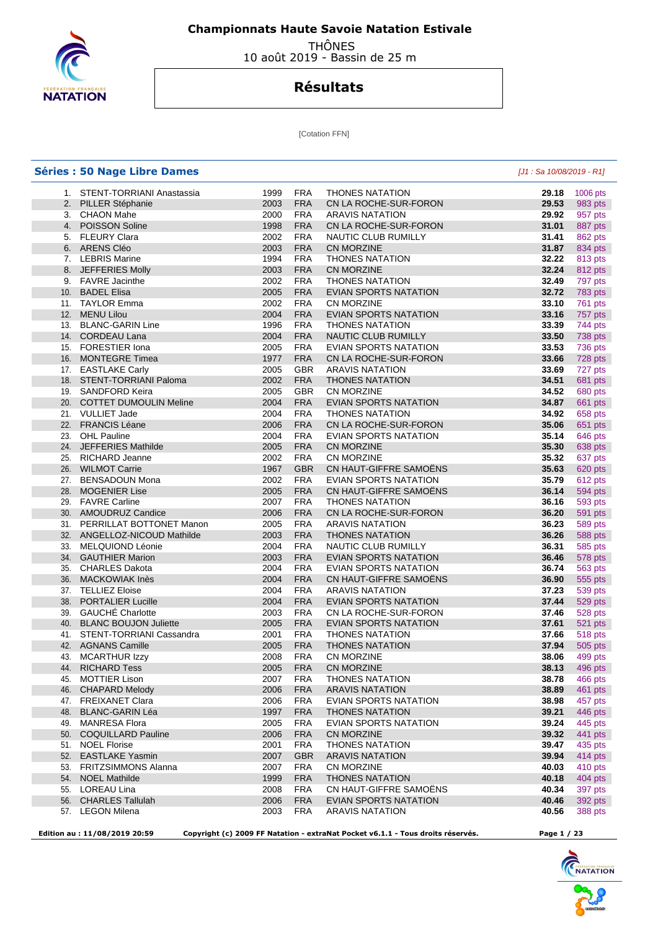

 THÔNES 10 août 2019 - Bassin de 25 m

# **Résultats**

[Cotation FFN]

|     | <b>Séries : 50 Nage Libre Dames</b> |      |            |                                                                                 | [J1 : Sa 10/08/2019 - R1] |                           |
|-----|-------------------------------------|------|------------|---------------------------------------------------------------------------------|---------------------------|---------------------------|
|     | 1. STENT-TORRIANI Anastassia        | 1999 | <b>FRA</b> | <b>THONES NATATION</b>                                                          | 29.18                     | 1006 pts                  |
|     | 2. PILLER Stéphanie                 | 2003 | <b>FRA</b> | CN LA ROCHE-SUR-FORON                                                           | 29.53                     | 983 pts                   |
|     | 3. CHAON Mahe                       | 2000 | <b>FRA</b> | <b>ARAVIS NATATION</b>                                                          | 29.92                     | 957 pts                   |
|     | 4. POISSON Soline                   | 1998 | <b>FRA</b> | CN LA ROCHE-SUR-FORON                                                           | 31.01                     | 887 pts                   |
|     | 5. FLEURY Clara                     | 2002 | <b>FRA</b> | NAUTIC CLUB RUMILLY                                                             | 31.41                     | 862 pts                   |
|     | 6. ARENS Cléo                       | 2003 | <b>FRA</b> | <b>CN MORZINE</b>                                                               | 31.87                     | 834 pts                   |
|     | 7. LEBRIS Marine                    | 1994 | <b>FRA</b> | <b>THONES NATATION</b>                                                          | 32.22                     | 813 pts                   |
|     | 8. JEFFERIES Molly                  | 2003 | <b>FRA</b> | <b>CN MORZINE</b>                                                               | 32.24                     | 812 pts                   |
| 9.  | <b>FAVRE</b> Jacinthe               | 2002 | <b>FRA</b> | <b>THONES NATATION</b>                                                          | 32.49                     | 797 pts                   |
|     | 10. BADEL Elisa                     | 2005 | <b>FRA</b> | EVIAN SPORTS NATATION                                                           | 32.72                     | 783 pts                   |
|     | 11. TAYLOR Emma                     | 2002 | <b>FRA</b> | <b>CN MORZINE</b>                                                               | 33.10                     | 761 pts                   |
| 12. | <b>MENU Lilou</b>                   | 2004 | <b>FRA</b> | <b>EVIAN SPORTS NATATION</b>                                                    | 33.16                     | 757 pts                   |
|     | 13. BLANC-GARIN Line                | 1996 | <b>FRA</b> | <b>THONES NATATION</b>                                                          | 33.39                     | 744 pts                   |
|     | 14. CORDEAU Lana                    | 2004 | <b>FRA</b> | <b>NAUTIC CLUB RUMILLY</b>                                                      | 33.50                     | 738 pts                   |
|     | 15. FORESTIER Iona                  | 2005 | <b>FRA</b> | EVIAN SPORTS NATATION                                                           | 33.53                     | 736 pts                   |
| 16. | <b>MONTEGRE Timea</b>               | 1977 | <b>FRA</b> | CN LA ROCHE-SUR-FORON                                                           | 33.66                     | 728 pts                   |
|     | 17. EASTLAKE Carly                  | 2005 | <b>GBR</b> | <b>ARAVIS NATATION</b>                                                          | 33.69                     | 727 pts                   |
| 18. | STENT-TORRIANI Paloma               | 2002 | <b>FRA</b> | <b>THONES NATATION</b>                                                          | 34.51                     | 681 pts                   |
|     | 19. SANDFORD Keira                  | 2005 | <b>GBR</b> | <b>CN MORZINE</b>                                                               | 34.52                     | 680 pts                   |
|     | 20. COTTET DUMOULIN Meline          | 2004 | <b>FRA</b> | <b>EVIAN SPORTS NATATION</b>                                                    | 34.87                     | 661 pts                   |
|     | 21. VULLIET Jade                    | 2004 | <b>FRA</b> | <b>THONES NATATION</b>                                                          | 34.92                     |                           |
|     | 22. FRANCIS Léane                   | 2006 | <b>FRA</b> | CN LA ROCHE-SUR-FORON                                                           | 35.06                     | 658 pts<br>651 pts        |
|     | 23. OHL Pauline                     | 2004 | <b>FRA</b> | EVIAN SPORTS NATATION                                                           | 35.14                     | 646 pts                   |
|     | 24. JEFFERIES Mathilde              | 2005 | <b>FRA</b> | CN MORZINE                                                                      | 35.30                     |                           |
|     | 25. RICHARD Jeanne                  | 2002 | <b>FRA</b> | <b>CN MORZINE</b>                                                               | 35.32                     | 638 pts<br>637 pts        |
|     | 26. WILMOT Carrie                   | 1967 | <b>GBR</b> | CN HAUT-GIFFRE SAMOENS                                                          | 35.63                     | 620 pts                   |
| 27. | <b>BENSADOUN Mona</b>               | 2002 | <b>FRA</b> | <b>EVIAN SPORTS NATATION</b>                                                    | 35.79                     |                           |
| 28. | <b>MOGENIER Lise</b>                | 2005 | <b>FRA</b> | CN HAUT-GIFFRE SAMOENS                                                          | 36.14                     | 612 pts<br><b>594 pts</b> |
| 29. | <b>FAVRE Carline</b>                | 2007 | <b>FRA</b> | <b>THONES NATATION</b>                                                          | 36.16                     | 593 pts                   |
| 30. | <b>AMOUDRUZ Candice</b>             | 2006 | <b>FRA</b> | CN LA ROCHE-SUR-FORON                                                           | 36.20                     |                           |
|     | 31. PERRILLAT BOTTONET Manon        | 2005 | <b>FRA</b> | <b>ARAVIS NATATION</b>                                                          | 36.23                     | 591 pts<br>589 pts        |
|     | 32. ANGELLOZ-NICOUD Mathilde        | 2003 | <b>FRA</b> | <b>THONES NATATION</b>                                                          | 36.26                     | 588 pts                   |
| 33. | MELQUIOND Léonie                    | 2004 | <b>FRA</b> | NAUTIC CLUB RUMILLY                                                             | 36.31                     | 585 pts                   |
|     | 34. GAUTHIER Marion                 | 2003 | <b>FRA</b> | EVIAN SPORTS NATATION                                                           | 36.46                     | 578 pts                   |
| 35. | <b>CHARLES Dakota</b>               | 2004 | <b>FRA</b> | EVIAN SPORTS NATATION                                                           | 36.74                     | 563 pts                   |
| 36. | <b>MACKOWIAK Inès</b>               | 2004 | <b>FRA</b> | CN HAUT-GIFFRE SAMOËNS                                                          | 36.90                     | 555 pts                   |
|     | 37. TELLIEZ Eloise                  | 2004 | <b>FRA</b> | <b>ARAVIS NATATION</b>                                                          | 37.23                     | 539 pts                   |
| 38. | <b>PORTALIER Lucille</b>            | 2004 | <b>FRA</b> | EVIAN SPORTS NATATION                                                           | 37.44                     | 529 pts                   |
| 39. | <b>GAUCHÉ Charlotte</b>             | 2003 | <b>FRA</b> | CN LA ROCHE-SUR-FORON                                                           | 37.46                     | 528 pts                   |
|     | 40. BLANC BOUJON Juliette           | 2005 | <b>FRA</b> | EVIAN SPORTS NATATION                                                           | 37.61                     | 521 pts                   |
|     | 41. STENT-TORRIANI Cassandra        | 2001 | <b>FRA</b> | <b>THONES NATATION</b>                                                          | 37.66                     | <b>518 pts</b>            |
|     | 42. AGNANS Camille                  | 2005 | <b>FRA</b> | <b>THONES NATATION</b>                                                          | 37.94                     | 505 pts                   |
|     | 43. MCARTHUR Izzy                   | 2008 | <b>FRA</b> | <b>CN MORZINE</b>                                                               | 38.06                     | 499 pts                   |
|     | 44. RICHARD Tess                    | 2005 | <b>FRA</b> | <b>CN MORZINE</b>                                                               | 38.13                     | 496 pts                   |
|     | 45. MOTTIER Lison                   | 2007 | <b>FRA</b> | <b>THONES NATATION</b>                                                          | 38.78                     | 466 pts                   |
|     | 46. CHAPARD Melody                  | 2006 | <b>FRA</b> | <b>ARAVIS NATATION</b>                                                          | 38.89                     | 461 pts                   |
|     | 47. FREIXANET Clara                 | 2006 | <b>FRA</b> | EVIAN SPORTS NATATION                                                           | 38.98                     | 457 pts                   |
|     | 48. BLANC-GARIN Léa                 | 1997 | <b>FRA</b> | <b>THONES NATATION</b>                                                          | 39.21                     | 446 pts                   |
|     | 49. MANRESA Flora                   | 2005 | <b>FRA</b> | <b>EVIAN SPORTS NATATION</b>                                                    | 39.24                     | 445 pts                   |
|     | 50. COQUILLARD Pauline              | 2006 | <b>FRA</b> | CN MORZINE                                                                      | 39.32                     | 441 pts                   |
|     | 51. NOEL Florise                    | 2001 | <b>FRA</b> | <b>THONES NATATION</b>                                                          | 39.47                     | 435 pts                   |
|     | 52. EASTLAKE Yasmin                 | 2007 | <b>GBR</b> | <b>ARAVIS NATATION</b>                                                          | 39.94                     | 414 pts                   |
|     | 53. FRITZSIMMONS Alanna             | 2007 | <b>FRA</b> | CN MORZINE                                                                      | 40.03                     | 410 pts                   |
|     | 54. NOEL Mathilde                   | 1999 | <b>FRA</b> | <b>THONES NATATION</b>                                                          | 40.18                     | 404 pts                   |
|     | 55. LOREAU Lina                     | 2008 | <b>FRA</b> | CN HAUT-GIFFRE SAMOENS                                                          | 40.34                     | 397 pts                   |
|     | 56. CHARLES Tallulah                | 2006 | <b>FRA</b> | EVIAN SPORTS NATATION                                                           | 40.46                     | 392 pts                   |
|     | 57. LEGON Milena                    | 2003 | <b>FRA</b> | ARAVIS NATATION                                                                 | 40.56                     | 388 pts                   |
|     |                                     |      |            |                                                                                 |                           |                           |
|     | Edition au: 11/08/2019 20:59        |      |            | Copyright (c) 2009 FF Natation - extraNat Pocket v6.1.1 - Tous droits réservés. | Page 1 / 23               |                           |

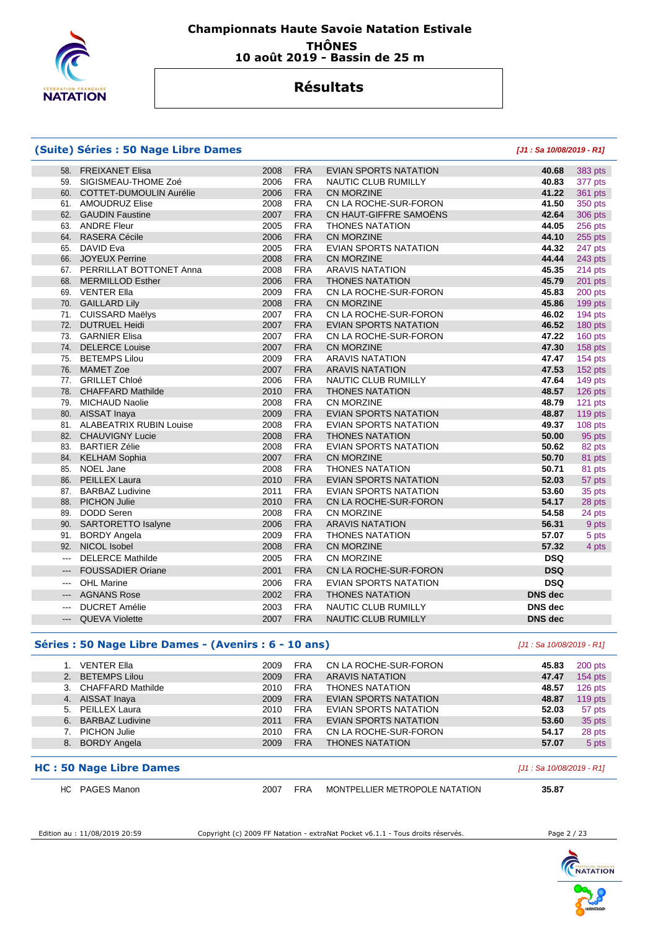

### **Championnats Haute Savoie Natation Estivale THÔNES 10 août 2019 - Bassin de 25 m**

## **Résultats**

#### **(Suite) Séries : 50 Nage Libre Dames [J1 : Sa 10/08/2019 - R1]**

| 58.                        | <b>FREIXANET Elisa</b>      | 2008 | <b>FRA</b> | <b>EVIAN SPORTS NATATION</b> | 40.68          | 383 pts        |
|----------------------------|-----------------------------|------|------------|------------------------------|----------------|----------------|
| 59.                        | SIGISMEAU-THOME Zoé         | 2006 | <b>FRA</b> | NAUTIC CLUB RUMILLY          | 40.83          | 377 pts        |
|                            | 60. COTTET-DUMOULIN Aurélie | 2006 | <b>FRA</b> | <b>CN MORZINE</b>            | 41.22          | 361 pts        |
|                            | 61. AMOUDRUZ Elise          | 2008 | <b>FRA</b> | CN LA ROCHE-SUR-FORON        | 41.50          | 350 pts        |
|                            | 62. GAUDIN Faustine         | 2007 | <b>FRA</b> | CN HAUT-GIFFRE SAMOËNS       | 42.64          | <b>306 pts</b> |
|                            | 63. ANDRE Fleur             | 2005 | <b>FRA</b> | <b>THONES NATATION</b>       | 44.05          | 256 pts        |
|                            | 64. RASERA Cécile           | 2006 | <b>FRA</b> | CN MORZINE                   | 44.10          | 255 pts        |
|                            | 65. DAVID Eva               | 2005 | <b>FRA</b> | <b>EVIAN SPORTS NATATION</b> | 44.32          | 247 pts        |
| 66.                        | <b>JOYEUX Perrine</b>       | 2008 | <b>FRA</b> | CN MORZINE                   | 44.44          | 243 pts        |
|                            | 67. PERRILLAT BOTTONET Anna | 2008 | <b>FRA</b> | <b>ARAVIS NATATION</b>       | 45.35          | 214 pts        |
| 68.                        | <b>MERMILLOD Esther</b>     | 2006 | <b>FRA</b> | <b>THONES NATATION</b>       | 45.79          | 201 pts        |
| 69.                        | <b>VENTER Ella</b>          | 2009 | <b>FRA</b> | CN LA ROCHE-SUR-FORON        | 45.83          | 200 pts        |
| 70.                        | <b>GAILLARD Lily</b>        | 2008 | <b>FRA</b> | <b>CN MORZINE</b>            | 45.86          | 199 pts        |
|                            | 71. CUISSARD Maëlys         | 2007 | <b>FRA</b> | CN LA ROCHE-SUR-FORON        | 46.02          | 194 pts        |
| 72.                        | <b>DUTRUEL Heidi</b>        | 2007 | <b>FRA</b> | <b>EVIAN SPORTS NATATION</b> | 46.52          | 180 pts        |
| 73.                        | <b>GARNIER Elisa</b>        | 2007 | <b>FRA</b> | CN LA ROCHE-SUR-FORON        | 47.22          | 160 pts        |
|                            | 74. DELERCE Louise          | 2007 | <b>FRA</b> | <b>CN MORZINE</b>            | 47.30          | 158 pts        |
| 75.                        | <b>BETEMPS Lilou</b>        | 2009 | <b>FRA</b> | <b>ARAVIS NATATION</b>       | 47.47          | 154 pts        |
| 76.                        | <b>MAMET Zoe</b>            | 2007 | <b>FRA</b> | <b>ARAVIS NATATION</b>       | 47.53          | 152 pts        |
| 77.                        | <b>GRILLET Chloé</b>        | 2006 | <b>FRA</b> | NAUTIC CLUB RUMILLY          | 47.64          | 149 pts        |
| 78.                        | <b>CHAFFARD Mathilde</b>    | 2010 | <b>FRA</b> | <b>THONES NATATION</b>       | 48.57          | 126 pts        |
| 79.                        | <b>MICHAUD Naolie</b>       | 2008 | <b>FRA</b> | CN MORZINE                   | 48.79          | 121 pts        |
| 80.                        | AISSAT Inaya                | 2009 | <b>FRA</b> | <b>EVIAN SPORTS NATATION</b> | 48.87          | 119 pts        |
|                            | 81. ALABEATRIX RUBIN Louise | 2008 | <b>FRA</b> | <b>EVIAN SPORTS NATATION</b> | 49.37          | 108 pts        |
|                            | 82. CHAUVIGNY Lucie         | 2008 | <b>FRA</b> | <b>THONES NATATION</b>       | 50.00          | 95 pts         |
| 83.                        | <b>BARTIER Zélie</b>        | 2008 | <b>FRA</b> | <b>EVIAN SPORTS NATATION</b> | 50.62          | 82 pts         |
|                            | 84. KELHAM Sophia           | 2007 | <b>FRA</b> | <b>CN MORZINE</b>            | 50.70          | 81 pts         |
| 85.                        | NOEL Jane                   | 2008 | <b>FRA</b> | <b>THONES NATATION</b>       | 50.71          | 81 pts         |
| 86.                        | <b>PEILLEX Laura</b>        | 2010 | <b>FRA</b> | EVIAN SPORTS NATATION        | 52.03          | 57 pts         |
|                            | 87. BARBAZ Ludivine         | 2011 | <b>FRA</b> | <b>EVIAN SPORTS NATATION</b> | 53.60          | 35 pts         |
|                            | 88. PICHON Julie            | 2010 | <b>FRA</b> | CN LA ROCHE-SUR-FORON        | 54.17          | 28 pts         |
| 89.                        | <b>DODD Seren</b>           | 2008 | <b>FRA</b> | CN MORZINE                   | 54.58          | 24 pts         |
| 90.                        | <b>SARTORETTO Isalyne</b>   | 2006 | <b>FRA</b> | <b>ARAVIS NATATION</b>       | 56.31          | 9 pts          |
|                            | 91. BORDY Angela            | 2009 | <b>FRA</b> | <b>THONES NATATION</b>       | 57.07          | 5 pts          |
| 92.                        | NICOL Isobel                | 2008 | <b>FRA</b> | CN MORZINE                   | 57.32          | 4 pts          |
| $\overline{\phantom{a}}$   | <b>DELERCE Mathilde</b>     | 2005 | <b>FRA</b> | CN MORZINE                   | <b>DSQ</b>     |                |
| $\qquad \qquad - \qquad -$ | <b>FOUSSADIER Oriane</b>    | 2001 | <b>FRA</b> | CN LA ROCHE-SUR-FORON        | <b>DSQ</b>     |                |
| $--$                       | <b>OHL Marine</b>           | 2006 | <b>FRA</b> | <b>EVIAN SPORTS NATATION</b> | <b>DSQ</b>     |                |
| ---                        | <b>AGNANS Rose</b>          | 2002 | <b>FRA</b> | <b>THONES NATATION</b>       | <b>DNS</b> dec |                |
|                            | <b>DUCRET Amélie</b>        | 2003 | <b>FRA</b> | <b>NAUTIC CLUB RUMILLY</b>   | <b>DNS</b> dec |                |
| --- 1                      | <b>QUEVA Violette</b>       | 2007 | <b>FRA</b> | <b>NAUTIC CLUB RUMILLY</b>   | <b>DNS</b> dec |                |
|                            |                             |      |            |                              |                |                |

#### **Séries : 50 Nage Libre Dames - (Avenirs : 6 - 10 ans)** [J1 : Sa 10/08/2019 - R1]

|    | <b>VENTER Ella</b>   | 2009 | FRA        | CN LA ROCHE-SUR-FORON  | 45.83 | 200 pts   |
|----|----------------------|------|------------|------------------------|-------|-----------|
| 2. | <b>BETEMPS Lilou</b> | 2009 | <b>FRA</b> | <b>ARAVIS NATATION</b> | 47.47 | $154$ pts |
|    | 3. CHAFFARD Mathilde | 2010 | <b>FRA</b> | <b>THONES NATATION</b> | 48.57 | $126$ pts |
|    | 4. AISSAT Inaya      | 2009 | <b>FRA</b> | EVIAN SPORTS NATATION  | 48.87 | 119 pts   |
|    | 5. PEILLEX Laura     | 2010 | <b>FRA</b> | EVIAN SPORTS NATATION  | 52.03 | 57 pts    |
|    | 6. BARBAZ Ludivine   | 2011 | <b>FRA</b> | EVIAN SPORTS NATATION  | 53.60 | 35 pts    |
|    | PICHON Julie         | 2010 | <b>FRA</b> | CN LA ROCHE-SUR-FORON  | 54.17 | 28 pts    |
| 8. | <b>BORDY Angela</b>  | 2009 | <b>FRA</b> | <b>THONES NATATION</b> | 57.07 | 5 pts     |
|    |                      |      |            |                        |       |           |

#### **HC : 50 Nage Libre Dames Example 2018 2019 - R1 C : 50 Nage Libre Dames** *M***<sub>1</sub> : Sa 10/08/2019 - R1]**

| HC . | <b>PAGES Manon</b> |  |
|------|--------------------|--|
|      |                    |  |

2007 FRA MONTPELLIER METROPOLE NATATION **35.87** 

Edition au : 11/08/2019 20:59 Copyright (c) 2009 FF Natation - extraNat Pocket v6.1.1 - Tous droits réservés. Page 2 / 23

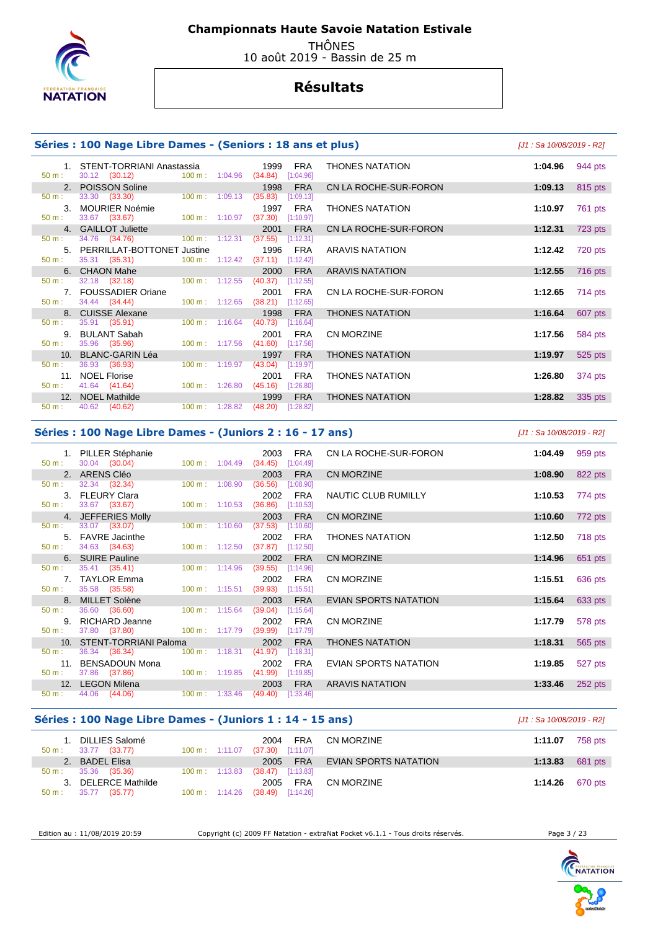

 THÔNES 10 août 2019 - Bassin de 25 m

# **Résultats**

#### **Séries : 100 Nage Libre Dames - (Seniors : 18 ans et plus)** [J1 : Sa 10/08/2019 - R2]

|          | 1. STENT-TORRIANI Anastassia 1999 FRA                                                                                                                                                                                          |                                  |                     |            | <b>THONES NATATION</b> | 1:04.96 $944 \text{ pts}$ |         |
|----------|--------------------------------------------------------------------------------------------------------------------------------------------------------------------------------------------------------------------------------|----------------------------------|---------------------|------------|------------------------|---------------------------|---------|
|          | 50 m : 30.12 (30.12) 100 m : 1:04.96 (34.84) [1:04.96]                                                                                                                                                                         |                                  |                     |            |                        |                           |         |
|          | 2. POISSON Soline                                                                                                                                                                                                              |                                  | 1998                | <b>FRA</b> | CN LA ROCHE-SUR-FORON  | 1:09.13                   | 815 pts |
|          | 50 m : 33.30 (33.30) 100 m : 1:09.13                                                                                                                                                                                           |                                  | $(35.83)$ [1:09.13] |            |                        |                           |         |
|          | 3. MOURIER Noémie                                                                                                                                                                                                              |                                  |                     | 1997 FRA   | <b>THONES NATATION</b> | 1:10.97                   | 761 pts |
|          | 50 m : 33.67 (33.67) 100 m : 1:10.97 (37.30) [1:10.97]                                                                                                                                                                         |                                  |                     |            |                        |                           |         |
|          | 4. GAILLOT Juliette                                                                                                                                                                                                            |                                  | 2001                | <b>FRA</b> | CN LA ROCHE-SUR-FORON  | 1:12.31                   | 723 pts |
|          | 50 m : 34.76 (34.76) 100 m : 1:12.31 (37.55) [1:12.31]                                                                                                                                                                         |                                  |                     |            |                        |                           |         |
|          | 5. PERRILLAT-BOTTONET Justine                                                                                                                                                                                                  |                                  | 1996 FRA            |            | ARAVIS NATATION        | 1:12.42                   | 720 pts |
|          | 50 m : 35.31 (35.31) 100 m : 1:12.42 (37.11) [1:12.42]                                                                                                                                                                         |                                  |                     |            |                        |                           |         |
|          | 6. CHAON Mahe and the contract of the contract of the contract of the contract of the contract of the contract of the contract of the contract of the contract of the contract of the contract of the contract of the contract |                                  |                     | 2000 FRA   | <b>ARAVIS NATATION</b> | 1:12.55                   | 716 pts |
|          | $50 \text{ m}:$ $32.18$ $(32.18)$ $100 \text{ m}:$ $1:12.55$                                                                                                                                                                   |                                  | $(40.37)$ [1:12.55] |            |                        |                           |         |
|          | 7. FOUSSADIER Oriane                                                                                                                                                                                                           |                                  |                     | 2001 FRA   | CN LA ROCHE-SUR-FORON  | 1:12.65 $714 \text{ pts}$ |         |
|          | 50 m : 34.44 (34.44) 100 m : 1:12.65 (38.21) [1:12.65]                                                                                                                                                                         |                                  |                     |            |                        |                           |         |
|          | 8. CUISSE Alexane                                                                                                                                                                                                              |                                  | 1998                | <b>FRA</b> | <b>THONES NATATION</b> | 1:16.64                   | 607 pts |
|          | 50 m : 35.91 (35.91) 100 m : 1:16.64 (40.73) [1:16.64]                                                                                                                                                                         |                                  |                     |            |                        |                           |         |
|          | 9. BULANT Sabah                                                                                                                                                                                                                |                                  | 2001                | FRA        | <b>CN MORZINE</b>      | 1:17.56                   | 584 pts |
|          | 50 m : 35.96 (35.96) 100 m : 1:17.56 (41.60) [1:17.56]                                                                                                                                                                         |                                  |                     |            |                        |                           |         |
|          | 10. BLANC-GARIN Léa                                                                                                                                                                                                            |                                  | 1997                | <b>FRA</b> | <b>THONES NATATION</b> | 1:19.97                   | 525 pts |
| $50 m$ : | 36.93 (36.93)                                                                                                                                                                                                                  | $100 \text{ m}: 1:19.97$         | $(43.04)$ [1:19.97] |            |                        |                           |         |
|          | 11. NOEL Florise                                                                                                                                                                                                               |                                  | 2001                | FRA        | <b>THONES NATATION</b> | 1:26.80                   | 374 pts |
|          | $50 \text{ m}: 41.64 (41.64)$                                                                                                                                                                                                  | 100 m: 1:26.80 (45.16) [1:26.80] |                     |            |                        |                           |         |
|          | 12. NOEL Mathilde                                                                                                                                                                                                              |                                  | 1999                | <b>FRA</b> | <b>THONES NATATION</b> | 1:28.82                   | 335 pts |
|          | $50 \text{ m}: 40.62 (40.62)$                                                                                                                                                                                                  | 100 m: 1:28.82 (48.20) [1:28.82] |                     |            |                        |                           |         |

| pius,                  | $101.0a 10/00/2013 - N21$ |                |
|------------------------|---------------------------|----------------|
| THONES NATATION        | 1:04.96                   | 944 pts        |
| CN LA ROCHE-SUR-FORON  | 1:09.13                   | 815 pts        |
| THONES NATATION        | 1:10.97                   | 761 pts        |
| CN LA ROCHE-SUR-FORON  | 1:12.31                   | 723 pts        |
| ARAVIS NATATION        | 1:12.42                   | 720 pts        |
| <b>ARAVIS NATATION</b> | 1:12.55                   | <b>716 pts</b> |
| CN LA ROCHE-SUR-FORON  | 1:12.65                   | 714 pts        |
| THONES NATATION        | 1:16.64                   | 607 pts        |
| CN MORZINE             | 1:17.56                   | 584 pts        |
| <b>THONES NATATION</b> | 1:19.97                   | $525$ pts      |
| THONES NATATION        | 1:26.80                   | 374 pts        |
| <b>THONES NATATION</b> | 1:28.82                   | 335 pts        |

#### **Séries : 100 Nage Libre Dames - (Juniors 2 : 16 - 17 ans)** [J1 : Sa 10/08/2019 - R2]

 1. PILLER Stéphanie 2003 FRA CN LA ROCHE-SUR-FORON **1:04.49** 959 pts  $(34.45)$   $[1:04.49]$  2. ARENS Cléo 2003 FRA CN MORZINE **1:08.90** 822 pts 50 m : 32.34 (32.34) 100 m : 1:08.90 (36.56) [1:08.90] 3. FLEURY Clara 2002 FRA NAUTIC CLUB RUMILLY **1:10.53** 774 pts  $(36.86)$  4. JEFFERIES Molly 2003 FRA CN MORZINE **1:10.60** 772 pts 50 m : 33.07 (33.07) 100 m : 1:10.60 (37.53) [1:10.60] 5. FAVRE Jacinthe 2002 FRA THONES NATATION **1:12.50** 718 pts 50 m : 34.63 (34.63) 100 m : 1:12.50 (37.87) [1:12.50] 6. SUIRE Pauline 2002 FRA CN MORZINE **1:14.96** 651 pts 50 m : 35.41 (35.41) 100 m : 1:14.96 (39.55) [1:14.96] 7. TAYLOR Emma 2002 FRA CN MORZINE **1:15.51** 636 pts 35.58 (35.58) 8. MILLET Solène 2003 FRA EVIAN SPORTS NATATION **1:15.64** 633 pts 36.60 (36.60) 9. RICHARD Jeanne 2002 FRA CN MORZINE **1:17.79** 578 pts  $50 \text{ m}$ : 37.80 (37.80) 10. STENT-TORRIANI Paloma 2002 FRA THONES NATATION **1:18.31** 565 pts 50 m : 36.34 (36.34) 100 m : 1:18.31 (41.97) [1:18.31] 11. BENSADOUN Mona 2002 FRA EVIAN SPORTS NATATION **1:19.85** 527 pts  $(41.99)$   $[1:19.85]$  12. LEGON Milena 2003 FRA ARAVIS NATATION **1:33.46** 252 pts  $(49.40)$ 

#### **Séries : 100 Nage Libre Dames - (Juniors 1 : 14 - 15 ans)** [J1 : Sa 10/08/2019 - R2]

| 50 m:        | DILLIES Salomé<br>33.77 (33.77) | $100 \text{ m}: 1:11.07$ | FRA<br>2004<br>$(37.30)$ $[1:11.07]$ | CN MORZINE            | 1:11.07         | 758 pts |
|--------------|---------------------------------|--------------------------|--------------------------------------|-----------------------|-----------------|---------|
|              | 2. BADEL Elisa                  |                          | FRA<br>2005                          | EVIAN SPORTS NATATION | 1:13.83         | 681 pts |
| 50 m:        | 35.36 (35.36)                   | $100 \text{ m}: 1:13.83$ | $(38.47)$ [1:13.83]                  |                       |                 |         |
| $\mathbf{3}$ | <b>DELERCE Mathilde</b>         |                          | FRA<br>2005                          | CN MORZINE            | 1:14.26 670 pts |         |
| $50 m$ :     | (35.77)<br>35.77                | $100 \text{ m}: 1:14.26$ | $(38.49)$ [1:14.26]                  |                       |                 |         |

Edition au : 11/08/2019 20:59 Copyright (c) 2009 FF Natation - extraNat Pocket v6.1.1 - Tous droits réservés. Page 3 / 23

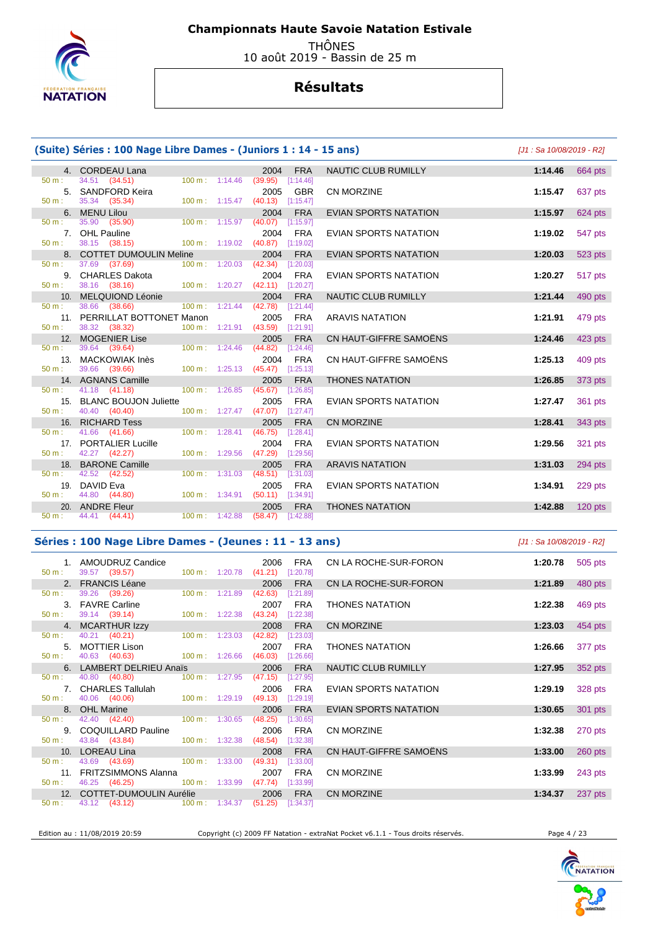

 THÔNES 10 août 2019 - Bassin de 25 m

# **Résultats**

| (Suite) Séries : 100 Nage Libre Dames - (Juniors 1 : 14 - 15 ans) |                                                         | [J1 : Sa 10/08/2019 - R2] |                                            |                              |         |           |
|-------------------------------------------------------------------|---------------------------------------------------------|---------------------------|--------------------------------------------|------------------------------|---------|-----------|
|                                                                   | 4. CORDEAU Lana                                         |                           | <b>FRA</b><br>2004                         | <b>NAUTIC CLUB RUMILLY</b>   | 1:14.46 | 664 pts   |
| 50 m:                                                             | 34.51 (34.51)<br>100 m:                                 | 1:14.46                   | (39.95)<br>[1:14.46]                       |                              |         |           |
| 5.<br>50 m:                                                       | <b>SANDFORD Keira</b><br>35.34 (35.34)                  | 100 m: 1:15.47            | 2005<br><b>GBR</b><br>(40.13)<br>[1:15.47] | <b>CN MORZINE</b>            | 1:15.47 | 637 pts   |
|                                                                   | 6. MENU Lilou                                           |                           | 2004<br><b>FRA</b>                         | <b>EVIAN SPORTS NATATION</b> | 1:15.97 |           |
| $50 m$ :                                                          | 35.90 (35.90)                                           | 100 m: 1:15.97            | (40.07)<br>[1:15.97]                       |                              |         | 624 pts   |
|                                                                   | 7. OHL Pauline                                          |                           | <b>FRA</b><br>2004                         | <b>EVIAN SPORTS NATATION</b> | 1:19.02 | 547 pts   |
| $50 m$ :                                                          | 38.15 (38.15)<br>100 m:                                 | 1:19.02                   | (40.87)<br>[1:19.02]                       |                              |         |           |
|                                                                   | 8. COTTET DUMOULIN Meline                               |                           | 2004<br><b>FRA</b>                         | <b>EVIAN SPORTS NATATION</b> | 1:20.03 | 523 pts   |
| $50 m$ :                                                          | 37.69 (37.69)<br>$100 \text{ m}$ :                      | 1:20.03                   | (42.34)<br>[1:20.03]                       |                              |         |           |
|                                                                   | 9. CHARLES Dakota                                       |                           | <b>FRA</b><br>2004                         | <b>EVIAN SPORTS NATATION</b> | 1:20.27 | 517 pts   |
| $50 m$ :                                                          | 38.16 (38.16)                                           | $100 m$ : 1:20.27         | (42.11)<br>[1:20.27]                       |                              |         |           |
|                                                                   | 10. MELQUIOND Léonie                                    |                           | 2004<br><b>FRA</b>                         | NAUTIC CLUB RUMILLY          | 1:21.44 | 490 pts   |
| $50 m$ :                                                          | 38.66 (38.66)<br>100 m:                                 | 1:21.44                   | (42.78)<br>[1:21.44]                       |                              |         |           |
| $50 m$ :                                                          | 11. PERRILLAT BOTTONET Manon<br>38.32 (38.32)<br>100 m: | 1:21.91                   | <b>FRA</b><br>2005<br>(43.59)<br>[1:21.91] | <b>ARAVIS NATATION</b>       | 1:21.91 | 479 pts   |
|                                                                   | 12. MOGENIER Lise                                       |                           | <b>FRA</b><br>2005                         | CN HAUT-GIFFRE SAMOËNS       | 1:24.46 | 423 pts   |
| $50 m$ :                                                          | 39.64 (39.64)<br>$100 m$ :                              | 1:24.46                   | (44.82)<br>[1:24.46]                       |                              |         |           |
| 13.                                                               | <b>MACKOWIAK Inès</b>                                   |                           | 2004<br><b>FRA</b>                         | CN HAUT-GIFFRE SAMOËNS       | 1:25.13 | 409 pts   |
| $50 m$ :                                                          | 39.66 (39.66)                                           | $100 m$ : 1:25.13         | (45.47)<br>[1:25.13]                       |                              |         |           |
|                                                                   | 14. AGNANS Camille                                      |                           | <b>FRA</b><br>2005                         | <b>THONES NATATION</b>       | 1:26.85 | 373 pts   |
| 50 m:                                                             | 41.18 (41.18)<br>100 m:                                 | 1:26.85                   | (45.67)<br>[1:26.85]                       |                              |         |           |
| 15.                                                               | <b>BLANC BOUJON Juliette</b>                            |                           | <b>FRA</b><br>2005                         | EVIAN SPORTS NATATION        | 1:27.47 | 361 pts   |
| 50 m:                                                             | 40.40 (40.40)<br>100 m:                                 | 1:27.47                   | (47.07)<br>[1:27.47]                       |                              |         |           |
| 16.                                                               | <b>RICHARD Tess</b>                                     |                           | 2005<br><b>FRA</b>                         | <b>CN MORZINE</b>            | 1:28.41 | 343 pts   |
| $50 m$ :                                                          | 41.66 (41.66)<br>100 m:                                 | 1:28.41                   | (46.75)<br>[1:28.41]                       |                              |         |           |
| 17.<br>50 m:                                                      | <b>PORTALIER Lucille</b><br>42.27 (42.27)<br>100 m:     | 1:29.56                   | 2004<br><b>FRA</b><br>(47.29)<br>[1:29.56] | <b>EVIAN SPORTS NATATION</b> | 1:29.56 | 321 pts   |
| 18.                                                               | <b>BARONE Camille</b>                                   |                           | 2005<br><b>FRA</b>                         | <b>ARAVIS NATATION</b>       | 1:31.03 | 294 pts   |
| 50 m:                                                             | 42.52 (42.52)<br>100 m:                                 | 1:31.03                   | (48.51)<br>[1:31.03]                       |                              |         |           |
| 19.                                                               | DAVID Eva                                               |                           | <b>FRA</b><br>2005                         | <b>EVIAN SPORTS NATATION</b> | 1:34.91 | 229 pts   |
| $50 m$ :                                                          | 44.80 (44.80)                                           | $100 m$ : 1:34.91         | $(50.11)$ [1:34.91]                        |                              |         |           |
|                                                                   | 20. ANDRE Fleur                                         |                           | <b>FRA</b><br>2005                         | <b>THONES NATATION</b>       | 1:42.88 | $120$ pts |
| 50 m:                                                             | 44.41 (44.41)                                           | 100 m: 1:42.88            | $(58.47)$ [1:42.88]                        |                              |         |           |

### **Séries : 100 Nage Libre Dames - (Jeunes : 11 - 13 ans)** [J1 : Sa 10/08/2019 - R2]

|                  | 1. AMOUDRUZ Candice<br>50 m : 39.57 (39.57)                                                                                                                                                                                          | 100 m: 1:20.78 (41.21) [1:20.78] | 2006    | FRA        | CN LA ROCHE-SUR-FORON  | 1:20.78 | 505 pts   |
|------------------|--------------------------------------------------------------------------------------------------------------------------------------------------------------------------------------------------------------------------------------|----------------------------------|---------|------------|------------------------|---------|-----------|
|                  | 2. FRANCIS Léane                                                                                                                                                                                                                     |                                  | 2006    | <b>FRA</b> | CN LA ROCHE-SUR-FORON  | 1:21.89 | 480 pts   |
| $50 \text{ m}$ : | 39.26 (39.26)                                                                                                                                                                                                                        | 100 m: 1:21.89 (42.63) [1:21.89] |         |            |                        |         |           |
|                  | 3. FAVRE Carline                                                                                                                                                                                                                     |                                  | 2007    | FRA        | <b>THONES NATATION</b> | 1:22.38 | 469 pts   |
|                  | 50 m : 39.14 (39.14) 100 m : 1:22.38 (43.24) [1:22.38]                                                                                                                                                                               |                                  |         |            |                        |         |           |
|                  | 4. MCARTHUR Izzy                                                                                                                                                                                                                     |                                  | 2008    | <b>FRA</b> | CN MORZINE             | 1:23.03 | 454 pts   |
|                  | 50 m : 40.21 (40.21) 100 m : 1:23.03 (42.82)                                                                                                                                                                                         |                                  |         | [1:23.03]  |                        |         |           |
|                  | 5. MOTTIER Lison                                                                                                                                                                                                                     |                                  | 2007    | <b>FRA</b> | <b>THONES NATATION</b> | 1:26.66 | 377 pts   |
|                  | 50 m : 40.63 (40.63) 100 m : 1:26.66 (46.03) [1:26.66]                                                                                                                                                                               |                                  |         |            |                        |         |           |
|                  | 6. LAMBERT DELRIEU Anaïs                                                                                                                                                                                                             |                                  | 2006    | <b>FRA</b> | NAUTIC CLUB RUMILLY    | 1:27.95 | 352 pts   |
|                  | 50 m : 40.80 (40.80) 100 m : 1:27.95 (47.15)                                                                                                                                                                                         |                                  |         | [1:27.95]  |                        |         |           |
|                  | 7. CHARLES Tallulah                                                                                                                                                                                                                  |                                  | 2006    | FRA        | EVIAN SPORTS NATATION  | 1:29.19 | 328 pts   |
|                  | 50 m : 40.06 (40.06) 100 m : 1:29.19 (49.13) [1:29.19]                                                                                                                                                                               |                                  |         |            |                        |         |           |
|                  | 8. OHL Marine and the contract of the contract of the contract of the contract of the contract of the contract of the contract of the contract of the contract of the contract of the contract of the contract of the contract       |                                  | 2006    | <b>FRA</b> | EVIAN SPORTS NATATION  | 1:30.65 | 301 pts   |
|                  | 50 m : 42.40 (42.40) 100 m : 1:30.65                                                                                                                                                                                                 |                                  | (48.25) | [1:30.65]  |                        |         |           |
|                  | 9. COQUILLARD Pauline                                                                                                                                                                                                                |                                  | 2006    | FRA        | <b>CN MORZINE</b>      | 1:32.38 | 270 pts   |
|                  | 50 m : 43.84 (43.84) 100 m : 1:32.38 (48.54)                                                                                                                                                                                         |                                  |         | [1:32.38]  |                        |         |           |
|                  | 10. LOREAU Lina <b>Andrew Marshall Contract Contract Contract Contract Contract Contract Contract Contract Contract Contract Contract Contract Contract Contract Contract Contract Contract Contract Contract Contract Contract </b> |                                  | 2008    | <b>FRA</b> | CN HAUT-GIFFRE SAMOËNS | 1:33.00 | $260$ pts |
| $50 \text{ m}$ : | 43.69 (43.69) 100 m : 1:33.00                                                                                                                                                                                                        |                                  | (49.31) | [1:33.00]  |                        |         |           |
|                  | 11. FRITZSIMMONS Alanna                                                                                                                                                                                                              |                                  | 2007    | FRA        | <b>CN MORZINE</b>      | 1:33.99 | 243 pts   |
| $50 \text{ m}$ : | 46.25 (46.25) 100 m : 1:33.99 (47.74) [1:33.99]                                                                                                                                                                                      |                                  |         |            |                        |         |           |
|                  | 12. COTTET-DUMOULIN Aurélie 2006 FRA                                                                                                                                                                                                 |                                  |         |            | <b>CN MORZINE</b>      | 1:34.37 | 237 pts   |
|                  | 50 m : 43.12 (43.12) 100 m : 1:34.37 (51.25) [1:34.37]                                                                                                                                                                               |                                  |         |            |                        |         |           |

Edition au : 11/08/2019 20:59 Copyright (c) 2009 FF Natation - extraNat Pocket v6.1.1 - Tous droits réservés. Page 4 / 23

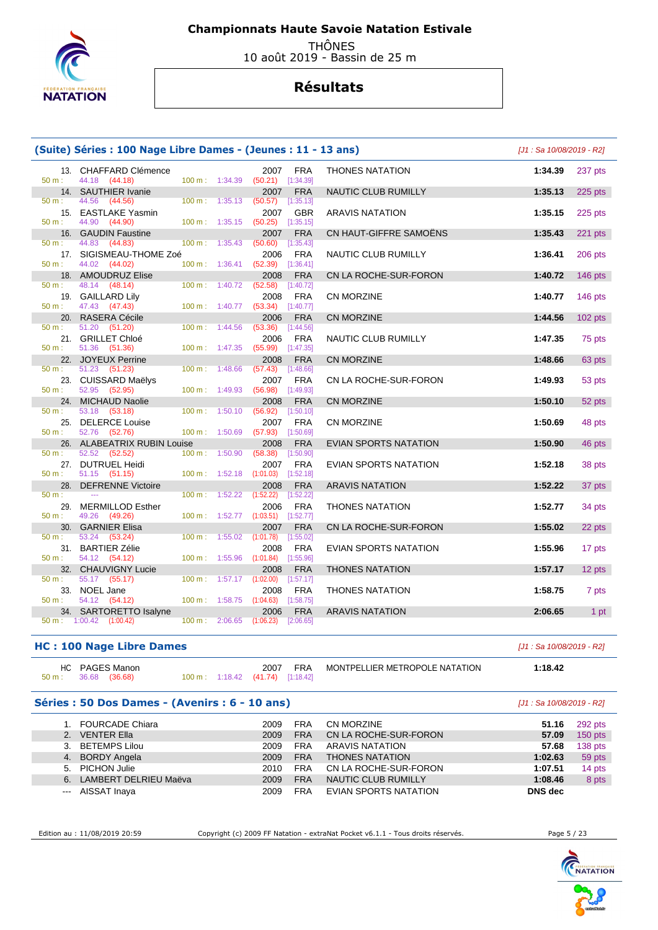

 THÔNES 10 août 2019 - Bassin de 25 m

# **Résultats**

| (Suite) Séries : 100 Nage Libre Dames - (Jeunes : 11 - 13 ans) | [J1 : Sa 10/08/2019 - R2]              |                   |                                      |                                            |                        |         |           |
|----------------------------------------------------------------|----------------------------------------|-------------------|--------------------------------------|--------------------------------------------|------------------------|---------|-----------|
| 50 m:                                                          | 13. CHAFFARD Clémence<br>44.18 (44.18) |                   | 100 m: 1:34.39                       | <b>FRA</b><br>2007<br>$(50.21)$ [1:34.39]  | <b>THONES NATATION</b> | 1:34.39 | 237 pts   |
|                                                                | 14. SAUTHIER Ivanie                    |                   |                                      | 2007<br><b>FRA</b>                         | NAUTIC CLUB RUMILLY    | 1:35.13 | 225 pts   |
| $50 m$ :                                                       | 44.56<br>(44.56)                       |                   | $100 \text{ m}: 1:35.13$             | (50.57)<br>[1:35.13]                       |                        |         |           |
|                                                                | 15. EASTLAKE Yasmin                    |                   |                                      | 2007<br><b>GBR</b>                         | <b>ARAVIS NATATION</b> | 1:35.15 | 225 pts   |
| $50 m$ :                                                       | 44.90<br>(44.90)                       |                   | 100 m: 1:35.15                       | (50.25)<br>[1:35.15]                       |                        |         |           |
| 16.<br>$50 m$ :                                                | <b>GAUDIN Faustine</b>                 | $100 m$ :         |                                      | 2007<br><b>FRA</b>                         | CN HAUT-GIFFRE SAMOENS | 1:35.43 | $221$ pts |
|                                                                | 44.83 (44.83)                          |                   | 1:35.43                              | (50.60)<br>[1:35.43]                       |                        |         |           |
| 17.<br>$50 m$ :                                                | SIGISMEAU-THOME Zoé<br>44.02 (44.02)   | 100 m: 1:36.41    |                                      | 2006<br><b>FRA</b><br>(52.39)<br>[1:36.41] | NAUTIC CLUB RUMILLY    | 1:36.41 | 206 pts   |
|                                                                | 18. AMOUDRUZ Elise                     |                   |                                      | 2008<br><b>FRA</b>                         | CN LA ROCHE-SUR-FORON  | 1:40.72 | 146 pts   |
| 50 m:                                                          | 48.14 (48.14)                          | $100 \text{ m}$ : | 1:40.72                              | (52.58)<br>[1:40.72]                       |                        |         |           |
|                                                                | 19. GAILLARD Lily                      |                   |                                      | 2008<br><b>FRA</b>                         | <b>CN MORZINE</b>      | 1:40.77 | $146$ pts |
| $50 m$ :                                                       | 47.43 (47.43)                          |                   | 100 m: 1:40.77                       | (53.34)<br>[1:40.77]                       |                        |         |           |
|                                                                | 20. RASERA Cécile                      |                   |                                      | <b>FRA</b><br>2006                         | <b>CN MORZINE</b>      | 1:44.56 | 102 pts   |
| $50 m$ :                                                       | 51.20 (51.20)                          |                   | 100 m: 1:44.56                       | (53.36)<br>[1:44.56]                       |                        |         |           |
|                                                                | 21. GRILLET Chloé                      |                   |                                      | 2006<br><b>FRA</b>                         | NAUTIC CLUB RUMILLY    | 1:47.35 | 75 pts    |
| 50 m:                                                          | 51.36 (51.36)                          |                   | 100 m: 1:47.35                       | (55.99)<br>$[1:47.35]$                     |                        |         |           |
|                                                                | 22. JOYEUX Perrine                     |                   |                                      | 2008<br><b>FRA</b>                         | <b>CN MORZINE</b>      | 1:48.66 | 63 pts    |
| 50 m:                                                          | 51.23 (51.23)                          |                   | $100 \text{ m}: 1:48.66$             | (57.43)<br>[1:48.66]                       |                        |         |           |
|                                                                | 23. CUISSARD Maëlys                    |                   |                                      | 2007<br><b>FRA</b>                         | CN LA ROCHE-SUR-FORON  | 1:49.93 | 53 pts    |
| $50 m$ :                                                       | 52.95 (52.95)                          |                   | 100 m: 1:49.93                       | (56.98)<br>[1:49.93]                       |                        |         |           |
| 50 m:                                                          | 24. MICHAUD Naolie<br>53.18 (53.18)    |                   | 100 m: 1:50.10                       | 2008<br><b>FRA</b><br>(56.92)<br>[1:50.10] | <b>CN MORZINE</b>      | 1:50.10 | 52 pts    |
| 25.                                                            | <b>DELERCE Louise</b>                  |                   |                                      | 2007<br><b>FRA</b>                         | <b>CN MORZINE</b>      | 1:50.69 | 48 pts    |
| 50 m:                                                          | 52.76 (52.76)                          |                   | 100 m: 1:50.69                       | (57.93)<br>[1:50.69]                       |                        |         |           |
|                                                                | 26. ALABEATRIX RUBIN Louise            |                   |                                      | <b>FRA</b><br>2008                         | EVIAN SPORTS NATATION  | 1:50.90 | 46 pts    |
| 50 m:                                                          | 52.52 (52.52)                          | 100 m:            | 1:50.90                              | (58.38)<br>[1:50.90]                       |                        |         |           |
|                                                                | 27. DUTRUEL Heidi                      |                   |                                      | 2007<br><b>FRA</b>                         | EVIAN SPORTS NATATION  | 1:52.18 | 38 pts    |
| 50 m:                                                          | 51.15 (51.15)                          |                   | $100 \text{ m}: 1:52.18$             | (1:01.03)<br>[1:52.18]                     |                        |         |           |
| 28.                                                            | <b>DEFRENNE Victoire</b>               |                   |                                      | 2008<br><b>FRA</b>                         | <b>ARAVIS NATATION</b> | 1:52.22 | 37 pts    |
| $50 m$ :                                                       | $\sim$                                 |                   | 100 m: 1:52.22                       | (1:52.22)<br>[1:52.22]                     |                        |         |           |
| 29.                                                            | <b>MERMILLOD Esther</b>                |                   |                                      | <b>FRA</b><br>2006                         | <b>THONES NATATION</b> | 1:52.77 | 34 pts    |
| $50 m$ :                                                       | 49.26<br>(49.26)                       |                   | $100 m$ : 1:52.77                    | (1:03.51)<br>[1:52.77]                     |                        |         |           |
| 30.                                                            | <b>GARNIER Elisa</b>                   |                   |                                      | <b>FRA</b><br>2007                         | CN LA ROCHE-SUR-FORON  | 1:55.02 | 22 pts    |
| 50 m:                                                          | 53.24<br>(53.24)                       | $100 \text{ m}$ : | 1:55.02                              | (1:01.78)<br>[1:55.02]                     |                        |         |           |
|                                                                | 31. BARTIER Zélie                      |                   |                                      | 2008<br><b>FRA</b>                         | EVIAN SPORTS NATATION  | 1:55.96 | 17 pts    |
| 50 m:                                                          | 54.12 (54.12)                          |                   | 100 m: 1:55.96                       | (1:01.84)<br>[1:55.96]                     |                        |         |           |
| 50 m:                                                          | 32. CHAUVIGNY Lucie<br>55.17 (55.17)   |                   | $100 \text{ m}: 1:57.17$ $(1:02.00)$ | 2008<br><b>FRA</b><br>[1:57.17]            | <b>THONES NATATION</b> | 1:57.17 | 12 pts    |
|                                                                | 33. NOEL Jane                          |                   |                                      | 2008<br><b>FRA</b>                         | <b>THONES NATATION</b> | 1:58.75 | 7 pts     |
| $50 m$ :                                                       | 54.12 (54.12)                          |                   | $100 \text{ m}: 1:58.75$             | (1:04.63)<br>[1:58.75]                     |                        |         |           |
|                                                                | 34. SARTORETTO Isalyne                 |                   |                                      | <b>FRA</b><br>2006                         | <b>ARAVIS NATATION</b> | 2:06.65 | 1 pt      |
|                                                                | $50 \text{ m}: 1:00.42$ $(1:00.42)$    |                   | $100 \text{ m}: 2:06.65$ $(1:06.23)$ | [2:06.65]                                  |                        |         |           |

### **HC : 100 Nage Libre Dames** [J1 : Sa 10/08/2019 - R2]

|       | HC PAGES Manon |  | 2007                                           | <b>FRA</b> | MONTPELLIER METROPOLE NATATION | 1:18.42 |
|-------|----------------|--|------------------------------------------------|------------|--------------------------------|---------|
| 50 m: | 36.68 (36.68)  |  | $100 \text{ m}: 1:18.42$ $(41.74)$ $[1:18.42]$ |            |                                |         |

### **Séries : 50 Dos Dames - (Avenirs : 6 - 10 ans)** [J1 : Sa 10/08/2019 - R2]

|    | 1. FOURCADE Chiara    | 2009 | FRA        | CN MORZINE             | 51.16          | 292 pts   |
|----|-----------------------|------|------------|------------------------|----------------|-----------|
|    | 2. VENTER Ella        | 2009 | <b>FRA</b> | CN LA ROCHE-SUR-FORON  | 57.09          | $150$ pts |
|    | 3. BETEMPS Lilou      | 2009 | <b>FRA</b> | ARAVIS NATATION        | 57.68          | 138 pts   |
|    | 4. BORDY Angela       | 2009 | <b>FRA</b> | <b>THONES NATATION</b> | 1:02.63        | 59 pts    |
|    | 5. PICHON Julie       | 2010 | <b>FRA</b> | CN LA ROCHE-SUR-FORON  | 1:07.51        | 14 pts    |
| 6. | LAMBERT DELRIEU Maëva | 2009 | <b>FRA</b> | NAUTIC CLUB RUMILLY    | 1:08.46        | 8 pts     |
|    | --- AISSAT Inaya      | 2009 | <b>FRA</b> | EVIAN SPORTS NATATION  | <b>DNS</b> dec |           |

Edition au : 11/08/2019 20:59 Copyright (c) 2009 FF Natation - extraNat Pocket v6.1.1 - Tous droits réservés. Page 5 / 23

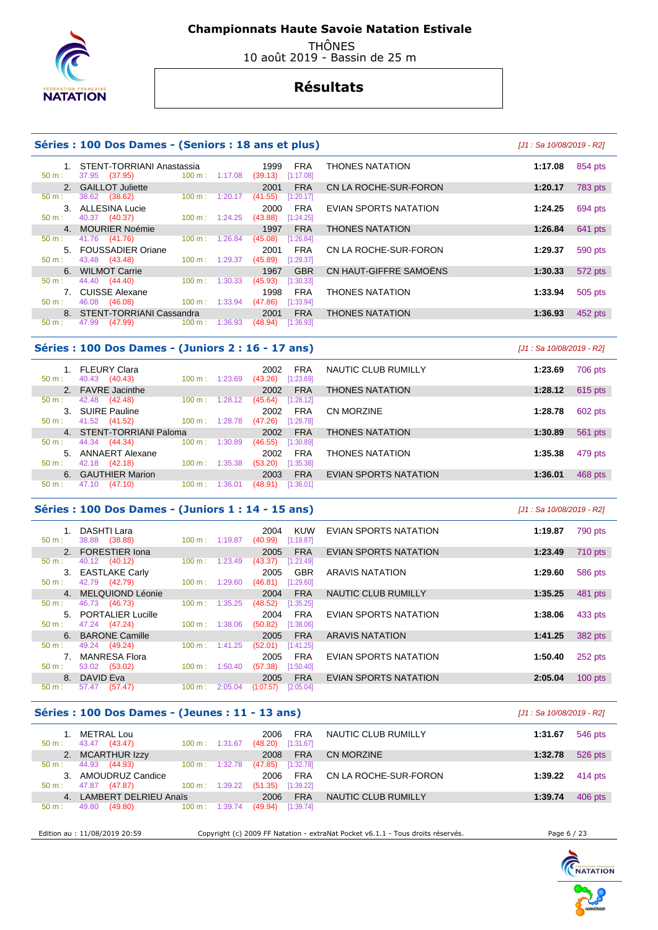

50 m : 37.95 (37.95) 100 m : 1:17.08 (39.13) [1:17.08]

40.37 (40.37)

 **Championnats Haute Savoie Natation Estivale** 

 THÔNES 10 août 2019 - Bassin de 25 m

# **Résultats**

#### **Séries : 100 Dos Dames - (Seniors : 18 ans et plus)** [J1 : Sa 10/08/2019 - R2]

### 1. STENT-TORRIANI Anastassia 1999 FRA THONES NATATION **1:17.08** 854 pts 2. GAILLOT Juliette **2001 FRA** CN LA ROCHE-SUR-FORON **1:20.17** 783 pts **50 m**: 38.62 (38.62) 100 m: 1:20.17 (41.55) [1:20.17] 50 m : 38.62 (38.62) 100 m : 1:20.17 (41.55) [1:20.17] 3. ALLESINA Lucie 2000 FRA EVIAN SPORTS NATATION **1:24.25** 694 pts 4. MOURIER Noémie 1997 FRA THONES NATATION **1:26.84** 641 pts 50 m : 41.76 (41.76) 100 m : 1:26.84 (45.08) [1:26.84] 5. FOUSSADIER Oriane 2001 FRA CN LA ROCHE-SUR-FORON **1:29.37** 590 pts 6. WILMOT Carrie 1967 GBR CN HAUT-GIFFRE SAMOËNS **1:30.33** 572 pts 44.40 (44.40) 100 m : 1:30.33 (45.93) [1:30.33] 7. CUISSE Alexane 1998 FRA THONES NATATION **1:33.94** 505 pts 50 m : 46.08 (46.08) 100 m : 1:33.94 (47.86) [1:33.94] 8. STENT-TORRIANI Cassandra 2001 FRA THONES NATATION **1:36.93 1:36.93 1:36.93 1:36.93 1:36.93 1:36.93 1:36.93 1:36.93 1:36.93 1:36.93 1:36.93 1:36.93 1:36.93 1:36.93 1:36.93 1:36.93 1:36.93**

#### **Séries : 100 Dos Dames - (Juniors 2 : 16 - 17 ans)** [J1 : Sa 10/08/2019 - R2]

47.99 (47.99) 100 m : 1:36.93 (48.94) [1:36.93]

 $100 m : 1:29.37$ 

| $50 \text{ m}$ : | FLEURY Clara<br>40.43<br>(40.43) | 100 m:<br>1:23.69            | 2002<br><b>FRA</b><br>[1:23.69]<br>(43.26) | NAUTIC CLUB RUMILLY          | 1:23.69<br>706 pts   |  |
|------------------|----------------------------------|------------------------------|--------------------------------------------|------------------------------|----------------------|--|
|                  | 2. FAVRE Jacinthe                |                              | <b>FRA</b><br>2002                         | <b>THONES NATATION</b>       | 1:28.12<br>$615$ pts |  |
| $50 \text{ m}$ : | 42.48<br>(42.48)                 | $100 \text{ m}$ :<br>1:28.12 | [1:28.12]<br>(45.64)                       |                              |                      |  |
|                  | 3. SUIRE Pauline                 |                              | <b>FRA</b><br>2002                         | CN MORZINE                   | 602 pts<br>1:28.78   |  |
| $50 \text{ m}$ : | 41.52<br>(41.52)                 | 100 m:<br>1:28.78            | (47.26)<br>[1:28.78]                       |                              |                      |  |
|                  | 4. STENT-TORRIANI Paloma         |                              | 2002<br><b>FRA</b>                         | <b>THONES NATATION</b>       | 1:30.89<br>561 pts   |  |
| $50 \text{ m}$ : | 44.34<br>(44.34)                 | 100 m:<br>1:30.89            | (46.55)<br>[1:30.89]                       |                              |                      |  |
| 5.               | ANNAERT Alexane                  |                              | <b>FRA</b><br>2002                         | <b>THONES NATATION</b>       | 1:35.38<br>479 pts   |  |
| 50 m:            | 42.18<br>(42.18)                 | 100 m:<br>1:35.38            | [1:35.38]<br>(53.20)                       |                              |                      |  |
|                  | 6. GAUTHIER Marion               |                              | <b>FRA</b><br>2003                         | <b>EVIAN SPORTS NATATION</b> | 1:36.01<br>468 pts   |  |
| $50 m$ :         | (47.10)<br>47.10                 | 100 m:<br>1:36.01            | [1:36.01]<br>(48.91)                       |                              |                      |  |
|                  |                                  |                              |                                            |                              |                      |  |

#### **Séries : 100 Dos Dames - (Juniors 1 : 14 - 15 ans)** [J1 : Sa 10/08/2019 - R2]

|          | <b>DASHTI Lara</b>   |                              | 2004<br><b>KUW</b>     | EVIAN SPORTS NATATION      | 1:19.87 | 790 pts   |
|----------|----------------------|------------------------------|------------------------|----------------------------|---------|-----------|
| $50 m$ : | 38.88 (38.88)        | $100 \text{ m}$ : 1:19.87    | [1:19.87]<br>(40.99)   |                            |         |           |
|          | 2. FORESTIER Iona    |                              | <b>FRA</b><br>2005     | EVIAN SPORTS NATATION      | 1:23.49 | 710 pts   |
| 50 m:    | 40.12 (40.12)        | 1:23.49<br>$100 \text{ m}$ : | (43.37)<br>[1:23.49]   |                            |         |           |
|          | 3. EASTLAKE Carly    |                              | <b>GBR</b><br>2005     | <b>ARAVIS NATATION</b>     | 1:29.60 | 586 pts   |
| $50 m$ : | 42.79 (42.79)        | 1:29.60<br>$100 \text{ m}$ : | (46.81)<br>[1:29.60]   |                            |         |           |
|          | 4. MELQUIOND Léonie  |                              | <b>FRA</b><br>2004     | <b>NAUTIC CLUB RUMILLY</b> | 1:35.25 | 481 pts   |
| 50 m :   | 46.73<br>(46.73)     | 1:35.25<br>100 m:            | (48.52)<br>[1:35.25]   |                            |         |           |
|          | 5. PORTALIER Lucille |                              | <b>FRA</b><br>2004     | EVIAN SPORTS NATATION      | 1:38.06 | 433 pts   |
| $50 m$ : | 47.24 (47.24)        | $100 \text{ m}$ :<br>1:38.06 | (50.82)<br>[1:38.06]   |                            |         |           |
|          | 6. BARONE Camille    |                              | <b>FRA</b><br>2005     | <b>ARAVIS NATATION</b>     | 1:41.25 | 382 pts   |
| $50 m$ : | 49.24 (49.24)        | $100 \text{ m}$ :<br>1:41.25 | (52.01)<br>[1:41.25]   |                            |         |           |
|          | <b>MANRESA Flora</b> |                              | <b>FRA</b><br>2005     | EVIAN SPORTS NATATION      | 1:50.40 | 252 pts   |
| $50 m$ : | 53.02<br>(53.02)     | $100 \text{ m}$ :<br>1:50.40 | (57.38)<br>[1:50.40]   |                            |         |           |
|          | 8. DAVID Eva         |                              | <b>FRA</b><br>2005     | EVIAN SPORTS NATATION      | 2:05.04 | $100$ pts |
| $50 m$ : | (57.47)<br>57.47     | 100 m:<br>2:05.04            | (1:07.57)<br>[2:05.04] |                            |         |           |
|          |                      |                              |                        |                            |         |           |

#### **Séries : 100 Dos Dames - (Jeunes : 11 - 13 ans)** [J1 : Sa 10/08/2019 - R2]

| . METRAL Lou<br>43.47 (43.47)<br>$50 m$ : | $100 \text{ m}$ :<br>1:31.67 | <b>FRA</b><br>2006<br>[1:31.67]<br>(48.20) | NAUTIC CLUB RUMILLY   | 546 pts<br>1:31.67   |
|-------------------------------------------|------------------------------|--------------------------------------------|-----------------------|----------------------|
| 2. MCARTHUR Izzy                          |                              | <b>FRA</b><br>2008                         | CN MORZINE            | 526 pts<br>1:32.78   |
| 44.93 (44.93)<br>$50 \text{ m}$ :         | 1:32.78<br>$100 \text{ m}$ : | (47.85)<br>[1:32.78]                       |                       |                      |
| 3. AMOUDRUZ Candice                       |                              | <b>FRA</b><br>2006                         | CN LA ROCHE-SUR-FORON | $414$ pts<br>1:39.22 |
| 47.87<br>(47.87)<br>$50 m$ :              | 1:39.22<br>$100 \text{ m}$ : | (51.35)<br>[1:39.22]                       |                       |                      |
| LAMBERT DELRIEU Anaïs<br>$\overline{4}$   |                              | <b>FRA</b><br>2006                         | NAUTIC CLUB RUMILLY   | 406 pts<br>1:39.74   |
| 49.80<br>(49.80)<br>$50 m$ :              | 1:39.74<br>100 m:            | [1:39.74]<br>(49.94)                       |                       |                      |
|                                           |                              |                                            |                       |                      |

Edition au : 11/08/2019 20:59 Copyright (c) 2009 FF Natation - extraNat Pocket v6.1.1 - Tous droits réservés. Page 6 / 23

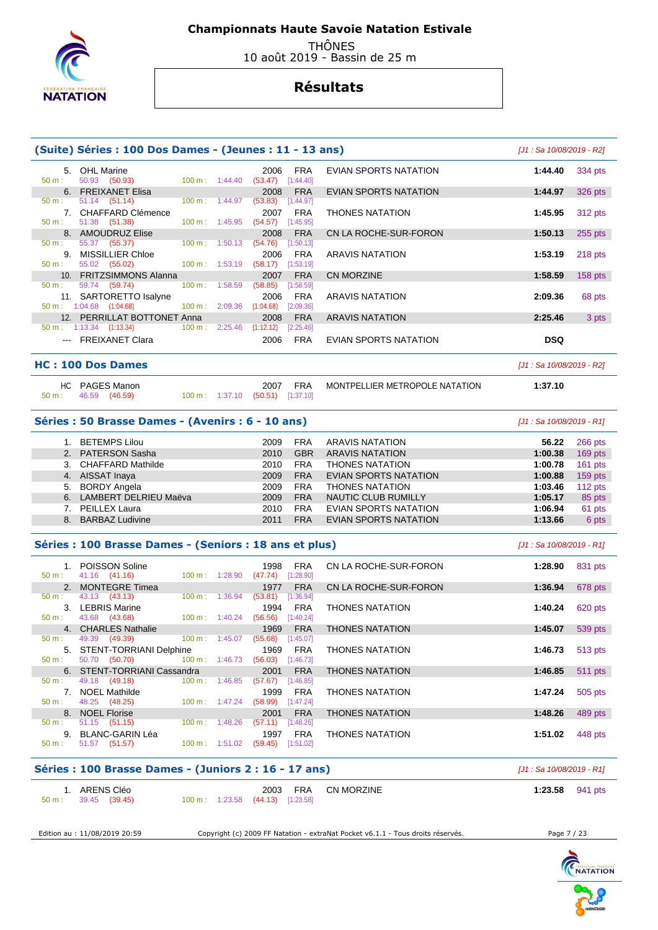

 THÔNES 10 août 2019 - Bassin de 25 m

# **Résultats**

| 5. OHL Marine<br>50.93 (50.93)<br>6. FREIXANET Elisa<br>51.14 (51.14)<br>7. CHAFFARD Clémence<br>51.38 (51.38)<br>8. AMOUDRUZ Elise<br>55.37 (55.37)<br>9. MISSILLIER Chloe<br>55.02 (55.02)<br>10. FRITZSIMMONS Alanna<br>59.74 (59.74)<br>11. SARTORETTO Isalyne<br>50 m: 1:04.68 (1:04.68)<br>12. PERRILLAT BOTTONET Anna<br>$50 \text{ m}: 1:13.34$ $(1:13.34)$<br>--- FREIXANET Clara<br><b>HC: 100 Dos Dames</b><br>PAGES Manon<br>46.59<br>(46.59)<br>Séries : 50 Brasse Dames - (Avenirs : 6 - 10 ans) | $100 \text{ m}: 1:44.40$<br>$100 \text{ m}: 1:44.97$<br>$100 m$ : 1:45.95<br>100 m:<br>100 m: 1:53.19<br>$100 \text{ m}$ :<br>$100 \text{ m}$ :<br>$100 \text{ m}$ :<br>$100 \text{ m}: 1:37.10$ | 1:50.13<br>1:58.59<br>2:09.36<br>2:25.46 | 2006<br>(53.47)<br>2008<br>(53.83)<br>2007<br>(54.57)<br>2008<br>(54.76)<br>2006<br>(58.17)<br>2007<br>(58.85)<br>2006<br>(1:04.68)<br>2008<br>(1:12.12)<br>2006 | <b>FRA</b><br>[1:44.40]<br><b>FRA</b><br>[1:44.97]<br><b>FRA</b><br>[1:45.95]<br><b>FRA</b><br>[1:50.13]<br><b>FRA</b><br>[1:53.19]<br><b>FRA</b><br>[1:58.59]<br><b>FRA</b><br>[2:09.36]<br><b>FRA</b><br>[2:25.46]<br><b>FRA</b> | <b>EVIAN SPORTS NATATION</b><br><b>EVIAN SPORTS NATATION</b><br><b>THONES NATATION</b><br>CN LA ROCHE-SUR-FORON<br><b>ARAVIS NATATION</b><br><b>CN MORZINE</b><br><b>ARAVIS NATATION</b><br><b>ARAVIS NATATION</b><br><b>EVIAN SPORTS NATATION</b> | 1:44.40<br>1:44.97<br>1:45.95<br>1:50.13<br>1:53.19<br>1:58.59<br>2:09.36<br>2:25.46<br><b>DSQ</b><br>[J1 : Sa 10/08/2019 - R2]                    | 334 pts<br>326 pts<br>312 pts<br>$255$ pts<br>218 pts<br>$158$ pts<br>68 pts<br>3 pts |
|----------------------------------------------------------------------------------------------------------------------------------------------------------------------------------------------------------------------------------------------------------------------------------------------------------------------------------------------------------------------------------------------------------------------------------------------------------------------------------------------------------------|--------------------------------------------------------------------------------------------------------------------------------------------------------------------------------------------------|------------------------------------------|------------------------------------------------------------------------------------------------------------------------------------------------------------------|------------------------------------------------------------------------------------------------------------------------------------------------------------------------------------------------------------------------------------|----------------------------------------------------------------------------------------------------------------------------------------------------------------------------------------------------------------------------------------------------|----------------------------------------------------------------------------------------------------------------------------------------------------|---------------------------------------------------------------------------------------|
|                                                                                                                                                                                                                                                                                                                                                                                                                                                                                                                |                                                                                                                                                                                                  |                                          |                                                                                                                                                                  |                                                                                                                                                                                                                                    |                                                                                                                                                                                                                                                    |                                                                                                                                                    |                                                                                       |
|                                                                                                                                                                                                                                                                                                                                                                                                                                                                                                                |                                                                                                                                                                                                  |                                          |                                                                                                                                                                  |                                                                                                                                                                                                                                    |                                                                                                                                                                                                                                                    |                                                                                                                                                    |                                                                                       |
|                                                                                                                                                                                                                                                                                                                                                                                                                                                                                                                |                                                                                                                                                                                                  |                                          |                                                                                                                                                                  |                                                                                                                                                                                                                                    |                                                                                                                                                                                                                                                    |                                                                                                                                                    |                                                                                       |
|                                                                                                                                                                                                                                                                                                                                                                                                                                                                                                                |                                                                                                                                                                                                  |                                          |                                                                                                                                                                  |                                                                                                                                                                                                                                    |                                                                                                                                                                                                                                                    |                                                                                                                                                    |                                                                                       |
|                                                                                                                                                                                                                                                                                                                                                                                                                                                                                                                |                                                                                                                                                                                                  |                                          |                                                                                                                                                                  |                                                                                                                                                                                                                                    |                                                                                                                                                                                                                                                    |                                                                                                                                                    |                                                                                       |
|                                                                                                                                                                                                                                                                                                                                                                                                                                                                                                                |                                                                                                                                                                                                  |                                          |                                                                                                                                                                  |                                                                                                                                                                                                                                    |                                                                                                                                                                                                                                                    |                                                                                                                                                    |                                                                                       |
|                                                                                                                                                                                                                                                                                                                                                                                                                                                                                                                |                                                                                                                                                                                                  |                                          |                                                                                                                                                                  |                                                                                                                                                                                                                                    |                                                                                                                                                                                                                                                    |                                                                                                                                                    |                                                                                       |
|                                                                                                                                                                                                                                                                                                                                                                                                                                                                                                                |                                                                                                                                                                                                  |                                          |                                                                                                                                                                  |                                                                                                                                                                                                                                    |                                                                                                                                                                                                                                                    |                                                                                                                                                    |                                                                                       |
|                                                                                                                                                                                                                                                                                                                                                                                                                                                                                                                |                                                                                                                                                                                                  |                                          |                                                                                                                                                                  |                                                                                                                                                                                                                                    |                                                                                                                                                                                                                                                    |                                                                                                                                                    |                                                                                       |
|                                                                                                                                                                                                                                                                                                                                                                                                                                                                                                                |                                                                                                                                                                                                  |                                          |                                                                                                                                                                  |                                                                                                                                                                                                                                    |                                                                                                                                                                                                                                                    |                                                                                                                                                    |                                                                                       |
|                                                                                                                                                                                                                                                                                                                                                                                                                                                                                                                |                                                                                                                                                                                                  |                                          |                                                                                                                                                                  |                                                                                                                                                                                                                                    |                                                                                                                                                                                                                                                    |                                                                                                                                                    |                                                                                       |
|                                                                                                                                                                                                                                                                                                                                                                                                                                                                                                                |                                                                                                                                                                                                  |                                          |                                                                                                                                                                  |                                                                                                                                                                                                                                    |                                                                                                                                                                                                                                                    |                                                                                                                                                    |                                                                                       |
|                                                                                                                                                                                                                                                                                                                                                                                                                                                                                                                |                                                                                                                                                                                                  |                                          |                                                                                                                                                                  |                                                                                                                                                                                                                                    |                                                                                                                                                                                                                                                    |                                                                                                                                                    |                                                                                       |
|                                                                                                                                                                                                                                                                                                                                                                                                                                                                                                                |                                                                                                                                                                                                  |                                          |                                                                                                                                                                  |                                                                                                                                                                                                                                    |                                                                                                                                                                                                                                                    |                                                                                                                                                    |                                                                                       |
|                                                                                                                                                                                                                                                                                                                                                                                                                                                                                                                |                                                                                                                                                                                                  |                                          | 2007                                                                                                                                                             | FRA                                                                                                                                                                                                                                | MONTPELLIER METROPOLE NATATION                                                                                                                                                                                                                     | 1:37.10                                                                                                                                            |                                                                                       |
|                                                                                                                                                                                                                                                                                                                                                                                                                                                                                                                |                                                                                                                                                                                                  |                                          | $(50.51)$ [1:37.10]                                                                                                                                              |                                                                                                                                                                                                                                    |                                                                                                                                                                                                                                                    |                                                                                                                                                    |                                                                                       |
|                                                                                                                                                                                                                                                                                                                                                                                                                                                                                                                |                                                                                                                                                                                                  |                                          |                                                                                                                                                                  |                                                                                                                                                                                                                                    |                                                                                                                                                                                                                                                    | $[J1: Sa 10/08/2019 - R1]$                                                                                                                         |                                                                                       |
| 1. BETEMPS Lilou                                                                                                                                                                                                                                                                                                                                                                                                                                                                                               |                                                                                                                                                                                                  |                                          | 2009                                                                                                                                                             | <b>FRA</b>                                                                                                                                                                                                                         | ARAVIS NATATION                                                                                                                                                                                                                                    | 56.22                                                                                                                                              | 266 pts                                                                               |
| 2. PATERSON Sasha                                                                                                                                                                                                                                                                                                                                                                                                                                                                                              |                                                                                                                                                                                                  |                                          | 2010                                                                                                                                                             | <b>GBR</b>                                                                                                                                                                                                                         | <b>ARAVIS NATATION</b>                                                                                                                                                                                                                             | 1:00.38                                                                                                                                            | $169$ pts                                                                             |
| 3. CHAFFARD Mathilde                                                                                                                                                                                                                                                                                                                                                                                                                                                                                           |                                                                                                                                                                                                  |                                          | 2010                                                                                                                                                             | <b>FRA</b>                                                                                                                                                                                                                         | THONES NATATION                                                                                                                                                                                                                                    | 1:00.78                                                                                                                                            | $161$ pts                                                                             |
| 4. AISSAT Inaya                                                                                                                                                                                                                                                                                                                                                                                                                                                                                                |                                                                                                                                                                                                  |                                          | 2009                                                                                                                                                             | <b>FRA</b>                                                                                                                                                                                                                         | EVIAN SPORTS NATATION                                                                                                                                                                                                                              | 1:00.88                                                                                                                                            | 159 pts                                                                               |
| 5. BORDY Angela                                                                                                                                                                                                                                                                                                                                                                                                                                                                                                |                                                                                                                                                                                                  |                                          | 2009                                                                                                                                                             | <b>FRA</b>                                                                                                                                                                                                                         | <b>THONES NATATION</b>                                                                                                                                                                                                                             | 1:03.46                                                                                                                                            | $112$ pts                                                                             |
| 6. LAMBERT DELRIEU Maëva                                                                                                                                                                                                                                                                                                                                                                                                                                                                                       |                                                                                                                                                                                                  |                                          | 2009                                                                                                                                                             | <b>FRA</b>                                                                                                                                                                                                                         | <b>NAUTIC CLUB RUMILLY</b>                                                                                                                                                                                                                         | 1:05.17                                                                                                                                            | 85 pts                                                                                |
| 7. PEILLEX Laura                                                                                                                                                                                                                                                                                                                                                                                                                                                                                               |                                                                                                                                                                                                  |                                          | 2010                                                                                                                                                             | <b>FRA</b>                                                                                                                                                                                                                         | EVIAN SPORTS NATATION                                                                                                                                                                                                                              | 1:06.94                                                                                                                                            | 61 pts                                                                                |
| 8. BARBAZ Ludivine                                                                                                                                                                                                                                                                                                                                                                                                                                                                                             |                                                                                                                                                                                                  |                                          | 2011                                                                                                                                                             | <b>FRA</b>                                                                                                                                                                                                                         | <b>EVIAN SPORTS NATATION</b>                                                                                                                                                                                                                       | 1:13.66                                                                                                                                            | 6 pts                                                                                 |
| Séries : 100 Brasse Dames - (Seniors : 18 ans et plus)                                                                                                                                                                                                                                                                                                                                                                                                                                                         |                                                                                                                                                                                                  |                                          |                                                                                                                                                                  |                                                                                                                                                                                                                                    |                                                                                                                                                                                                                                                    | [J1 : Sa 10/08/2019 - R1]                                                                                                                          |                                                                                       |
| 1. POISSON Soline<br>41.16 (41.16)                                                                                                                                                                                                                                                                                                                                                                                                                                                                             | 100 m:                                                                                                                                                                                           | 1:28.90                                  | 1998<br>$(47.74)$ [1:28.90]                                                                                                                                      | <b>FRA</b>                                                                                                                                                                                                                         | CN LA ROCHE-SUR-FORON                                                                                                                                                                                                                              | 1:28.90                                                                                                                                            | 831 pts                                                                               |
| <b>MONTEGRE Timea</b>                                                                                                                                                                                                                                                                                                                                                                                                                                                                                          |                                                                                                                                                                                                  |                                          | 1977                                                                                                                                                             | <b>FRA</b>                                                                                                                                                                                                                         | CN LA ROCHE-SUR-FORON                                                                                                                                                                                                                              | 1:36.94                                                                                                                                            | 678 pts                                                                               |
| 43.13 (43.13)                                                                                                                                                                                                                                                                                                                                                                                                                                                                                                  | 100 m: 1:36.94                                                                                                                                                                                   |                                          | (53.81)                                                                                                                                                          | [1:36.94]                                                                                                                                                                                                                          |                                                                                                                                                                                                                                                    |                                                                                                                                                    |                                                                                       |
| 3. LEBRIS Marine<br>$50 \text{ m}: 43.68 (43.68)$                                                                                                                                                                                                                                                                                                                                                                                                                                                              |                                                                                                                                                                                                  |                                          | 1994<br>$100 \text{ m}$ : 1:40.24 (56.56) [1:40.24]                                                                                                              | FRA                                                                                                                                                                                                                                | <b>THONES NATATION</b>                                                                                                                                                                                                                             | 1:40.24                                                                                                                                            | 620 pts                                                                               |
| 4. CHARLES Nathalie                                                                                                                                                                                                                                                                                                                                                                                                                                                                                            |                                                                                                                                                                                                  |                                          | 1969                                                                                                                                                             | <b>FRA</b>                                                                                                                                                                                                                         | <b>THONES NATATION</b>                                                                                                                                                                                                                             | 1:45.07                                                                                                                                            | 539 pts                                                                               |
| 49.39<br>(49.39)                                                                                                                                                                                                                                                                                                                                                                                                                                                                                               | 100 m: 1:45.07                                                                                                                                                                                   |                                          | (55.68)                                                                                                                                                          | [1:45.07]                                                                                                                                                                                                                          |                                                                                                                                                                                                                                                    |                                                                                                                                                    |                                                                                       |
| 5. STENT-TORRIANI Delphine                                                                                                                                                                                                                                                                                                                                                                                                                                                                                     |                                                                                                                                                                                                  |                                          | 1969                                                                                                                                                             | <b>FRA</b>                                                                                                                                                                                                                         | <b>THONES NATATION</b>                                                                                                                                                                                                                             | 1:46.73                                                                                                                                            | 513 pts                                                                               |
| 50.70 (50.70)<br>6. STENT-TORRIANI Cassandra                                                                                                                                                                                                                                                                                                                                                                                                                                                                   |                                                                                                                                                                                                  |                                          | $100 \text{ m}: 1:46.73$ (56.03)                                                                                                                                 | [1:46.73]                                                                                                                                                                                                                          | <b>THONES NATATION</b>                                                                                                                                                                                                                             |                                                                                                                                                    |                                                                                       |
| 49.18 (49.18)                                                                                                                                                                                                                                                                                                                                                                                                                                                                                                  | $100 m$ : 1:46.85                                                                                                                                                                                |                                          | 2001<br>(57.67)                                                                                                                                                  | <b>FRA</b><br>[1:46.85]                                                                                                                                                                                                            |                                                                                                                                                                                                                                                    | 1:46.85                                                                                                                                            | <b>511 pts</b>                                                                        |
| 7. NOEL Mathilde                                                                                                                                                                                                                                                                                                                                                                                                                                                                                               |                                                                                                                                                                                                  |                                          | 1999                                                                                                                                                             | <b>FRA</b>                                                                                                                                                                                                                         | <b>THONES NATATION</b>                                                                                                                                                                                                                             | 1:47.24                                                                                                                                            | 505 pts                                                                               |
|                                                                                                                                                                                                                                                                                                                                                                                                                                                                                                                |                                                                                                                                                                                                  |                                          |                                                                                                                                                                  |                                                                                                                                                                                                                                    |                                                                                                                                                                                                                                                    |                                                                                                                                                    | 489 pts                                                                               |
| $51.15$ $(51.15)$                                                                                                                                                                                                                                                                                                                                                                                                                                                                                              |                                                                                                                                                                                                  |                                          |                                                                                                                                                                  |                                                                                                                                                                                                                                    |                                                                                                                                                                                                                                                    |                                                                                                                                                    |                                                                                       |
| 9. BLANC-GARIN Léa                                                                                                                                                                                                                                                                                                                                                                                                                                                                                             |                                                                                                                                                                                                  |                                          | 1997                                                                                                                                                             | <b>FRA</b>                                                                                                                                                                                                                         | <b>THONES NATATION</b>                                                                                                                                                                                                                             | 1:51.02                                                                                                                                            | 448 pts                                                                               |
|                                                                                                                                                                                                                                                                                                                                                                                                                                                                                                                |                                                                                                                                                                                                  |                                          |                                                                                                                                                                  |                                                                                                                                                                                                                                    |                                                                                                                                                                                                                                                    |                                                                                                                                                    |                                                                                       |
| 51.57 (51.57)                                                                                                                                                                                                                                                                                                                                                                                                                                                                                                  |                                                                                                                                                                                                  |                                          |                                                                                                                                                                  |                                                                                                                                                                                                                                    |                                                                                                                                                                                                                                                    | [J1 : Sa 10/08/2019 - R1]                                                                                                                          |                                                                                       |
|                                                                                                                                                                                                                                                                                                                                                                                                                                                                                                                |                                                                                                                                                                                                  |                                          | 2003                                                                                                                                                             | <b>FRA</b>                                                                                                                                                                                                                         | CN MORZINE                                                                                                                                                                                                                                         | 1:23.58                                                                                                                                            | 941 pts                                                                               |
|                                                                                                                                                                                                                                                                                                                                                                                                                                                                                                                | 48.25 (48.25)<br>8. NOEL Florise                                                                                                                                                                 | 1. ARENS Cléo                            | $100 m$ : $1:47.24$<br>100 m: 1:48.26                                                                                                                            | 2001<br>$100 \text{ m}: 1:51.02$                                                                                                                                                                                                   | $(58.99)$ [1:47.24]<br><b>FRA</b><br>$(57.11)$ [1:48.26]<br>$(59.45)$ [1:51.02]                                                                                                                                                                    | <b>THONES NATATION</b><br>Séries : 100 Brasse Dames - (Juniors 2 : 16 - 17 ans)<br>39.45 (39.45)<br>$100 \text{ m}: 1:23.58$ $(44.13)$ $[1:23.58]$ | 1:48.26                                                                               |



Edition au : 11/08/2019 20:59 Copyright (c) 2009 FF Natation - extraNat Pocket v6.1.1 - Tous droits réservés. Page 7 / 23

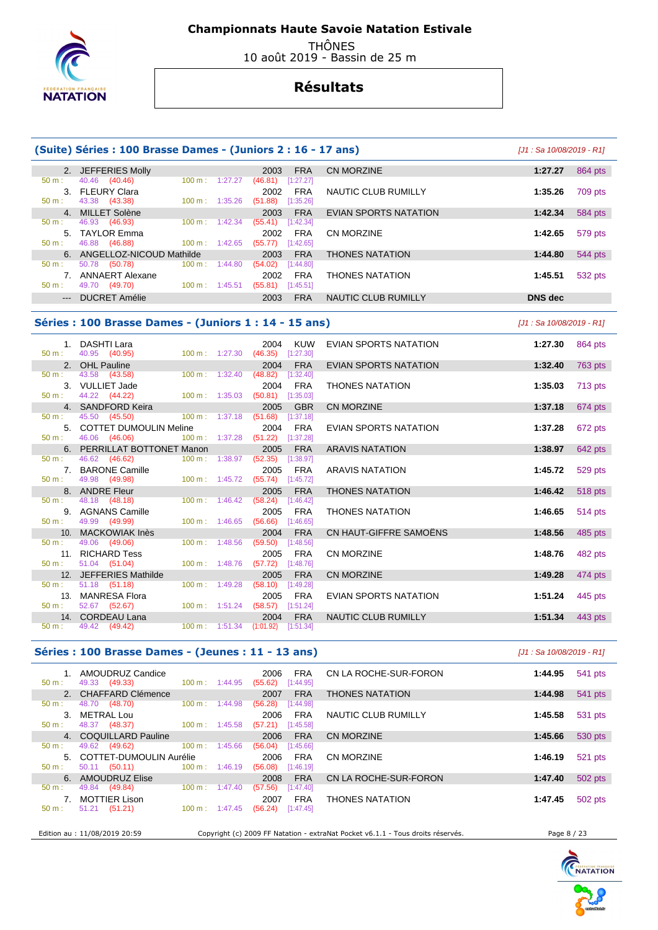

 THÔNES 10 août 2019 - Bassin de 25 m

# **Résultats**

|                | (Suite) Séries : 100 Brasse Dames - (Juniors 2 : 16 - 17 ans) |                          |         |                 |                         |                              |                           |                |
|----------------|---------------------------------------------------------------|--------------------------|---------|-----------------|-------------------------|------------------------------|---------------------------|----------------|
|                | 2. JEFFERIES Molly                                            |                          |         | 2003            | <b>FRA</b>              | <b>CN MORZINE</b>            | 1:27.27                   | 864 pts        |
| $50 m$ :       | 40.46<br>(40.46)                                              | $100 \text{ m}$ :        | 1:27.27 | (46.81)         | $[1:27.27]$             |                              |                           |                |
|                | 3. FLEURY Clara                                               |                          |         | 2002            | <b>FRA</b>              | NAUTIC CLUB RUMILLY          | 1:35.26                   | 709 pts        |
| 50 m:          | 43.38<br>(43.38)                                              | 100 m: 1:35.26           |         | (51.88)         | [1:35.26]               |                              |                           |                |
| 4.             | MILLET Solène                                                 |                          |         | 2003            | <b>FRA</b>              | EVIAN SPORTS NATATION        | 1:42.34                   | 584 pts        |
| 50 m:          | 46.93<br>(46.93)                                              | 100 m:                   | 1:42.34 | (55.41)         | [1:42.34]               |                              |                           |                |
|                | 5. TAYLOR Emma                                                |                          |         | 2002            | <b>FRA</b>              | <b>CN MORZINE</b>            | 1:42.65                   | 579 pts        |
| 50 m:          | 46.88 (46.88)                                                 | 100 m:                   | 1:42.65 | (55.77)         | [1:42.65]               |                              |                           |                |
| 6.             | ANGELLOZ-NICOUD Mathilde                                      |                          |         | 2003            | <b>FRA</b>              | <b>THONES NATATION</b>       | 1:44.80                   | 544 pts        |
| $50 m$ :       | 50.78 (50.78)                                                 | 100 m:                   | 1:44.80 | (54.02)         | [1:44.80]               |                              |                           |                |
|                | 7. ANNAERT Alexane                                            |                          |         | 2002            | <b>FRA</b>              | <b>THONES NATATION</b>       | 1:45.51                   | 532 pts        |
| $50 m$ :       | 49.70 (49.70)                                                 | $100 m$ : 1:45.51        |         | (55.81)         | [1:45.51]               |                              |                           |                |
| $\overline{a}$ | <b>DUCRET Amélie</b>                                          |                          |         | 2003            | <b>FRA</b>              | NAUTIC CLUB RUMILLY          | <b>DNS</b> dec            |                |
|                | Séries : 100 Brasse Dames - (Juniors 1 : 14 - 15 ans)         |                          |         |                 |                         |                              | [J1: Sa 10/08/2019 - R1]  |                |
|                | 1. DASHTI Lara                                                |                          |         | 2004            | <b>KUW</b>              | <b>EVIAN SPORTS NATATION</b> | 1:27.30                   | 864 pts        |
| 50 m:          | 40.95 (40.95)                                                 | 100 m: 1:27.30           |         | (46.35)         | [1:27.30]               |                              |                           |                |
|                | 2. OHL Pauline                                                |                          |         | 2004            | <b>FRA</b>              | <b>EVIAN SPORTS NATATION</b> | 1:32.40                   | 763 pts        |
| $50 m$ :       | 43.58 (43.58)                                                 | 100 m: 1:32.40           |         | (48.82)         | [1:32.40]               |                              |                           |                |
|                | 3. VULLIET Jade                                               |                          |         | 2004            | <b>FRA</b>              | <b>THONES NATATION</b>       | 1:35.03                   | 713 pts        |
| $50 m$ :       | 44.22 (44.22)                                                 | 100 m: 1:35.03           |         |                 | $(50.81)$ [1:35.03]     |                              |                           |                |
| 4.             | <b>SANDFORD Keira</b>                                         |                          |         | 2005            | <b>GBR</b>              | <b>CN MORZINE</b>            | 1:37.18                   | 674 pts        |
| 50 m:          | 45.50<br>(45.50)                                              | 100 m:                   | 1:37.18 | (51.68)         | [1:37.18]               |                              |                           |                |
| 5.             | <b>COTTET DUMOULIN Meline</b>                                 |                          |         | 2004            | <b>FRA</b>              | EVIAN SPORTS NATATION        | 1:37.28                   | 672 pts        |
| 50 m:          | 46.06 (46.06)                                                 | 100 m:                   | 1:37.28 | (51.22)         | [1:37.28]               |                              |                           |                |
| 6.             | PERRILLAT BOTTONET Manon                                      |                          |         | 2005            | <b>FRA</b>              | <b>ARAVIS NATATION</b>       | 1:38.97                   | 642 pts        |
| 50 m:          | 46.62<br>(46.62)                                              | 100 m:                   | 1:38.97 | (52.35)         | [1:38.97]               |                              |                           |                |
|                | 7. BARONE Camille                                             |                          |         | 2005            | <b>FRA</b>              | <b>ARAVIS NATATION</b>       | 1:45.72                   | 529 pts        |
| 50 m:          | 49.98<br>(49.98)                                              | 100 m:                   | 1:45.72 | (55.74)         | [1:45.72]               |                              |                           |                |
| 8.             | <b>ANDRE Fleur</b>                                            |                          |         | 2005            | <b>FRA</b>              | <b>THONES NATATION</b>       | 1:46.42                   | 518 pts        |
| 50 m:          | 48.18<br>(48.18)                                              | 100 m:                   | 1:46.42 | (58.24)         | [1:46.42]               |                              |                           |                |
|                | 9. AGNANS Camille                                             |                          |         | 2005            | <b>FRA</b>              | <b>THONES NATATION</b>       | 1:46.65                   | <b>514 pts</b> |
| 50 m:          | 49.99<br>(49.99)                                              | 100 m:                   | 1:46.65 | (56.66)         | [1:46.65]               |                              |                           |                |
| 10.            | <b>MACKOWIAK Inès</b>                                         |                          |         | 2004            | <b>FRA</b>              | CN HAUT-GIFFRE SAMOENS       | 1:48.56                   | 485 pts        |
| 50 m:          | 49.06<br>(49.06)                                              | 100 m:                   | 1:48.56 | (59.50)         | [1:48.56]               |                              |                           |                |
|                | 11. RICHARD Tess                                              |                          |         | 2005            | <b>FRA</b>              | <b>CN MORZINE</b>            | 1:48.76                   | 482 pts        |
| $50 m$ :       | 51.04 (51.04)                                                 | 100 m:<br>1:48.76        |         | (57.72)         | [1:48.76]               |                              |                           |                |
| 12.<br>50 m:   | <b>JEFFERIES Mathilde</b><br>51.18 (51.18)                    | 100 m:                   | 1:49.28 | 2005<br>(58.10) | <b>FRA</b><br>[1:49.28] | <b>CN MORZINE</b>            | 1:49.28                   | 474 pts        |
|                |                                                               |                          |         |                 |                         |                              |                           |                |
| 13.<br>50 m:   | <b>MANRESA Flora</b><br>52.67 (52.67)                         | 100 m: 1:51.24           |         | 2005<br>(58.57) | <b>FRA</b><br>[1:51.24] | EVIAN SPORTS NATATION        | 1:51.24                   | 445 pts        |
| 14.            | <b>CORDEAU Lana</b>                                           |                          |         | 2004            | <b>FRA</b>              | NAUTIC CLUB RUMILLY          | 1:51.34                   | 443 pts        |
| 50 m:          | 49.42<br>(49.42)                                              | 100 m: 1:51.34           |         |                 | $(1:01.92)$ [1:51.34]   |                              |                           |                |
|                | Séries : 100 Brasse Dames - (Jeunes : 11 - 13 ans)            |                          |         |                 |                         |                              | [J1 : Sa 10/08/2019 - R1] |                |
| 1.             | AMOUDRUZ Candice                                              |                          |         | 2006            | FRA                     | CN LA ROCHE-SUR-FORON        | 1:44.95                   | 541 pts        |
| $50 m$ :       | 49.33 (49.33)                                                 | $100 \text{ m}: 1:44.95$ |         |                 | $(55.62)$ [1:44.95]     |                              |                           |                |
| $\mathcal{P}$  | CHAFFARD Clémence                                             |                          |         | 2007 FRA        |                         | THONES NATATION              | 1.4498                    | $541$ nts      |

|                                |                               |                           |         | ⊷∽                   | <u>UN LANGUNE UUN TUNGN</u>                                                     | $1.77.99$ $0.71$ $0.0$ |         |
|--------------------------------|-------------------------------|---------------------------|---------|----------------------|---------------------------------------------------------------------------------|------------------------|---------|
| $50 m$ :                       | 49.33 (49.33)                 | $100 \text{ m}: 1:44.95$  |         | (55.62)<br>[1:44.95] |                                                                                 |                        |         |
|                                | 2. CHAFFARD Clémence          |                           |         | <b>FRA</b><br>2007   | <b>THONES NATATION</b>                                                          | 1:44.98                | 541 pts |
| $50 m$ :                       | 48.70 (48.70)                 | $100 \text{ m}$ : 1:44.98 |         | (56.28)<br>[1:44.98] |                                                                                 |                        |         |
|                                | 3. METRAL Lou                 |                           |         | 2006<br><b>FRA</b>   | NAUTIC CLUB RUMILLY                                                             | 1:45.58                | 531 pts |
| 50 m:                          | 48.37 (48.37)                 | $100 \text{ m}: 1:45.58$  |         | (57.21)<br>[1:45.58] |                                                                                 |                        |         |
|                                | 4. COQUILLARD Pauline         |                           |         | 2006<br><b>FRA</b>   | <b>CN MORZINE</b>                                                               | 1:45.66                | 530 pts |
| 50 m:                          | 49.62 (49.62)                 | $100 \text{ m}$ :         | 1:45.66 | (56.04)<br>[1:45.66] |                                                                                 |                        |         |
|                                | 5. COTTET-DUMOULIN Aurélie    |                           |         | 2006<br><b>FRA</b>   | CN MORZINE                                                                      | 1:46.19                | 521 pts |
| $50 \text{ m}$ :               | 50.11 (50.11)                 | $100 \text{ m}: 1:46.19$  |         | (56.08)<br>[1:46.19] |                                                                                 |                        |         |
|                                | 6. AMOUDRUZ Elise             |                           |         | 2008<br><b>FRA</b>   | CN LA ROCHE-SUR-FORON                                                           | 1:47.40                | 502 pts |
| $50 m$ :                       | 49.84 (49.84)                 | $100 \text{ m}: 1:47.40$  |         | (57.56)<br>[1:47.40] |                                                                                 |                        |         |
| $7_{\scriptscriptstyle{\sim}}$ | <b>MOTTIER Lison</b>          |                           |         | <b>FRA</b><br>2007   | <b>THONES NATATION</b>                                                          | 1:47.45                | 502 pts |
| 50 m:                          | 51.21 (51.21)                 | $100 \text{ m}: 1:47.45$  |         | $(56.24)$ [1:47.45]  |                                                                                 |                        |         |
|                                |                               |                           |         |                      |                                                                                 |                        |         |
|                                | Edition au : 11/08/2019 20:59 |                           |         |                      | Copyright (c) 2009 FF Natation - extraNat Pocket v6.1.1 - Tous droits réservés. | Page 8 / 23            |         |
|                                |                               |                           |         |                      |                                                                                 |                        |         |

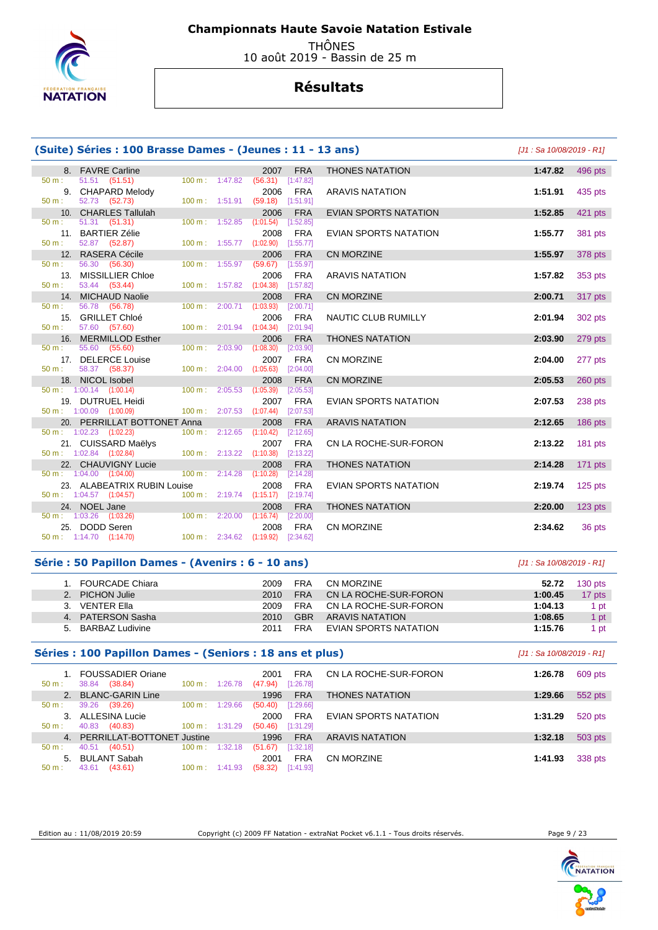

 THÔNES 10 août 2019 - Bassin de 25 m

# **Résultats**

# **(Suite) Séries : 100 Brasse Dames - (Jeunes : 11 - 13 ans)** [J1 : Sa 10/08/2019 - R1]

| 8.               | <b>FAVRE Carline</b>                                         |                   |         | 2007              | <b>FRA</b>              |
|------------------|--------------------------------------------------------------|-------------------|---------|-------------------|-------------------------|
| $50 m$ :         | 51.51 (51.51)                                                | $100 m$ :         | 1:47.82 | (56.31)           | [1:47.82]               |
| 9.               | <b>CHAPARD Melody</b>                                        |                   |         | 2006              | <b>FRA</b>              |
| $50 m$ :         | 52.73<br>(52.73)                                             | $100 \text{ m}$ : | 1:51.91 | (59.18)           | [1:51.91]               |
| 10.              | <b>CHARLES Tallulah</b>                                      |                   |         | 2006              | <b>FRA</b>              |
| $50 m$ :         | 51.31<br>(51.31)                                             | 100 m:            | 1:52.85 | (1:01.54)         | [1:52.85]               |
| 11.              | <b>BARTIER Zélie</b>                                         |                   |         | 2008              | <b>FRA</b>              |
| 50 m:            | 52.87 (52.87)                                                | 100 m:            | 1:55.77 | (1:02.90)         | [1:55.77]               |
| 12.              | <b>RASERA Cécile</b>                                         |                   |         | 2006              | <b>FRA</b>              |
| 50 m:            | 56.30 (56.30)                                                | 100 m:            | 1:55.97 | (59.67)           | [1:55.97]               |
| 13.              | <b>MISSILLIER Chloe</b>                                      |                   |         | 2006              | <b>FRA</b>              |
| 50 m:            | 53.44 (53.44)                                                | $100 \text{ m}$ : | 1:57.82 | (1:04.38)         | [1:57.82]               |
| 14.              | <b>MICHAUD Naolie</b>                                        |                   |         | 2008              | <b>FRA</b>              |
| 50 m:            | 56.78<br>(56.78)                                             | 100 m:            | 2:00.71 | (1:03.93)         | [2:00.71]               |
| 15.              | <b>GRILLET Chloé</b>                                         |                   |         | 2006              | <b>FRA</b>              |
| 50 m:            | 57.60 (57.60)                                                | 100 m:            | 2:01.94 | (1:04.34)         | [2:01.94]               |
| 16.              | <b>MERMILLOD Esther</b>                                      |                   |         | 2006              | <b>FRA</b>              |
| $50 \text{ m}$ : | 55.60<br>(55.60)                                             | $100 \text{ m}$ : | 2:03.90 | (1:08.30)         | [2:03.90]               |
| 17.              | <b>DELERCE Louise</b>                                        |                   |         | 2007              | <b>FRA</b>              |
| $50 \text{ m}$ : | 58.37<br>(58.37)                                             | 100 m:            | 2:04.00 | (1:05.63)         | [2:04.00]               |
| 18.              | NICOL Isobel                                                 |                   |         | 2008              | <b>FRA</b>              |
|                  | $50 \text{ m}: 1:00.14$ (1:00.14)                            | 100 m:            | 2:05.53 | (1:05.39)         | [2:05.53]               |
| 19.              | <b>DUTRUEL Heidi</b>                                         |                   |         | 2007              | <b>FRA</b>              |
|                  | $50 \text{ m}: 1:00.09$ $(1:00.09)$                          | 100 m:            | 2:07.53 | (1:07.44)         | [2:07.53]               |
| 20.              | PERRILLAT BOTTONET Anna<br>$50 \text{ m}: 1:02.23$ (1:02.23) | $100 m$ :         | 2:12.65 | 2008<br>(1:10.42) | <b>FRA</b><br>[2:12.65] |
|                  |                                                              |                   |         |                   |                         |
| 21.              | <b>CUISSARD Maelys</b><br>$50 \text{ m}: 1:02.84$ (1:02.84)  | 100 m:            | 2:13.22 | 2007<br>(1:10.38) | <b>FRA</b><br>[2:13.22] |
|                  |                                                              |                   |         |                   |                         |
| 22.<br>50 m:     | <b>CHAUVIGNY Lucie</b><br>1:04.00<br>(1:04.00)               | $100 m$ :         | 2:14.28 | 2008<br>(1:10.28) | <b>FRA</b><br>[2:14.28] |
| 23.              | <b>ALABEATRIX RUBIN Louise</b>                               |                   |         | 2008              | <b>FRA</b>              |
| $50 \text{ m}$ : | 1:04.57<br>(1:04.57)                                         | 100 m:            | 2:19.74 | (1:15.17)         | [2:19.74]               |
| 24.              | <b>NOEL Jane</b>                                             |                   |         | 2008              | <b>FRA</b>              |
| 50 m:            | 1:03.26<br>(1:03.26)                                         | $100 \text{ m}$ : | 2:20.00 | (1:16.74)         | [2:20.00]               |
| 25.              | DODD Seren                                                   |                   |         | 2008              | <b>FRA</b>              |
| 50 m: 1:14.70    | (1:14.70)                                                    | 100 m: 2:34.62    |         | (1:19.92)         | [2:34.62]               |
|                  |                                                              |                   |         |                   |                         |

|                                                                                                                                                                                                                                                                                                                                                                                                                               | 8. FAVRE Carline                                                                                                                                                                                                                     |                                         |                       | 2007                                             | <b>FRA</b> | <b>THONES NATATION</b>       | 1:47.82 | 496 pts   |
|-------------------------------------------------------------------------------------------------------------------------------------------------------------------------------------------------------------------------------------------------------------------------------------------------------------------------------------------------------------------------------------------------------------------------------|--------------------------------------------------------------------------------------------------------------------------------------------------------------------------------------------------------------------------------------|-----------------------------------------|-----------------------|--------------------------------------------------|------------|------------------------------|---------|-----------|
| ÷.                                                                                                                                                                                                                                                                                                                                                                                                                            | 51.51 (51.51)                                                                                                                                                                                                                        |                                         |                       | 100 m: 1:47.82 (56.31) [1:47.82]                 |            |                              |         |           |
|                                                                                                                                                                                                                                                                                                                                                                                                                               | 9. CHAPARD Melody                                                                                                                                                                                                                    |                                         |                       | 2006                                             | <b>FRA</b> | <b>ARAVIS NATATION</b>       | 1:51.91 | 435 pts   |
|                                                                                                                                                                                                                                                                                                                                                                                                                               | 52.73 (52.73)                                                                                                                                                                                                                        |                                         |                       | 100 m: 1:51.91 (59.18) [1:51.91]                 |            |                              |         |           |
|                                                                                                                                                                                                                                                                                                                                                                                                                               | 10. CHARLES Tallulah<br>51.31 (51.31)                                                                                                                                                                                                |                                         |                       | 2006<br>100 m: 1:52.85 (1:01.54) [1:52.85]       | <b>FRA</b> | <b>EVIAN SPORTS NATATION</b> | 1:52.85 | 421 pts   |
|                                                                                                                                                                                                                                                                                                                                                                                                                               |                                                                                                                                                                                                                                      |                                         |                       | 2008                                             |            |                              |         |           |
|                                                                                                                                                                                                                                                                                                                                                                                                                               | 11. BARTIER Zélie<br>52.87 (52.87) 100 m : 1:55.77 (1:02.90) [1:55.77]                                                                                                                                                               |                                         |                       |                                                  | <b>FRA</b> | EVIAN SPORTS NATATION        | 1:55.77 | 381 pts   |
|                                                                                                                                                                                                                                                                                                                                                                                                                               | 12. RASERA Cécile                                                                                                                                                                                                                    |                                         |                       | 2006                                             | <b>FRA</b> | <b>CN MORZINE</b>            | 1:55.97 | 378 pts   |
| ÷.                                                                                                                                                                                                                                                                                                                                                                                                                            | 100 m : 1:55.97 (59.67) [1:55.97]<br>56.30 (56.30)                                                                                                                                                                                   |                                         |                       |                                                  |            |                              |         |           |
|                                                                                                                                                                                                                                                                                                                                                                                                                               | 13. MISSILLIER Chloe                                                                                                                                                                                                                 |                                         |                       |                                                  | 2006 FRA   | <b>ARAVIS NATATION</b>       | 1:57.82 | 353 pts   |
| ÷.                                                                                                                                                                                                                                                                                                                                                                                                                            | 53.44 (53.44)                                                                                                                                                                                                                        |                                         |                       | 100 m: 1:57.82 (1:04.38) [1:57.82]               |            |                              |         |           |
|                                                                                                                                                                                                                                                                                                                                                                                                                               | 14. MICHAUD Naolie                                                                                                                                                                                                                   |                                         |                       | 2008                                             | <b>FRA</b> | <b>CN MORZINE</b>            | 2:00.71 | 317 pts   |
| $\mathcal{I}^{\mathcal{I}^{\mathcal{I}^{\mathcal{I}^{\mathcal{I}^{\mathcal{I}^{\mathcal{I}^{\mathcal{I}^{\mathcal{I}^{\mathcal{I}^{\mathcal{I}^{\mathcal{I}^{\mathcal{I}^{\mathcal{I}^{\mathcal{I}^{\mathcal{I}^{\mathcal{I}^{\mathcal{I}^{\mathcal{I}^{\mathcal{I}^{\mathcal{I}^{\mathcal{I}^{\mathcal{I}^{\mathcal{I}^{\mathcal{I}^{\mathcal{I}^{\mathcal{I}^{\mathcal{I}^{\mathcal{I}^{\mathcal{I}^{\mathcal{I}^{\mathcal$ | 56.78 (56.78) 100 m : 2:00.71 (1:03.93) [2:00.71]                                                                                                                                                                                    |                                         |                       |                                                  |            |                              |         |           |
|                                                                                                                                                                                                                                                                                                                                                                                                                               | 15. GRILLET Chloé                                                                                                                                                                                                                    |                                         |                       | 2006                                             | <b>FRA</b> | NAUTIC CLUB RUMILLY          | 2:01.94 | 302 pts   |
| $\mathbb{Z}^{n-1}$                                                                                                                                                                                                                                                                                                                                                                                                            | 57.60 (57.60)                                                                                                                                                                                                                        |                                         |                       | 100 m: 2:01.94 (1:04.34) [2:01.94]               |            |                              |         |           |
|                                                                                                                                                                                                                                                                                                                                                                                                                               | 16. MERMILLOD Esther                                                                                                                                                                                                                 | <u>a sa tanàna amin'ny fivondronan-</u> |                       | 2006                                             | <b>FRA</b> | <b>THONES NATATION</b>       | 2:03.90 | 279 pts   |
| $1000$                                                                                                                                                                                                                                                                                                                                                                                                                        | 55.60 (55.60)                                                                                                                                                                                                                        |                                         |                       | 100 m: 2:03.90 (1:08.30) [2:03.90]               |            |                              |         |           |
|                                                                                                                                                                                                                                                                                                                                                                                                                               | 17. DELERCE Louise                                                                                                                                                                                                                   |                                         |                       | 2007                                             | <b>FRA</b> | CN MORZINE                   | 2:04.00 | 277 pts   |
|                                                                                                                                                                                                                                                                                                                                                                                                                               | 58.37 (58.37) 100 m : 2:04.00 (1:05.63) [2:04.00]                                                                                                                                                                                    |                                         |                       |                                                  |            |                              |         |           |
|                                                                                                                                                                                                                                                                                                                                                                                                                               | 18. NICOL Isobel <b>All Annual Street Annual Street Annual Street Annual Street Annual Street Annual Street Annual Street Annual Street Annual Street Annual Street Annual Street Annual Street Annual Street Annual Street Annu</b> |                                         |                       | 2008                                             | <b>FRA</b> | <b>CN MORZINE</b>            | 2:05.53 | 260 pts   |
|                                                                                                                                                                                                                                                                                                                                                                                                                               | $\therefore$ 1:00.14 (1:00.14) 100 m : 2:05.53 (1:05.39) [2:05.53]                                                                                                                                                                   |                                         |                       |                                                  |            |                              |         |           |
|                                                                                                                                                                                                                                                                                                                                                                                                                               | 19. DUTRUEL Heidi<br>100 m: 2:07.53 (1:07.44) [2:07.53]                                                                                                                                                                              |                                         |                       | 2007                                             | <b>FRA</b> | EVIAN SPORTS NATATION        | 2:07.53 | 238 pts   |
|                                                                                                                                                                                                                                                                                                                                                                                                                               | $: 1:00.09$ $(1:00.09)$                                                                                                                                                                                                              |                                         | <u>a sa sanadka a</u> | 2008                                             | <b>FRA</b> |                              |         |           |
|                                                                                                                                                                                                                                                                                                                                                                                                                               | 20. PERRILLAT BOTTONET Anna<br>$: 1:02.23$ $(1:02.23)$                                                                                                                                                                               |                                         |                       | $100 \text{ m}: 2:12.65$ $(1:10.42)$ $[2:12.65]$ |            | <b>ARAVIS NATATION</b>       | 2:12.65 | 186 pts   |
|                                                                                                                                                                                                                                                                                                                                                                                                                               |                                                                                                                                                                                                                                      |                                         |                       |                                                  |            | CN LA ROCHE-SUR-FORON        | 2:13.22 | 181 pts   |
|                                                                                                                                                                                                                                                                                                                                                                                                                               |                                                                                                                                                                                                                                      |                                         |                       |                                                  |            |                              |         |           |
|                                                                                                                                                                                                                                                                                                                                                                                                                               | 21. CUISSARD Maëlys<br>21. CUISSARD Maëlys<br>21. 1.02.84 (1.02.84)<br>2008 FRA                                                                                                                                                      |                                         |                       |                                                  |            | <b>THONES NATATION</b>       | 2:14.28 | $171$ pts |
|                                                                                                                                                                                                                                                                                                                                                                                                                               | $: 1:04.00$ $(1:04.00)$                                                                                                                                                                                                              |                                         |                       | $100 \text{ m}: 2:14.28 (1:10.28) [2:14.28]$     |            |                              |         |           |
|                                                                                                                                                                                                                                                                                                                                                                                                                               | 23. ALABEATRIX RUBIN Louise                                                                                                                                                                                                          |                                         |                       | 2008                                             | FRA        | EVIAN SPORTS NATATION        | 2:19.74 | $125$ pts |
|                                                                                                                                                                                                                                                                                                                                                                                                                               | $1.04.57$ (1:04.57) 100 m : 2:19.74 (1:15.17) [2:19.74]                                                                                                                                                                              |                                         |                       |                                                  |            |                              |         |           |
|                                                                                                                                                                                                                                                                                                                                                                                                                               | 24. NOEL Jane                                                                                                                                                                                                                        |                                         |                       | 2008                                             | <b>FRA</b> | <b>THONES NATATION</b>       | 2:20.00 | $123$ pts |
|                                                                                                                                                                                                                                                                                                                                                                                                                               | $\therefore$ 1:03.26 (1:03.26) 100 m : 2:20.00 (1:16.74) [2:20.00]                                                                                                                                                                   |                                         |                       |                                                  |            |                              |         |           |
|                                                                                                                                                                                                                                                                                                                                                                                                                               | 25. DODD Seren                                                                                                                                                                                                                       |                                         |                       | 2008                                             | <b>FRA</b> | <b>CN MORZINE</b>            | 2:34.62 | 36 pts    |
|                                                                                                                                                                                                                                                                                                                                                                                                                               |                                                                                                                                                                                                                                      |                                         |                       |                                                  |            |                              |         |           |

### **Série : 50 Papillon Dames - (Avenirs : 6 - 10 ans)** [J1 : Sa 10/08/2019 - R1]

#### 1. FOURCADE Chiara 2009 FRA CN MORZINE **52.72** 130 pts 2. PICHON Julie 2010 FRA CN LA ROCHE-SUR-FORON **1:00.45** 17 pts 3. VENTER Ella 2009 FRA CN LA ROCHE-SUR-FORON **1:04.13** 1 pt 4. PATERSON Sasha 2010 GBR ARAVIS NATATION **1:08.65** 1 pt 5. BARBAZ Ludivine 2011 FRA EVIAN SPORTS NATATION **1:15.76** 1 pt

#### **Séries : 100 Papillon Dames - (Seniors : 18 ans et plus)** [J1 : Sa 10/08/2019 - R1]

|                  | 1. FOUSSADIER Oriane              |                              | 2001<br><b>FRA</b>   | CN LA ROCHE-SUR-FORON  | 1:26.78 | 609 pts |
|------------------|-----------------------------------|------------------------------|----------------------|------------------------|---------|---------|
| $50 m$ :         | (38.84)<br>38.84                  | $100 \text{ m}$ :<br>1:26.78 | (47.94)<br>[1:26.78] |                        |         |         |
|                  | <b>BLANC-GARIN Line</b>           |                              | <b>FRA</b><br>1996   | <b>THONES NATATION</b> | 1:29.66 | 552 pts |
| 50 m :           | 39.26<br>(39.26)                  | $100 \text{ m}$ :<br>1:29.66 | [1:29.66]<br>(50.40) |                        |         |         |
|                  | 3. ALLESINA Lucie                 |                              | <b>FRA</b><br>2000   | EVIAN SPORTS NATATION  | 1:31.29 | 520 pts |
| $50 \text{ m}$ : | 40.83<br>(40.83)                  | $100 \text{ m}: 1:31.29$     | [1:31.29]<br>(50.46) |                        |         |         |
| 4 <sup>1</sup>   | <b>PERRILLAT-BOTTONET Justine</b> |                              | <b>FRA</b><br>1996   | <b>ARAVIS NATATION</b> | 1:32.18 | 503 pts |
| $50 m$ :         | 40.51<br>(40.51)                  | 1:32.18<br>$100 \text{ m}$ : | [1:32.18]<br>(51.67) |                        |         |         |
| 5.               | BULANT Sabah                      |                              | <b>FRA</b><br>2001   | CN MORZINE             | 1:41.93 | 338 pts |
| $50 m$ :         | (43.61)<br>43.61                  | $100 \text{ m}$ : 1:41.93    | (58.32)<br>[1:41.93] |                        |         |         |

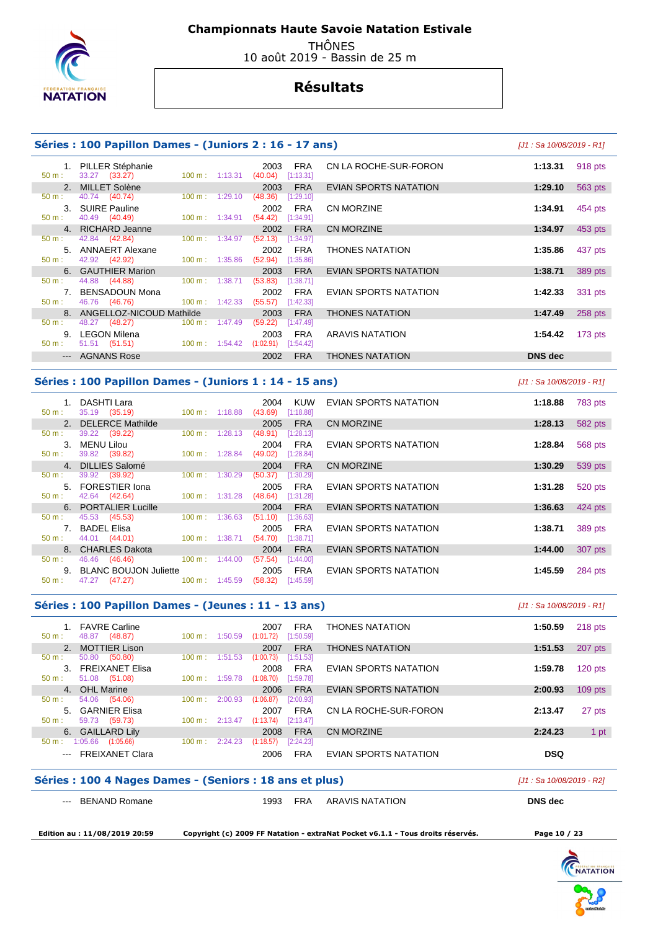

 THÔNES 10 août 2019 - Bassin de 25 m

# **Résultats**

### **Séries : 100 Papillon Dames - (Juniors 2 : 16 - 17 ans)** [J1 : Sa 10/08/2019 - R1]

| 50 m:            | 1. PILLER Stéphanie<br>33.27 (33.27) |                               | $100 \text{ m}: 1:13.31$ |                                  | 2003<br>(40.04)             | FRA<br>[1:13.31] | CN LA ROCHE-SUR-FORON  | 1:13.31        | 918 pts   |
|------------------|--------------------------------------|-------------------------------|--------------------------|----------------------------------|-----------------------------|------------------|------------------------|----------------|-----------|
|                  | 2. MILLET Solène                     |                               |                          |                                  | 2003                        | <b>FRA</b>       | EVIAN SPORTS NATATION  | 1:29.10        | 563 pts   |
| 50 m:            | 40.74 (40.74)                        |                               | $100 \text{ m}: 1:29.10$ |                                  | (48.36)                     | [1:29.10]        |                        |                |           |
| $50 m$ :         | 3. SUIRE Pauline<br>40.49 (40.49)    |                               |                          | 100 m : 1:34.91                  | 2002<br>$(54.42)$ [1:34.91] | FRA              | <b>CN MORZINE</b>      | 1:34.91        | 454 pts   |
|                  | 4. RICHARD Jeanne                    |                               |                          |                                  | 2002                        | <b>FRA</b>       | <b>CN MORZINE</b>      | 1:34.97        | 453 pts   |
| 50 m:            | 42.84 (42.84)                        |                               |                          | $100 \text{ m}: 1:34.97$ (52.13) |                             | [1:34.97]        |                        |                |           |
|                  | 5. ANNAERT Alexane                   |                               |                          |                                  | 2002                        | FRA              | <b>THONES NATATION</b> | 1:35.86        | 437 pts   |
| $50 \text{ m}$ : |                                      | 42.92 (42.92) 100 m : 1:35.86 |                          |                                  | (52.94)                     | [1:35.86]        |                        |                |           |
|                  | 6. GAUTHIER Marion                   |                               |                          |                                  | 2003                        | <b>FRA</b>       | EVIAN SPORTS NATATION  | 1:38.71        | 389 pts   |
| $50 \text{ m}$ : | 44.88 (44.88)                        | $100 \text{ m}: 1:38.71$      |                          |                                  | (53.83)                     | [1:38.71]        |                        |                |           |
|                  | 7. BENSADOUN Mona                    |                               |                          |                                  | 2002                        | FRA              | EVIAN SPORTS NATATION  | 1:42.33        | 331 pts   |
| 50 m :           | 46.76 (46.76)                        | $100 \text{ m}$ : 1:42.33     |                          |                                  | $(55.57)$ [1:42.33]         |                  |                        |                |           |
|                  |                                      | 8. ANGELLOZ-NICOUD Mathilde   |                          |                                  | 2003                        | <b>FRA</b>       | <b>THONES NATATION</b> | 1:47.49        | 258 pts   |
| 50 m:            | 48.27 (48.27)                        |                               | $100 \text{ m}: 1:47.49$ |                                  | (59.22)                     | [1:47.49]        |                        |                |           |
|                  | 9. LEGON Milena                      |                               |                          |                                  | 2003                        | FRA              | ARAVIS NATATION        | 1:54.42        | $173$ pts |
| 50 m:            | 51.51 (51.51)                        | $100 \text{ m}: 1:54.42$      |                          |                                  | (1:02.91)                   | [1:54.42]        |                        |                |           |
|                  | --- AGNANS Rose                      |                               |                          |                                  | 2002                        | <b>FRA</b>       | <b>THONES NATATION</b> | <b>DNS</b> dec |           |

#### **Séries : 100 Papillon Dames - (Juniors 1 : 14 - 15 ans)** [J1 : Sa 10/08/2019 - R1]

| $50 m$ :              | DASHTI Lara<br>35.19 (35.19) |                   | $100 \text{ m}: 1:18.88$ | 2004<br>(43.69) | KUW<br>[1:18.88] | EVIAN SPORTS NATATION | 1:18.88 | 783 pts |
|-----------------------|------------------------------|-------------------|--------------------------|-----------------|------------------|-----------------------|---------|---------|
|                       | 2. DELERCE Mathilde          |                   |                          | 2005            | <b>FRA</b>       | CN MORZINE            | 1:28.13 | 582 pts |
| $50 m$ :              | 39.22 (39.22)                | 100 m:            | 1:28.13                  | (48.91)         | [1:28.13]        |                       |         |         |
| $\mathcal{B}_{\cdot}$ | MENU Lilou                   |                   |                          | 2004            | <b>FRA</b>       | EVIAN SPORTS NATATION | 1:28.84 | 568 pts |
| $50 m$ :              | 39.82 (39.82)                | $100 \text{ m}$ : | 1:28.84                  | (49.02)         | [1:28.84]        |                       |         |         |
|                       | 4. DILLIES Salomé            |                   |                          | 2004            | <b>FRA</b>       | CN MORZINE            | 1:30.29 | 539 pts |
| $50 m$ :              | 39.92 (39.92)                | $100 \text{ m}$ : | 1:30.29                  | (50.37)         | [1:30.29]        |                       |         |         |
|                       | 5. FORESTIER Iona            |                   |                          | 2005            | <b>FRA</b>       | EVIAN SPORTS NATATION | 1:31.28 | 520 pts |
| $50 m$ :              | 42.64 (42.64)                |                   | $100 \text{ m}: 1:31.28$ | (48.64)         | [1:31.28]        |                       |         |         |
|                       | 6. PORTALIER Lucille         |                   |                          | 2004            | <b>FRA</b>       | EVIAN SPORTS NATATION | 1:36.63 | 424 pts |
| 50 m:                 | 45.53 (45.53)                | 100 m:            | 1:36.63                  | (51.10)         | [1:36.63]        |                       |         |         |
|                       | 7. BADEL Elisa               |                   |                          | 2005            | <b>FRA</b>       | EVIAN SPORTS NATATION | 1:38.71 | 389 pts |
| $50 m$ :              | 44.01 (44.01)                | $100 \text{ m}$ : | 1:38.71                  | (54.70)         | [1:38.71]        |                       |         |         |
|                       | 8. CHARLES Dakota            |                   |                          | 2004            | <b>FRA</b>       | EVIAN SPORTS NATATION | 1:44.00 | 307 pts |
| $50 m$ :              | 46.46 (46.46)                | $100 \text{ m}$ : | 1:44.00                  | (57.54)         | [1:44.00]        |                       |         |         |
|                       | <b>BLANC BOUJON Juliette</b> |                   |                          | 2005            | <b>FRA</b>       | EVIAN SPORTS NATATION | 1:45.59 | 284 pts |
| $50 m$ :              | 47.27 (47.27)                |                   | $100 \text{ m}: 1:45.59$ | (58.32)         | [1:45.59]        |                       |         |         |
|                       |                              |                   |                          |                 |                  |                       |         |         |

### **Séries : 100 Papillon Dames - (Jeunes : 11 - 13 ans)** [J1 : Sa 10/08/2019 - R1]

| $50 m$ :       | <b>FAVRE Carline</b><br>(48.87)<br>48.87 | 100 m:<br>1:50.59            | <b>FRA</b><br>2007<br>(1:01.72)<br>[1:50.59] | <b>THONES NATATION</b> | 218 pts<br>1:50.59   |
|----------------|------------------------------------------|------------------------------|----------------------------------------------|------------------------|----------------------|
| $2^{\circ}$    | <b>MOTTIER Lison</b>                     |                              | <b>FRA</b><br>2007                           | <b>THONES NATATION</b> | 1:51.53<br>207 pts   |
| $50 m$ :       | 50.80<br>(50.80)                         | $100 \text{ m}$ :<br>1:51.53 | (1:00.73)<br>[1:51.53]                       |                        |                      |
| 3 <sub>1</sub> | <b>FREIXANET Elisa</b>                   |                              | <b>FRA</b><br>2008                           | EVIAN SPORTS NATATION  | $120$ pts<br>1:59.78 |
| $50 m$ :       | 51.08 (51.08)                            | $100 \text{ m}$ :<br>1:59.78 | [1:59.78]<br>(1:08.70)                       |                        |                      |
|                | 4. OHL Marine                            |                              | <b>FRA</b><br>2006                           | EVIAN SPORTS NATATION  | $109$ pts<br>2:00.93 |
| $50 m$ :       | 54.06 (54.06)                            | 100 m:<br>2:00.93            | (1:06.87)<br>[2:00.93]                       |                        |                      |
|                | 5. GARNIER Elisa                         |                              | <b>FRA</b><br>2007                           | CN LA ROCHE-SUR-FORON  | 2:13.47<br>27 pts    |
| $50 m$ :       | 59.73 (59.73)                            | $100 \text{ m}: 2:13.47$     | (1:13.74)<br>[2:13.47]                       |                        |                      |
|                | 6. GAILLARD Lily                         |                              | <b>FRA</b><br>2008                           | CN MORZINE             | 2:24.23<br>1 pt      |
| $50 m$ :       | 1:05.66<br>(1:05.66)                     | 100 m:<br>2:24.23            | (1:18.57)<br>[2:24.23]                       |                        |                      |
|                | <b>FREIXANET Clara</b>                   |                              | <b>FRA</b><br>2006                           | EVIAN SPORTS NATATION  | <b>DSQ</b>           |
|                |                                          |                              |                                              |                        |                      |

#### **Séries : 100 4 Nages Dames - (Seniors : 18 ans et plus)** [J1 : Sa 10/08/2019 - R2]

| <b>BENAND Romane</b> |
|----------------------|
|                      |

1993 FRA ARAVIS NATATION **DNS dec** 

 **Edition au : 11/08/2019 20:59 Copyright (c) 2009 FF Natation - extraNat Pocket v6.1.1 - Tous droits réservés. Page 10 / 23** 

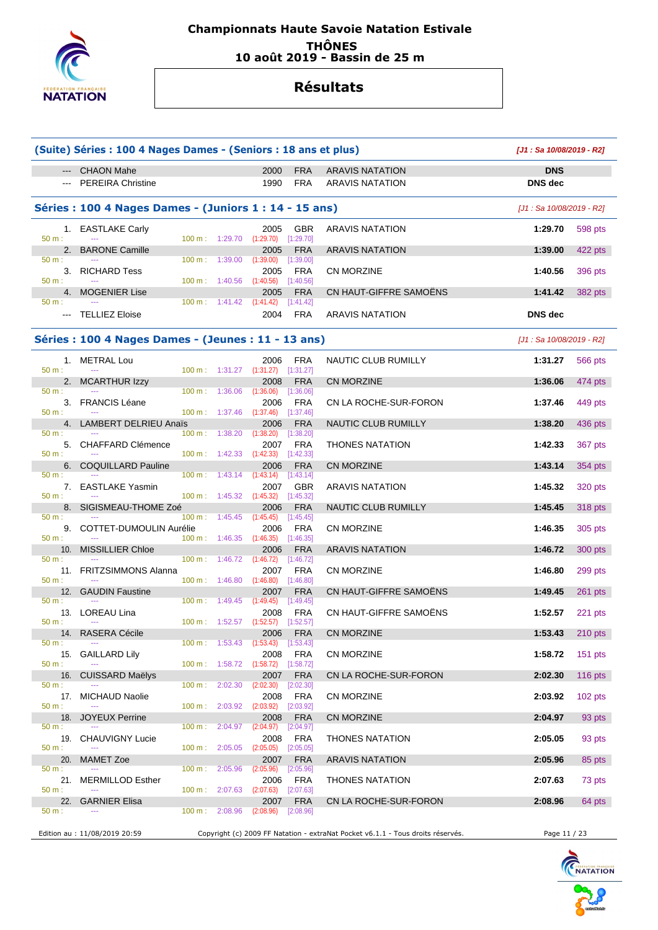

### **Championnats Haute Savoie Natation Estivale THÔNES 10 août 2019 - Bassin de 25 m**

# **Résultats**

|                                                                                                         | (Suite) Séries : 100 4 Nages Dames - (Seniors : 18 ans et plus) |                                      |                       |                   |                           |                                                                                 | [J1: Sa 10/08/2019 - R2]  |           |
|---------------------------------------------------------------------------------------------------------|-----------------------------------------------------------------|--------------------------------------|-----------------------|-------------------|---------------------------|---------------------------------------------------------------------------------|---------------------------|-----------|
|                                                                                                         | <b>CHAON Mahe</b>                                               |                                      |                       | 2000              | <b>FRA</b>                | <b>ARAVIS NATATION</b>                                                          | <b>DNS</b>                |           |
|                                                                                                         | <b>PEREIRA Christine</b>                                        |                                      |                       | 1990              | <b>FRA</b>                | <b>ARAVIS NATATION</b>                                                          | <b>DNS</b> dec            |           |
|                                                                                                         | Séries : 100 4 Nages Dames - (Juniors 1 : 14 - 15 ans)          |                                      |                       |                   |                           |                                                                                 | [J1 : Sa 10/08/2019 - R2] |           |
| $50 m$ :                                                                                                | 1. EASTLAKE Carly                                               | 100 m: 1:29.70                       |                       | 2005<br>(1:29.70) | <b>GBR</b><br>[1:29.70]   | <b>ARAVIS NATATION</b>                                                          | 1:29.70                   | 598 pts   |
| 2.                                                                                                      | <b>BARONE Camille</b>                                           |                                      |                       | 2005              | <b>FRA</b>                | <b>ARAVIS NATATION</b>                                                          | 1:39.00                   | 422 pts   |
| $50 m$ :<br>3.<br>50 m:                                                                                 | <b>RICHARD Tess</b>                                             | $100 \text{ m}: 1:39.00$             |                       | (1:39.00)<br>2005 | [1:39.00]<br><b>FRA</b>   | <b>CN MORZINE</b>                                                               | 1:40.56                   | 396 pts   |
| 4.                                                                                                      | <b>MOGENIER Lise</b>                                            | $100 \text{ m}: 1:40.56$             |                       | (1:40.56)<br>2005 | [1:40.56]<br><b>FRA</b>   | CN HAUT-GIFFRE SAMOËNS                                                          | 1:41.42                   | 382 pts   |
| 50 m:<br>$\frac{1}{2} \left( \frac{1}{2} \right) \left( \frac{1}{2} \right) \left( \frac{1}{2} \right)$ | <b>TELLIEZ Eloise</b>                                           | $100 \text{ m}: 1:41.42 (1:41.42)$   |                       | 2004              | [1:41.42]<br>FRA          | <b>ARAVIS NATATION</b>                                                          | <b>DNS</b> dec            |           |
|                                                                                                         |                                                                 |                                      |                       |                   |                           |                                                                                 |                           |           |
|                                                                                                         | Séries : 100 4 Nages Dames - (Jeunes : 11 - 13 ans)             |                                      |                       |                   |                           |                                                                                 | [J1 : Sa 10/08/2019 - R2] |           |
| 50 m:                                                                                                   | 1. METRAL Lou                                                   | $100 \text{ m}: 1:31.27 (1:31.27)$   |                       | 2006              | FRA<br>[1:31.27]          | NAUTIC CLUB RUMILLY                                                             | 1:31.27                   | 566 pts   |
| $50 m$ :                                                                                                | 2. MCARTHUR Izzy                                                |                                      |                       | 2008              | <b>FRA</b>                | CN MORZINE                                                                      | 1:36.06                   | 474 pts   |
|                                                                                                         | 3. FRANCIS Léane                                                | $100 \text{ m}: 1:36.06$             |                       | (1:36.06)<br>2006 | [1:36.06]<br><b>FRA</b>   | CN LA ROCHE-SUR-FORON                                                           | 1:37.46                   | 449 pts   |
| 50 m:                                                                                                   | 4. LAMBERT DELRIEU Anaïs                                        | 100 m: 1:37.46 (1:37.46)             |                       | 2006              | [1:37.46]<br><b>FRA</b>   | NAUTIC CLUB RUMILLY                                                             | 1:38.20                   | 436 pts   |
| 50 m:<br>5.                                                                                             | CHAFFARD Clémence                                               | $100 \text{ m}$ :                    | 1:38.20               | (1:38.20)<br>2007 | [1:38.20]<br><b>FRA</b>   | <b>THONES NATATION</b>                                                          | 1:42.33                   | 367 pts   |
| 50 m:                                                                                                   |                                                                 | $100 \text{ m}: 1:42.33$             |                       | (1:42.33)         | [1:42.33]                 |                                                                                 |                           |           |
| 6.<br>50 m:                                                                                             | <b>COQUILLARD Pauline</b>                                       | $100 \text{ m}: 1:43.14$ $(1:43.14)$ |                       | 2006              | <b>FRA</b><br>[1:43.14]   | <b>CN MORZINE</b>                                                               | 1:43.14                   | 354 pts   |
| 50 m:                                                                                                   | 7. EASTLAKE Yasmin                                              | $100 \text{ m}: 1:45.32$ $(1:45.32)$ |                       | 2007              | GBR<br>[1:45.32]          | <b>ARAVIS NATATION</b>                                                          | 1:45.32                   | 320 pts   |
|                                                                                                         | 8. SIGISMEAU-THOME Zoé                                          |                                      |                       | 2006              | <b>FRA</b>                | NAUTIC CLUB RUMILLY                                                             | 1:45.45                   | 318 pts   |
| 50 m:<br>9.                                                                                             | COTTET-DUMOULIN Aurélie                                         | $100 \text{ m}$ :                    | 1:45.45               | (1:45.45)<br>2006 | [1:45.45]<br><b>FRA</b>   | CN MORZINE                                                                      | 1:46.35                   | 305 pts   |
| 50 m:<br>10.                                                                                            | <b>MISSILLIER Chloe</b>                                         | $100 \text{ m}: 1:46.35 (1:46.35)$   |                       | 2006              | [1:46.35]<br><b>FRA</b>   | <b>ARAVIS NATATION</b>                                                          | 1:46.72                   | 300 pts   |
| 50 m:                                                                                                   |                                                                 | 100 m:                               | 1:46.72               | (1:46.72)         | [1:46.72]                 |                                                                                 |                           |           |
| 11.<br>50 m:                                                                                            | <b>FRITZSIMMONS Alanna</b>                                      | $100 \text{ m}: 1:46.80$             |                       | 2007<br>(1:46.80) | <b>FRA</b><br>$[1:46.80]$ | CN MORZINE                                                                      | 1:46.80                   | 299 pts   |
| 12.<br>50 m:                                                                                            | <b>GAUDIN Faustine</b>                                          | 100 m:                               |                       | 2007              | <b>FRA</b><br>[1:49.45]   | CN HAUT-GIFFRE SAMOËNS                                                          | 1:49.45                   | 261 pts   |
|                                                                                                         | 13. LOREAU Lina                                                 |                                      | 1:49.45 (1:49.45)     | 2008              | FRA                       | CN HAUT-GIFFRE SAMOENS                                                          | 1:52.57                   | 221 pts   |
| $50 m$ :<br>14.                                                                                         | $\frac{1}{2}$<br>RASERA Cécile                                  | 100 m: 1:52.57 (1:52.57) [1:52.57]   |                       | 2006              | <b>FRA</b>                | CN MORZINE                                                                      | 1:53.43                   | 210 pts   |
| 50 m:                                                                                                   |                                                                 | $100 \text{ m}: 1:53.43$             |                       | (1:53.43)         | [1:53.43]                 |                                                                                 |                           |           |
| 15.<br>$50 m$ :                                                                                         | <b>GAILLARD Lily</b>                                            | 100 m: 1:58.72                       |                       | 2008<br>(1:58.72) | <b>FRA</b><br>[1:58.72]   | CN MORZINE                                                                      | 1:58.72                   | 151 pts   |
| 16.<br>$50 m$ :                                                                                         | CUISSARD Maëlys                                                 | 100 m :                              | 2:02.30               | 2007              | <b>FRA</b>                | CN LA ROCHE-SUR-FORON                                                           | 2:02.30                   | 116 pts   |
| 17.                                                                                                     | <b>MICHAUD Naolie</b>                                           |                                      |                       | (2:02.30)<br>2008 | [2:02.30]<br>FRA          | CN MORZINE                                                                      | 2:03.92                   | $102$ pts |
| $50 m$ :<br>18.                                                                                         | <b>JOYEUX Perrine</b>                                           | 100 m: 2:03.92                       |                       | (2:03.92)<br>2008 | [2:03.92]<br><b>FRA</b>   | <b>CN MORZINE</b>                                                               | 2:04.97                   | 93 pts    |
| $50 m$ :                                                                                                |                                                                 | $100 \text{ m}$ :                    | $2:04.97$ $(2:04.97)$ |                   | [2:04.97]                 |                                                                                 |                           |           |
| $50 m$ :                                                                                                | 19. CHAUVIGNY Lucie                                             | 100 m: 2:05.05                       |                       | 2008<br>(2:05.05) | FRA<br>[2:05.05]          | <b>THONES NATATION</b>                                                          | 2:05.05                   | 93 pts    |
| 20.<br>$50 m$ :                                                                                         | <b>MAMET Zoe</b>                                                | $100 \text{ m}$ :                    | 2:05.96               | 2007<br>(2:05.96) | <b>FRA</b><br>[2:05.96]   | <b>ARAVIS NATATION</b>                                                          | 2:05.96                   | 85 pts    |
|                                                                                                         | 21. MERMILLOD Esther                                            |                                      |                       | 2006              | <b>FRA</b>                | <b>THONES NATATION</b>                                                          | 2:07.63                   | 73 pts    |
| $50 m$ :<br>22.                                                                                         | <b>GARNIER Elisa</b>                                            | $100 \text{ m}$ :                    | 2:07.63               | (2:07.63)<br>2007 | [2:07.63]<br><b>FRA</b>   | CN LA ROCHE-SUR-FORON                                                           | 2:08.96                   | 64 pts    |
| $50 m$ :                                                                                                |                                                                 | 100 m: 2:08.96                       |                       | (2:08.96)         | [2:08.96]                 |                                                                                 |                           |           |
|                                                                                                         | Edition au : 11/08/2019 20:59                                   |                                      |                       |                   |                           | Copyright (c) 2009 FF Natation - extraNat Pocket v6.1.1 - Tous droits réservés. | Page 11 / 23              |           |

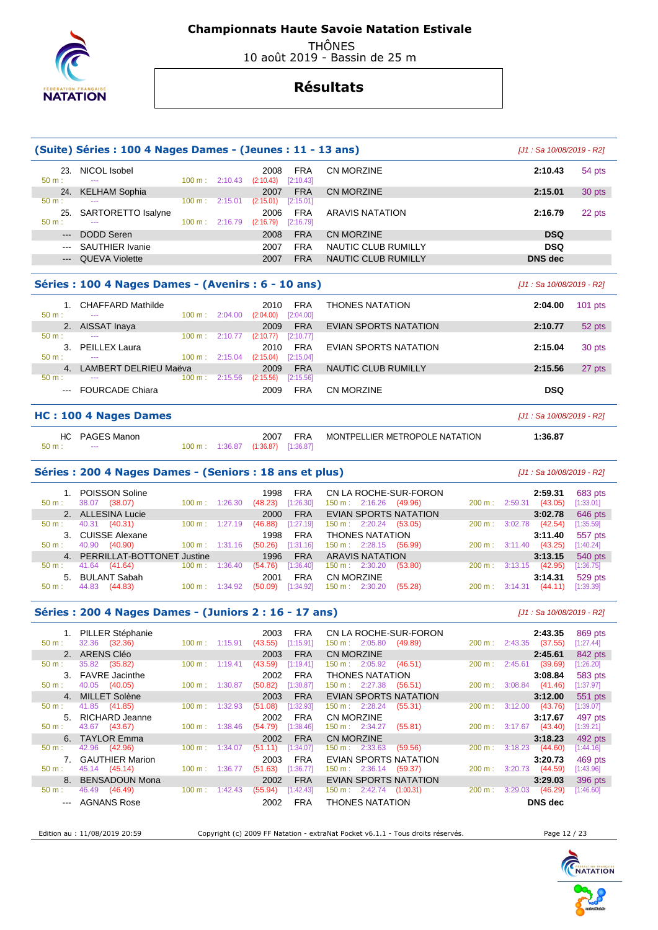

 THÔNES 10 août 2019 - Bassin de 25 m

# **Résultats**

|             | (Suite) Séries : 100 4 Nages Dames - (Jeunes : 11 - 13 ans) |        |                          |                   |                         |                     | [J1 : Sa 10/08/2019 - R2] |        |
|-------------|-------------------------------------------------------------|--------|--------------------------|-------------------|-------------------------|---------------------|---------------------------|--------|
| 23<br>50 m: | NICOL Isobel<br>---                                         |        | $100 \text{ m}: 2:10.43$ | 2008<br>(2:10.43) | <b>FRA</b><br>[2:10.43] | CN MORZINE          | 2:10.43                   | 54 pts |
| 24.         | <b>KELHAM Sophia</b>                                        |        |                          | 2007              | <b>FRA</b>              | CN MORZINE          | 2:15.01                   | 30 pts |
| $50 m$ :    | $- - -$                                                     | 100 m: | 2:15.01                  | (2:15.01)         | [2:15.01]               |                     |                           |        |
| 25          | SARTORETTO Isalyne                                          |        |                          | 2006              | <b>FRA</b>              | ARAVIS NATATION     | 2:16.79                   | 22 pts |
| $50 m$ :    | ---                                                         | 100 m: | 2:16.79                  | (2:16.79)         | [2:16.79]               |                     |                           |        |
| $---$       | DODD Seren                                                  |        |                          | 2008              | <b>FRA</b>              | CN MORZINE          | <b>DSQ</b>                |        |
| $---$       | SAUTHIER Ivanie                                             |        |                          | 2007              | <b>FRA</b>              | NAUTIC CLUB RUMILLY | <b>DSQ</b>                |        |
| $---$       | <b>QUEVA Violette</b>                                       |        |                          | 2007              | <b>FRA</b>              | NAUTIC CLUB RUMILLY | <b>DNS</b> dec            |        |
|             |                                                             |        |                          |                   |                         |                     |                           |        |

| Séries : 100 4 Nages Dames - (Avenirs : 6 - 10 ans) |  |  |  |  |
|-----------------------------------------------------|--|--|--|--|
|-----------------------------------------------------|--|--|--|--|

| $50 m$ :       | <b>CHAFFARD Mathilde</b><br>--- | $100 \text{ m}$ : | 2:04.00 | 2010<br>(2:04.00) | FRA<br>[2:04.00] | <b>THONES NATATION</b> | 2:04.00    | $101$ pts |
|----------------|---------------------------------|-------------------|---------|-------------------|------------------|------------------------|------------|-----------|
| 2.             | AISSAT Inaya                    |                   |         | 2009              | <b>FRA</b>       | EVIAN SPORTS NATATION  | 2:10.77    | 52 pts    |
| $50 m$ :       | $- - -$                         | 100 m:            | 2:10.77 | (2:10.77)         | [2:10.77]        |                        |            |           |
|                | <b>PEILLEX Laura</b>            |                   |         | 2010              | <b>FRA</b>       | EVIAN SPORTS NATATION  | 2:15.04    | 30 pts    |
| $50 m$ :       | ---                             | $100 \text{ m}$ : | 2:15.04 | (2:15.04)         | [2:15.04]        |                        |            |           |
| $\overline{4}$ | LAMBERT DELRIEU Maëva           |                   |         | 2009              | <b>FRA</b>       | NAUTIC CLUB RUMILLY    | 2:15.56    | 27 pts    |
| $50 m$ :       | ---                             | 100 m:            | 2:15.56 | (2:15.56)         | [2:15.56]        |                        |            |           |
| $- - -$        | <b>FOURCADE Chiara</b>          |                   |         | 2009              | <b>FRA</b>       | CN MORZINE             | <b>DSQ</b> |           |

#### **HC : 100 4 Nages Dames** [J1 : Sa 10/08/2019 - R2]

| HC              | PAGES Manon |                                    | 2007 | <b>FRA</b> | MONTPELLIER METROPOLE NATATION | 1:36.87 |
|-----------------|-------------|------------------------------------|------|------------|--------------------------------|---------|
| 50 <sub>m</sub> | $- - -$     | 100 m: 1:36.87 (1:36.87) [1:36.87] |      |            |                                |         |

#### **Séries : 200 4 Nages Dames - (Seniors : 18 ans et plus)** [J1 : Sa 10/08/2019 - R2]

| $50 \text{ m}$ : | 1. POISSON Soline<br>38.07<br>(38.07) | $100 \text{ m}: 1:26.30$     | <b>FRA</b><br>1998<br>[1:26.30]<br>(48.23) | CN LA ROCHE-SUR-FORON<br>$150 \text{ m}: 2:16.26$ (49.96) | $200 \text{ m}: 2:59.31$ | 2:59.31<br>(43.05)               | 683 pts<br>[1:33.01] |
|------------------|---------------------------------------|------------------------------|--------------------------------------------|-----------------------------------------------------------|--------------------------|----------------------------------|----------------------|
|                  | 2. ALLESINA Lucie                     |                              | <b>FRA</b><br>2000                         | <b>EVIAN SPORTS NATATION</b>                              |                          | 3:02.78                          | 646 pts              |
| 50 m :           | 40.31 (40.31)                         | $100 \text{ m}: 1:27.19$     | $[1:27.19]$<br>(46.88)                     | $150 \text{ m}: 2:20.24$ (53.05)                          | 200 m :                  | (42.54)<br>3:02.78               | [1:35.59]            |
|                  | 3. CUISSE Alexane                     |                              | <b>FRA</b><br>1998                         | THONES NATATION                                           |                          | 3:11.40                          | 557 pts              |
| $50 \text{ m}$ : | 40.90 (40.90)                         | $100 \text{ m}: 1:31.16$     | [1:31.16]<br>(50.26)                       | $150 \text{ m}: 2:28.15$ (56.99)                          | $200 \text{ m}: 3:11.40$ | (43.25)                          | [1:40.24]            |
|                  | 4. PERRILLAT-BOTTONET Justine         |                              | 1996<br><b>FRA</b>                         | <b>ARAVIS NATATION</b>                                    |                          | 3:13.15                          | 540 pts              |
| 50 m :           | 41.64 (41.64)                         | 1:36.40<br>$100 \text{ m}$ : | [1:36.40]<br>(54.76)                       | $150 \text{ m}: 2:30.20$<br>(53.80)                       | 200 m: 3:13.15           | (42.95)                          | $[1:36.75]$          |
|                  | 5. BULANT Sabah                       |                              | <b>FRA</b><br>2001                         | CN MORZINE                                                |                          | 3:14.31                          | 529 pts              |
| 50 m :           | 44.83 (44.83)                         | $100 \text{ m}: 1:34.92$     | (50.09)                                    | $[1:34.92]$ 150 m : 2:30.20<br>(55.28)                    |                          | $200 \text{ m}: 3:14.31$ (44.11) | [1:39.39]            |

### **Séries : 200 4 Nages Dames - (Juniors 2 : 16 - 17 ans)** [J1 : Sa 10/08/2019 - R2]

|                  | 1. PILLER Stéphanie    |                              | 2003               | <b>FRA</b> | CN LA ROCHE-SUR-FORON                 |                          | 2:43.35        | 869 pts     |
|------------------|------------------------|------------------------------|--------------------|------------|---------------------------------------|--------------------------|----------------|-------------|
| $50 \text{ m}$ : | 32.36 (32.36)          | $100 \text{ m}$ :<br>1:15.91 | (43.55)            | [1:15.91]  | 150 m: 2:05.80<br>(49.89)             | $200 \text{ m}: 2:43.35$ | (37.55)        | [1:27.44]   |
|                  | 2. ARENS Cléo          |                              | 2003               | <b>FRA</b> | <b>CN MORZINE</b>                     |                          | 2:45.61        | 842 pts     |
| $50 m$ :         | 35.82<br>(35.82)       | 100 m:                       | 1:19.41<br>(43.59) | 1:19.41    | (46.51)<br>$150 \text{ m}: 2:05.92$   | 2:45.61<br>200 m:        | (39.69)        | [1:26.20]   |
|                  | 3. FAVRE Jacinthe      |                              | 2002               | <b>FRA</b> | <b>THONES NATATION</b>                |                          | 3:08.84        | 583 pts     |
| $50 \text{ m}$ : | 40.05 (40.05)          | 100 m:                       | (50.82)<br>1:30.87 | (1:30.87)  | $150 \text{ m}: 2:27.38$<br>(56.51)   | 3:08.84<br>200 m:        | (41.46)        | $[1:37.97]$ |
|                  | 4. MILLET Solène       |                              | 2003               | <b>FRA</b> | EVIAN SPORTS NATATION                 |                          | 3:12.00        | 551 pts     |
| 50 m:            | 41.85 (41.85)          | 100 m:                       | 1:32.93<br>(51.08) | [1:32.93]  | $150 \text{ m}: 2:28.24$<br>(55.31)   | 3:12.00<br>200 m:        | (43.76)        | [1:39.07]   |
|                  | 5. RICHARD Jeanne      |                              | 2002               | <b>FRA</b> | CN MORZINE                            |                          | 3:17.67        | 497 pts     |
| $50 \text{ m}$ : | 43.67 (43.67)          | $100 \text{ m}$ :<br>1:38.46 | (54.79)            | í1:38.46]  | $150 \text{ m}: 2:34.27$<br>(55.81)   | $200 \text{ m}: 3:17.67$ | (43.40)        | [1:39.21]   |
|                  | 6. TAYLOR Emma         |                              | 2002               | <b>FRA</b> | <b>CN MORZINE</b>                     |                          | 3:18.23        | 492 pts     |
| 50 m:            | (42.96)<br>42.96       | 100 m:                       | 1:34.07<br>(51.11) | 1:34.07    | (59.56)<br>$150 \text{ m}: 2:33.63$   | 3:18.23<br>$200 m$ :     | (44.60)        | [1:44.16]   |
|                  | <b>GAUTHIER Marion</b> |                              | 2003               | <b>FRA</b> | EVIAN SPORTS NATATION                 |                          | 3:20.73        | 469 pts     |
| $50 m$ :         | 45.14 (45.14)          | 100 m:                       | 1:36.77<br>(51.63) | 1:36.77]   | $150 \text{ m}: 2:36.14$<br>(59.37)   | 3:20.73<br>$200 m$ :     | (44.59)        | [1:43.96]   |
|                  | 8. BENSADOUN Mona      |                              | 2002               | <b>FRA</b> | EVIAN SPORTS NATATION                 |                          | 3:29.03        | 396 pts     |
| 50 m:            | 46.49<br>(46.49)       | 100 m:                       | 1:42.43<br>(55.94) | 1:42.43]   | $150 \text{ m}: 2:42.74$<br>(1:00.31) | 200 m:<br>3:29.03        | (46.29)        | [1:46.60]   |
| $- - -$          | AGNANS Rose            |                              | 2002               | <b>FRA</b> | <b>THONES NATATION</b>                |                          | <b>DNS</b> dec |             |

Edition au : 11/08/2019 20:59 Copyright (c) 2009 FF Natation - extraNat Pocket v6.1.1 - Tous droits réservés. Page 12 / 23



[J1 : Sa 10/08/2019 - R2]

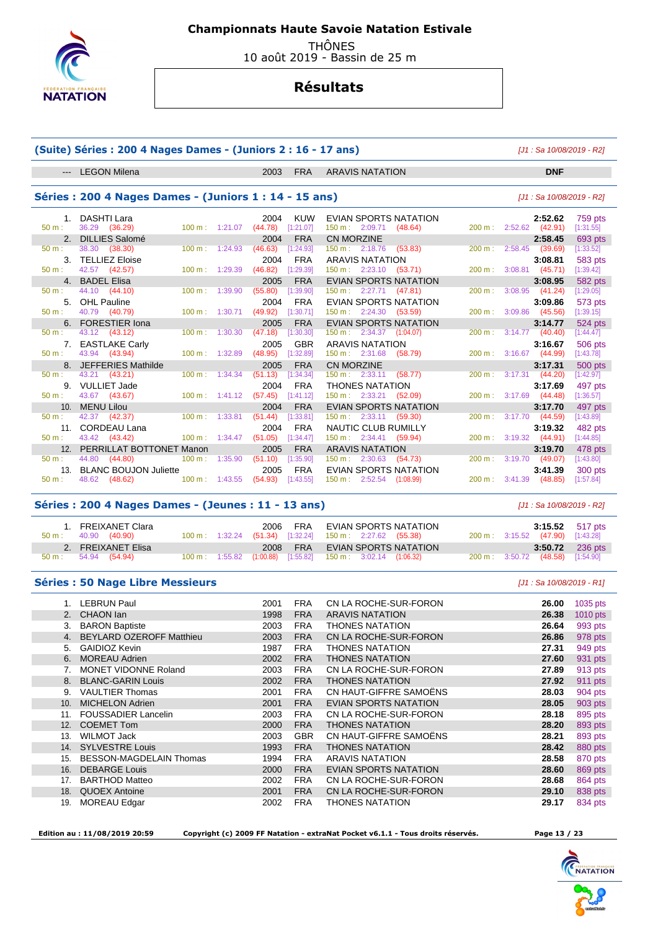

 THÔNES 10 août 2019 - Bassin de 25 m

# **Résultats**

|                | (Suite) Séries: 200 4 Nages Dames - (Juniors 2: 16 - 17 ans) |                   |                          |                 |                         |                                                       |        | [J1 : Sa 10/08/2019 - R2]    |                      |
|----------------|--------------------------------------------------------------|-------------------|--------------------------|-----------------|-------------------------|-------------------------------------------------------|--------|------------------------------|----------------------|
|                | --- LEGON Milena                                             |                   |                          | 2003            | <b>FRA</b>              | <b>ARAVIS NATATION</b>                                |        | <b>DNF</b>                   |                      |
|                | Séries: 200 4 Nages Dames - (Juniors 1 : 14 - 15 ans)        |                   |                          |                 |                         |                                                       |        | [J1 : Sa 10/08/2019 - R2]    |                      |
| 1.             | DASHTI Lara                                                  |                   |                          | 2004            | <b>KUW</b>              | EVIAN SPORTS NATATION                                 |        | 2:52.62                      | 759 pts              |
| $50 m$ :       | 36.29<br>(36.29)                                             | 100 m:            | 1:21.07                  | (44.78)         | [1:21.07]               | 150 m: 2:09.71<br>(48.64)                             | 200 m: | 2:52.62<br>(42.91)           | [1:31.55]            |
| 2.             | <b>DILLIES Salomé</b>                                        |                   |                          | 2004            | <b>FRA</b>              | <b>CN MORZINE</b>                                     |        | 2:58.45                      | 693 pts              |
| 50 m:          | 38.30<br>(38.30)                                             | 100 m:            | 1:24.93                  | (46.63)         | [1:24.93]               | 150 m: 2:18.76<br>(53.83)                             | 200 m: | 2:58.45 (39.69)              | [1:33.52]            |
| 3.<br>$50 m$ : | <b>TELLIEZ Eloise</b>                                        |                   |                          | 2004            | <b>FRA</b>              | <b>ARAVIS NATATION</b>                                |        | 3:08.81                      | 583 pts              |
|                | 42.57 (42.57)                                                | 100 m:            | 1:29.39                  | (46.82)         | [1:29.39]               | 150 m: 2:23.10<br>(53.71)                             | 200 m: | $3:08.81$ (45.71)            | [1:39.42]            |
| 4.<br>50 m:    | <b>BADEL Elisa</b><br>44.10<br>(44.10)                       | 100 m:            | 1:39.90                  | 2005<br>(55.80) | <b>FRA</b><br>[1:39.90] | <b>EVIAN SPORTS NATATION</b><br>150 m : 2:27.71       | 200 m: | 3:08.95<br>3:08.95           | 582 pts              |
|                | <b>OHL Pauline</b>                                           |                   |                          |                 |                         | (47.81)                                               |        | (41.24)                      | $[1:29.05]$          |
| 5.<br>50 m:    | 40.79<br>(40.79)                                             | 100 m:            | 1:30.71                  | 2004<br>(49.92) | <b>FRA</b><br>[1:30.71] | EVIAN SPORTS NATATION<br>2:24.30<br>150 m:<br>(53.59) | 200 m: | 3:09.86<br>$3:09.86$ (45.56) | 573 pts<br>[1:39.15] |
|                | 6. FORESTIER Iona                                            |                   |                          | 2005            | <b>FRA</b>              | <b>EVIAN SPORTS NATATION</b>                          |        | 3:14.77                      | 524 pts              |
| 50 m:          | 43.12 (43.12)                                                | 100 m:            | 1:30.30                  | (47.18)         | [1:30.30]               | 150 m : 2:34.37<br>(1:04.07)                          | 200 m: | $3:14.77$ (40.40)            | [1:44.47]            |
| 7.             | <b>EASTLAKE Carly</b>                                        |                   |                          | 2005            | <b>GBR</b>              | <b>ARAVIS NATATION</b>                                |        | 3:16.67                      | 506 pts              |
| $50 m$ :       | 43.94 (43.94)                                                | 100 m:            | 1:32.89                  | (48.95)         | [1:32.89]               | 150 m: 2:31.68<br>(58.79)                             | 200 m: | $3:16.67$ (44.99)            | [1:43.78]            |
|                | 8. JEFFERIES Mathilde                                        |                   |                          | 2005            | <b>FRA</b>              | <b>CN MORZINE</b>                                     |        | 3:17.31                      | 500 pts              |
| 50 m:          | 43.21 (43.21)                                                | 100 m:            | 1:34.34                  | (51.13)         | [1:34.34]               | $150 \text{ m}: 2:33.11$<br>(58.77)                   | 200 m: | $3:17.31$ (44.20)            | [1:42.97]            |
| 9.             | <b>VULLIET Jade</b>                                          |                   |                          | 2004            | <b>FRA</b>              | <b>THONES NATATION</b>                                |        | 3:17.69                      | 497 pts              |
| 50 m:          | 43.67<br>(43.67)                                             |                   | $100 \text{ m}: 1:41.12$ | (57.45)         | [1:41.12]               | 150 m : 2:33.21<br>(52.09)                            | 200 m: | 3:17.69<br>(44.48)           | [1:36.57]            |
| 10.            | <b>MENU Lilou</b>                                            |                   |                          | 2004            | <b>FRA</b>              | <b>EVIAN SPORTS NATATION</b>                          |        | 3:17.70                      | 497 pts              |
| 50 m:          | 42.37<br>(42.37)                                             | $100 \text{ m}$ : | 1:33.81                  | (51.44)         | [1:33.81]               | $150 \text{ m}$ :<br>2:33.11<br>(59.30)               | 200 m: | 3:17.70<br>(44.59)           | [1:43.89]            |
| 11.            | <b>CORDEAU Lana</b>                                          |                   |                          | 2004            | <b>FRA</b>              | NAUTIC CLUB RUMILLY                                   |        | 3:19.32                      | 482 pts              |
| 50 m:          | 43.42<br>(43.42)                                             | 100 m:            | 1:34.47                  | (51.05)         | [1:34.47]               | $150 \text{ m}: 2:34.41$<br>(59.94)                   | 200 m: | 3:19.32<br>(44.91)           | [1:44.85]            |
|                | 12. PERRILLAT BOTTONET Manon                                 |                   |                          | 2005            | <b>FRA</b>              | <b>ARAVIS NATATION</b>                                |        | 3:19.70                      | 478 pts              |
| 50 m:          | 44.80<br>(44.80)                                             | 100 m:            | 1:35.90                  | (51.10)         | [1:35.90]               | 150 m: 2:30.63<br>(54.73)                             | 200 m: | $3:19.70$ (49.07)            | [1:43.80]            |
| 13.            | <b>BLANC BOUJON Juliette</b>                                 |                   |                          | 2005            | <b>FRA</b>              | <b>EVIAN SPORTS NATATION</b>                          |        | 3:41.39                      | 300 pts              |
| 50 m:          | 48.62<br>(48.62)                                             | 100 m: 1:43.55    |                          | (54.93)         | [1:43.55]               | $150 \text{ m}: 2:52.54$<br>(1:08.99)                 | 200 m: | 3:41.39<br>(48.85)           | [1:57.84]            |
|                | Séries : 200 4 Nages Dames - (Jeunes : 11 - 13 ans)          |                   |                          |                 |                         |                                                       |        | [J1 : Sa 10/08/2019 - R2]    |                      |
|                | 1. FREIXANET Clara                                           |                   |                          | 2006            | <b>FRA</b>              | EVIAN SPORTS NATATION                                 |        | 3:15.52                      | 517 pts              |
| $50 m$ :       | 40.90<br>(40.90)                                             | 100 m: 1:32.24    |                          | (51.34)         | [1:32.24]               | 150 m : 2:27.62 (55.38)                               |        | 200 m: 3:15.52 (47.90)       | [1:43.28]            |
| 2.             | <b>FREIXANET Elisa</b>                                       |                   |                          | 2008            | <b>FRA</b>              | <b>EVIAN SPORTS NATATION</b>                          |        | 3:50.72                      | 236 pts              |
| 50 m:          | 54.94<br>(54.94)                                             |                   | 100 m: 1:55.82           | (1:00.88)       | [1:55.82]               | $150 \text{ m}: 3:02.14$ $(1:06.32)$                  | 200 m: | 3:50.72<br>(48.58)           | [1:54.90]            |
|                | <b>Séries : 50 Nage Libre Messieurs</b>                      |                   |                          |                 |                         |                                                       |        | $[J1: Sa 10/08/2019 - R1]$   |                      |
|                | 1. LEBRUN Paul                                               |                   |                          | 2001            | <b>FRA</b>              | CN LA ROCHE-SUR-FORON                                 |        | 26.00                        | 1035 pts             |
|                | 2. CHAON lan                                                 |                   |                          | 1998            | <b>FRA</b>              | <b>ARAVIS NATATION</b>                                |        | 26.38                        | 1010 pts             |
| 3.             | <b>BARON Baptiste</b>                                        |                   |                          | 2003            | <b>FRA</b>              | <b>THONES NATATION</b>                                |        | 26.64                        | 993 pts              |
|                | 4. BEYLARD OZEROFF Matthieu                                  |                   |                          | 2003            | <b>FRA</b>              | CN LA ROCHE-SUR-FORON                                 |        | 26.86                        | 978 pts              |
| 5.             | <b>GAIDIOZ Kevin</b>                                         |                   |                          | 1987            | <b>FRA</b>              | <b>THONES NATATION</b>                                |        | 27.31                        | 949 pts              |
|                | 6. MOREAU Adrien                                             |                   |                          | 2002            | <b>FRA</b>              | <b>THONES NATATION</b>                                |        | 27.60                        | 931 pts              |
|                | 7. MONET VIDONNE Roland                                      |                   |                          | 2003            | <b>FRA</b>              | CN LA ROCHE-SUR-FORON                                 |        | 27.89                        | 913 pts              |
|                | 8. BLANC-GARIN Louis                                         |                   |                          | 2002            | <b>FRA</b>              | THONES NATATION                                       |        | 27.92                        | 911 pts              |
|                | 9. VAULTIER Thomas                                           |                   |                          | 2001            | <b>FRA</b>              | CN HAUT-GIFFRE SAMOËNS                                |        | 28.03                        | 904 pts              |
|                | 10. MICHELON Adrien                                          |                   |                          | 2001            | <b>FRA</b>              | EVIAN SPORTS NATATION                                 |        | 28.05                        | 903 pts              |
|                | 11. FOUSSADIER Lancelin                                      |                   |                          | 2003            | FRA                     | CN LA ROCHE-SUR-FORON                                 |        | 28.18                        | 895 pts              |

12. COEMET Tom 2000 FRA THONES NATATION **28.20** 893 pts

 14. SYLVESTRE Louis 1993 FRA THONES NATATION **28.42** 880 pts 15. BESSON-MAGDELAIN Thomas 1994 FRA ARAVIS NATATION **28.58** 870 pts

17. BARTHOD Matteo 2002 FRA CN LA ROCHE-SUR-FORON **28.68** 864 pts

19. MOREAU Edgar 2002 FRA THONES NATATION **29.17** 834 pts

 $EVIAN$  SPORTS NATATION

13. WILMOT Jack 28.21 **2003 GBR CN HAUT-GIFFRE SAMOËNS** 28.21

 **Edition au : 11/08/2019 20:59 Copyright (c) 2009 FF Natation - extraNat Pocket v6.1.1 - Tous droits réservés. Page 13 / 23** 

18. QUOEX Antoine 2001 FRA CN LA ROCHE-SUR-FORON

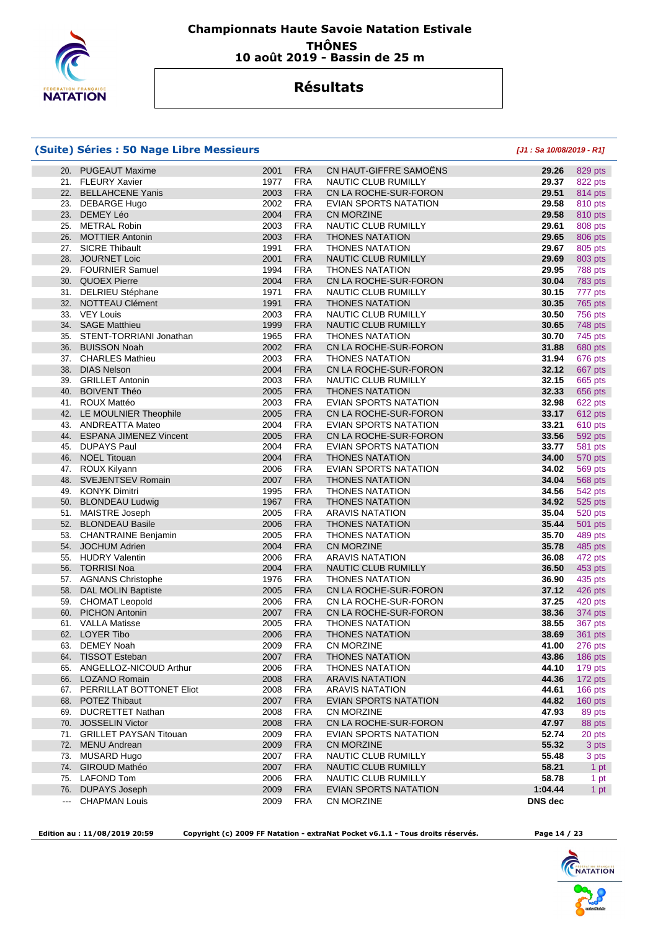

### **Championnats Haute Savoie Natation Estivale THÔNES 10 août 2019 - Bassin de 25 m**

## **Résultats**

#### **(Suite) Séries : 50 Nage Libre Messieurs [J1 : Sa 10/08/2019 - R1]**

| 20.           | <b>PUGEAUT Maxime</b>         | 2001         | <b>FRA</b> | CN HAUT-GIFFRE SAMOENS                          | 29.26          | 829 pts            |
|---------------|-------------------------------|--------------|------------|-------------------------------------------------|----------------|--------------------|
|               | 21. FLEURY Xavier             | 1977         | <b>FRA</b> | NAUTIC CLUB RUMILLY                             | 29.37          | 822 pts            |
| 22.           | <b>BELLAHCENE Yanis</b>       | 2003         | <b>FRA</b> | CN LA ROCHE-SUR-FORON                           | 29.51          | 814 pts            |
| 23.           | <b>DEBARGE Hugo</b>           | 2002         | <b>FRA</b> | EVIAN SPORTS NATATION                           | 29.58          | 810 pts            |
| 23.           | DEMEY Léo                     | 2004         | <b>FRA</b> | <b>CN MORZINE</b>                               | 29.58          | 810 pts            |
| 25.           | <b>METRAL Robin</b>           | 2003         | <b>FRA</b> | NAUTIC CLUB RUMILLY                             | 29.61          | 808 pts            |
| 26.           | <b>MOTTIER Antonin</b>        | 2003         | <b>FRA</b> | <b>THONES NATATION</b>                          | 29.65          | 806 pts            |
| 27.           | <b>SICRE Thibault</b>         | 1991         | <b>FRA</b> | <b>THONES NATATION</b>                          | 29.67          | 805 pts            |
| 28.           | <b>JOURNET Loic</b>           | 2001         | <b>FRA</b> | NAUTIC CLUB RUMILLY                             | 29.69          | 803 pts            |
| 29.           | <b>FOURNIER Samuel</b>        | 1994         | <b>FRA</b> | <b>THONES NATATION</b>                          | 29.95          | 788 pts            |
| 30.           | <b>QUOEX Pierre</b>           | 2004         | <b>FRA</b> | CN LA ROCHE-SUR-FORON                           | 30.04          | 783 pts            |
|               | 31. DELRIEU Stéphane          | 1971         | <b>FRA</b> | NAUTIC CLUB RUMILLY                             | 30.15          | 777 pts            |
| 32.           | NOTTEAU Clément               | 1991         | <b>FRA</b> | <b>THONES NATATION</b>                          | 30.35          | 765 pts            |
| 33.           | <b>VEY Louis</b>              | 2003         | <b>FRA</b> | NAUTIC CLUB RUMILLY                             | 30.50          | 756 pts            |
| 34.           | <b>SAGE Matthieu</b>          | 1999         | <b>FRA</b> | NAUTIC CLUB RUMILLY                             | 30.65          | 748 pts            |
| 35.           | STENT-TORRIANI Jonathan       | 1965         | <b>FRA</b> | <b>THONES NATATION</b>                          | 30.70          | 745 pts            |
| 36.           | <b>BUISSON Noah</b>           | 2002         | <b>FRA</b> | CN LA ROCHE-SUR-FORON                           | 31.88          | 680 pts            |
|               | 37. CHARLES Mathieu           | 2003         | <b>FRA</b> | <b>THONES NATATION</b>                          | 31.94          | 676 pts            |
| 38.           | <b>DIAS Nelson</b>            | 2004         | <b>FRA</b> | CN LA ROCHE-SUR-FORON                           | 32.12          | 667 pts            |
| 39.           | <b>GRILLET Antonin</b>        | 2003         | <b>FRA</b> | NAUTIC CLUB RUMILLY                             | 32.15          | 665 pts            |
| 40.           | <b>BOIVENT Théo</b>           | 2005         | <b>FRA</b> | <b>THONES NATATION</b>                          | 32.33          | 656 pts            |
| 41.           | ROUX Mattéo                   | 2003         | <b>FRA</b> | EVIAN SPORTS NATATION                           | 32.98          |                    |
| 42.           | LE MOULNIER Theophile         | 2005         | <b>FRA</b> | CN LA ROCHE-SUR-FORON                           | 33.17          | 622 pts<br>612 pts |
|               |                               |              | <b>FRA</b> | EVIAN SPORTS NATATION                           | 33.21          |                    |
| 43.<br>44.    | ANDREATTA Mateo               | 2004<br>2005 | <b>FRA</b> | CN LA ROCHE-SUR-FORON                           |                | 610 pts            |
|               | <b>ESPANA JIMENEZ Vincent</b> |              |            |                                                 | 33.56          | 592 pts            |
| 45.           | <b>DUPAYS Paul</b>            | 2004         | <b>FRA</b> | EVIAN SPORTS NATATION<br><b>THONES NATATION</b> | 33.77          | 581 pts            |
| 46.           | <b>NOEL Titouan</b>           | 2004         | <b>FRA</b> |                                                 | 34.00          | 570 pts            |
| 47.           | <b>ROUX Kilyann</b>           | 2006         | <b>FRA</b> | EVIAN SPORTS NATATION                           | 34.02          | 569 pts            |
| 48.           | <b>SVEJENTSEV Romain</b>      | 2007         | <b>FRA</b> | <b>THONES NATATION</b>                          | 34.04          | <b>568 pts</b>     |
| 49.           | KONYK Dimitri                 | 1995         | <b>FRA</b> | <b>THONES NATATION</b>                          | 34.56          | 542 pts            |
| 50.           | <b>BLONDEAU Ludwig</b>        | 1967         | <b>FRA</b> | <b>THONES NATATION</b>                          | 34.92          | 525 pts            |
| 51.           | <b>MAISTRE Joseph</b>         | 2005         | <b>FRA</b> | <b>ARAVIS NATATION</b>                          | 35.04          | 520 pts            |
| 52.           | <b>BLONDEAU Basile</b>        | 2006         | <b>FRA</b> | <b>THONES NATATION</b>                          | 35.44          | <b>501 pts</b>     |
| 53.           | <b>CHANTRAINE Benjamin</b>    | 2005         | <b>FRA</b> | <b>THONES NATATION</b>                          | 35.70          | 489 pts            |
| 54.           | <b>JOCHUM Adrien</b>          | 2004         | <b>FRA</b> | <b>CN MORZINE</b>                               | 35.78          | 485 pts            |
| 55.           | <b>HUDRY Valentin</b>         | 2006         | <b>FRA</b> | <b>ARAVIS NATATION</b>                          | 36.08          | 472 pts            |
| 56.           | <b>TORRISI Noa</b>            | 2004         | <b>FRA</b> | NAUTIC CLUB RUMILLY                             | 36.50          | 453 pts            |
| 57.           | <b>AGNANS Christophe</b>      | 1976         | <b>FRA</b> | <b>THONES NATATION</b>                          | 36.90          | 435 pts            |
| 58.           | <b>DAL MOLIN Baptiste</b>     | 2005         | <b>FRA</b> | CN LA ROCHE-SUR-FORON                           | 37.12          | 426 pts            |
| 59.           | <b>CHOMAT Leopold</b>         | 2006         | <b>FRA</b> | CN LA ROCHE-SUR-FORON                           | 37.25          | 420 pts            |
| 60.           | <b>PICHON Antonin</b>         | 2007         | <b>FRA</b> | CN LA ROCHE-SUR-FORON                           | 38.36          | 374 pts            |
| 61.           | <b>VALLA Matisse</b>          | 2005         | <b>FRA</b> | <b>THONES NATATION</b>                          | 38.55          | 367 pts            |
| 62.           | <b>LOYER Tibo</b>             | 2006         | <b>FRA</b> | <b>THONES NATATION</b>                          | 38.69          | 361 pts            |
| 63.           | DEMEY Noah                    | 2009         | <b>FRA</b> | CN MORZINE                                      | 41.00          | 276 pts            |
|               | 64. TISSOT Esteban            | 2007         | <b>FRA</b> | THONES NATATION                                 | 43.86          | 186 pts            |
|               | 65. ANGELLOZ-NICOUD Arthur    | 2006         | <b>FRA</b> | <b>THONES NATATION</b>                          | 44.10          | 179 pts            |
| 66.           | LOZANO Romain                 | 2008         | <b>FRA</b> | <b>ARAVIS NATATION</b>                          | 44.36          | 172 pts            |
|               | 67. PERRILLAT BOTTONET Eliot  | 2008         | <b>FRA</b> | <b>ARAVIS NATATION</b>                          | 44.61          | 166 pts            |
|               | 68. POTEZ Thibaut             | 2007         | <b>FRA</b> | EVIAN SPORTS NATATION                           | 44.82          | 160 pts            |
| 69.           | <b>DUCRETTET Nathan</b>       | 2008         | <b>FRA</b> | CN MORZINE                                      | 47.93          | 89 pts             |
| 70.           | <b>JOSSELIN Victor</b>        | 2008         | <b>FRA</b> | CN LA ROCHE-SUR-FORON                           | 47.97          | 88 pts             |
|               | 71. GRILLET PAYSAN Titouan    | 2009         | <b>FRA</b> | EVIAN SPORTS NATATION                           | 52.74          | 20 pts             |
| 72.           | <b>MENU Andrean</b>           | 2009         | <b>FRA</b> | CN MORZINE                                      | 55.32          | 3 pts              |
| 73.           | MUSARD Hugo                   | 2007         | <b>FRA</b> | NAUTIC CLUB RUMILLY                             | 55.48          | 3 pts              |
| 74.           | <b>GIROUD Mathéo</b>          | 2007         | <b>FRA</b> | NAUTIC CLUB RUMILLY                             | 58.21          | 1 pt               |
| 75.           | LAFOND Tom                    | 2006         | <b>FRA</b> | NAUTIC CLUB RUMILLY                             | 58.78          | 1 pt               |
| 76.           | <b>DUPAYS Joseph</b>          | 2009         | <b>FRA</b> | EVIAN SPORTS NATATION                           | 1:04.44        | 1 pt               |
| $\frac{1}{2}$ | <b>CHAPMAN Louis</b>          | 2009         | <b>FRA</b> | CN MORZINE                                      | <b>DNS</b> dec |                    |
|               |                               |              |            |                                                 |                |                    |

 **Edition au : 11/08/2019 20:59 Copyright (c) 2009 FF Natation - extraNat Pocket v6.1.1 - Tous droits réservés. Page 14 / 23** 

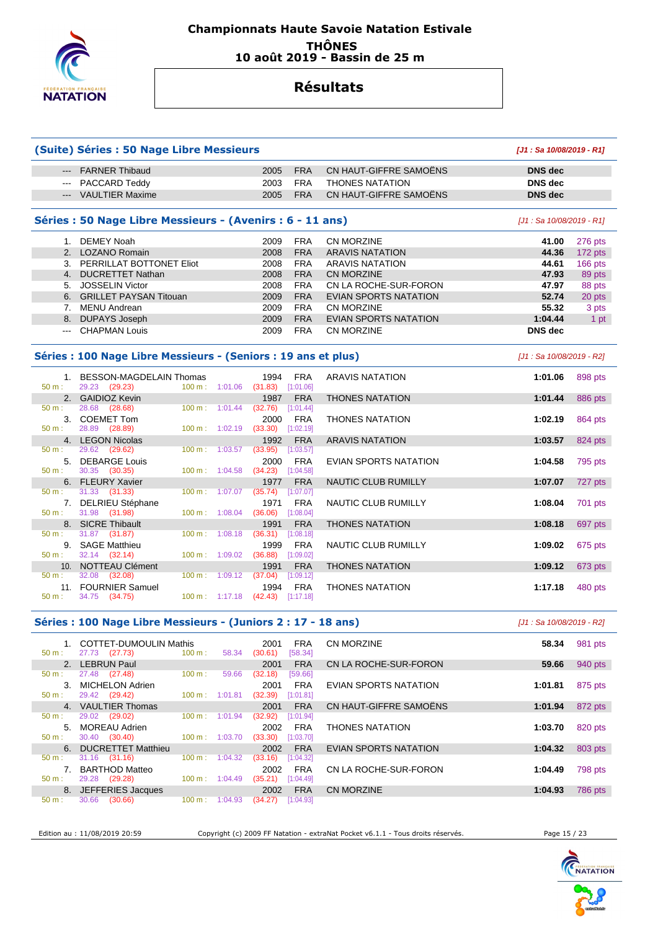

### **Championnats Haute Savoie Natation Estivale THÔNES 10 août 2019 - Bassin de 25 m**

# **Résultats**

|               | (Suite) Séries : 50 Nage Libre Messieurs                       |                                                |                       |                             |            |                              | [J1: Sa 10/08/2019 - R1]  |           |
|---------------|----------------------------------------------------------------|------------------------------------------------|-----------------------|-----------------------------|------------|------------------------------|---------------------------|-----------|
| ---           | <b>FARNER Thibaud</b>                                          |                                                |                       | 2005                        | <b>FRA</b> | CN HAUT-GIFFRE SAMOENS       | <b>DNS</b> dec            |           |
| $\sim$ $\sim$ | PACCARD Teddy                                                  |                                                |                       | 2003                        | <b>FRA</b> | <b>THONES NATATION</b>       | <b>DNS</b> dec            |           |
|               | --- VAULTIER Maxime                                            |                                                |                       | 2005                        | <b>FRA</b> | CN HAUT-GIFFRE SAMOENS       | <b>DNS</b> dec            |           |
|               | Séries : 50 Nage Libre Messieurs - (Avenirs : 6 - 11 ans)      |                                                |                       |                             |            |                              | [J1 : Sa 10/08/2019 - R1] |           |
|               | 1. DEMEY Noah                                                  |                                                |                       | 2009                        | <b>FRA</b> | <b>CN MORZINE</b>            | 41.00                     | 276 pts   |
|               | 2. LOZANO Romain                                               |                                                |                       | 2008                        | <b>FRA</b> | <b>ARAVIS NATATION</b>       | 44.36                     | 172 pts   |
|               | 3. PERRILLAT BOTTONET Eliot                                    |                                                |                       | 2008                        | <b>FRA</b> | <b>ARAVIS NATATION</b>       | 44.61                     | $166$ pts |
|               | 4. DUCRETTET Nathan                                            |                                                |                       | 2008                        | <b>FRA</b> | <b>CN MORZINE</b>            | 47.93                     | 89 pts    |
|               | 5. JOSSELIN Victor                                             |                                                |                       | 2008                        | <b>FRA</b> | CN LA ROCHE-SUR-FORON        | 47.97                     | 88 pts    |
| 6.            | <b>GRILLET PAYSAN Titouan</b>                                  |                                                |                       | 2009                        | <b>FRA</b> | <b>EVIAN SPORTS NATATION</b> | 52.74                     |           |
|               |                                                                |                                                |                       |                             |            | <b>CN MORZINE</b>            |                           | 20 pts    |
|               | 7. MENU Andrean                                                |                                                |                       | 2009                        | <b>FRA</b> |                              | 55.32                     | 3 pts     |
|               | 8. DUPAYS Joseph                                               |                                                |                       | 2009                        | <b>FRA</b> | <b>EVIAN SPORTS NATATION</b> | 1:04.44                   | 1 pt      |
| $---$         | <b>CHAPMAN Louis</b>                                           |                                                |                       | 2009                        | <b>FRA</b> | CN MORZINE                   | <b>DNS</b> dec            |           |
|               | Séries : 100 Nage Libre Messieurs - (Seniors : 19 ans et plus) |                                                |                       |                             |            |                              | [J1 : Sa 10/08/2019 - R2] |           |
| 50 m:         | 1. BESSON-MAGDELAIN Thomas<br>29.23 (29.23)                    | 100 m:                                         | 1:01.06               | 1994<br>$(31.83)$ [1:01.06] | <b>FRA</b> | <b>ARAVIS NATATION</b>       | 1:01.06                   | 898 pts   |
|               | 2. GAIDIOZ Kevin                                               |                                                |                       | 1987                        | <b>FRA</b> | <b>THONES NATATION</b>       | 1:01.44                   | 886 pts   |
| 50 m:         | 28.68 (28.68)                                                  | $100 \text{ m}$ :                              | 1:01.44               | (32.76)                     | [1:01.44]  |                              |                           |           |
|               | 3. COEMET Tom                                                  |                                                |                       | 2000                        | <b>FRA</b> | <b>THONES NATATION</b>       | 1:02.19                   | 864 pts   |
| 50 m:         | 28.89 (28.89)                                                  | $100 m$ : $1:02.19$                            |                       | $(33.30)$ $[1:02.19]$       |            |                              |                           |           |
|               | 4. LEGON Nicolas                                               |                                                |                       | 1992                        | <b>FRA</b> | <b>ARAVIS NATATION</b>       | 1:03.57                   | 824 pts   |
| 50 m:         | 29.62 (29.62)                                                  | 100 m: 1:03.57                                 |                       | (33.95)                     | [1:03.57]  |                              |                           |           |
|               | 5. DEBARGE Louis                                               |                                                |                       | 2000                        | <b>FRA</b> | EVIAN SPORTS NATATION        | 1:04.58                   |           |
| 50 m:         | 30.35<br>(30.35)                                               | 100 m: 1:04.58                                 |                       | (34.23)                     | [1:04.58]  |                              |                           | 795 pts   |
|               | 6. FLEURY Xavier                                               |                                                |                       | 1977                        | <b>FRA</b> | <b>NAUTIC CLUB RUMILLY</b>   | 1:07.07                   | 727 pts   |
| 50 m:         | 31.33 (31.33)                                                  | 100 m: 1:07.07                                 |                       | (35.74)                     | [1:07.07]  |                              |                           |           |
|               | 7. DELRIEU Stéphane                                            |                                                |                       | 1971                        | <b>FRA</b> | NAUTIC CLUB RUMILLY          | 1:08.04                   | 701 pts   |
| 50 m:         | 31.98 (31.98)                                                  | 100 m:                                         | 1:08.04               | (36.06)                     | [1:08.04]  |                              |                           |           |
|               | 8. SICRE Thibault                                              |                                                |                       | 1991                        | <b>FRA</b> | <b>THONES NATATION</b>       | 1:08.18                   | 697 pts   |
| 50 m:         | 31.87 (31.87)                                                  | $100 \text{ m}$ :                              | 1:08.18               | (36.31)                     | [1:08.18]  |                              |                           |           |
|               | 9. SAGE Matthieu                                               |                                                |                       | 1999                        | <b>FRA</b> | NAUTIC CLUB RUMILLY          | 1:09.02                   | 675 pts   |
| 50 m:         | 32.14 (32.14)                                                  | $100 m$ : $1:09.02$                            |                       | (36.88)                     | [1:09.02]  |                              |                           |           |
|               | 10. NOTTEAU Clément                                            |                                                |                       | 1991                        | <b>FRA</b> | <b>THONES NATATION</b>       | 1:09.12                   | 673 pts   |
| 50 m:         | 32.08 (32.08)                                                  | 100 m:                                         | 1:09.12               | (37.04)                     | [1:09.12]  |                              |                           |           |
|               | 11. FOURNIER Samuel                                            |                                                |                       | 1994                        | <b>FRA</b> | <b>THONES NATATION</b>       | 1:17.18                   | 480 pts   |
| 50 m:         | 34.75 (34.75)                                                  | $100 \text{ m}: 1:17.18$ $(42.43)$ $[1:17.18]$ |                       |                             |            |                              |                           |           |
|               |                                                                |                                                |                       |                             |            |                              |                           |           |
|               | Séries : 100 Nage Libre Messieurs - (Juniors 2 : 17 - 18 ans)  |                                                |                       |                             |            |                              | [J1 : Sa 10/08/2019 - R2] |           |
| 50 m:         | 1. COTTET-DUMOULIN Mathis                                      | $100 m$ :                                      | 58.34 (30.61) [58.34] | 2001                        | FRA        | CN MORZINE                   | 58.34                     | 981 pts   |
|               | 27.73 (27.73)<br>2. LEBRUN Paul                                |                                                |                       |                             | <b>FRA</b> | CN LA ROCHE-SUR-FORON        |                           | 940 pts   |
| $50 m$ :      | 27.48 (27.48)                                                  | 100 m:                                         | 59.66                 | 2001<br>(32.18)             | [59.66]    |                              | 59.66                     |           |
|               |                                                                |                                                |                       |                             |            |                              |                           |           |
| 50 m:         | 3. MICHELON Adrien<br>29.42 (29.42)                            | 100 m: 1:01.81 (32.39) [1:01.81]               |                       | 2001                        | FRA        | EVIAN SPORTS NATATION        | 1:01.81                   | 875 pts   |
|               | 4. VAULTIER Thomas                                             |                                                |                       |                             |            | CN HAUT-GIFFRE SAMOENS       | 1:01.94                   |           |
| 50 m:         | 29.02 (29.02)                                                  | 100 m : 1:01.94 (32.92) [1:01.94]              |                       | 2001                        | <b>FRA</b> |                              |                           | 872 pts   |
|               | 5. MOREAU Adrien                                               |                                                |                       | 2002                        |            |                              | 1:03.70                   | 820 pts   |
| 50 m:         | 30.40 (30.40)                                                  | 100 m: 1:03.70 (33.30) [1:03.70]               |                       |                             | FRA        | THONES NATATION              |                           |           |
|               | 6. DUCRETTET Matthieu                                          |                                                |                       | 2002                        | <b>FRA</b> | EVIAN SPORTS NATATION        | 1:04.32                   |           |
| 50 m:         | 31.16 (31.16)                                                  | 100 m: 1:04.32 (33.16) [1:04.32]               |                       |                             |            |                              |                           | 803 pts   |
|               |                                                                |                                                |                       |                             |            |                              |                           |           |
| $50 m$ :      | 7. BARTHOD Matteo<br>29.28 (29.28)                             | 100 m: 1:04.49 (35.21) [1:04.49]               |                       | 2002                        | FRA        | CN LA ROCHE-SUR-FORON        | 1:04.49                   | 798 pts   |
|               | 8. JEFFERIES Jacques                                           |                                                |                       | 2002                        | <b>FRA</b> | CN MORZINE                   | 1:04.93                   |           |
|               |                                                                |                                                |                       |                             |            |                              |                           | 786 pts   |
| $50 m$ :      | 30.66 (30.66)                                                  | $100 \text{ m}: 1:04.93$                       |                       | $(34.27)$ [1:04.93]         |            |                              |                           |           |

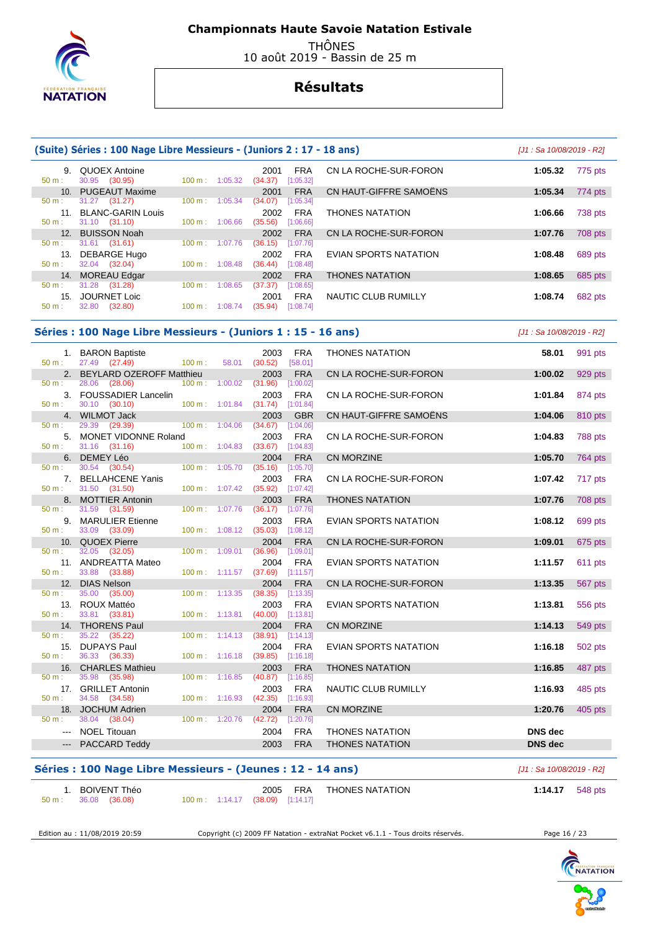

 THÔNES 10 août 2019 - Bassin de 25 m

# **Résultats**

|                 | (Suite) Séries : 100 Nage Libre Messieurs - (Juniors 2 : 17 - 18 ans) |                   |                             |         |            |                              |                           | [J1 : Sa 10/08/2019 - R2] |
|-----------------|-----------------------------------------------------------------------|-------------------|-----------------------------|---------|------------|------------------------------|---------------------------|---------------------------|
|                 | 9. QUOEX Antoine                                                      |                   |                             | 2001    | <b>FRA</b> | CN LA ROCHE-SUR-FORON        | 1:05.32                   | 775 pts                   |
| $50 m$ :        | 30.95 (30.95)                                                         |                   | $100 \text{ m}: 1:05.32$    | (34.37) | [1:05.32]  |                              |                           |                           |
| 10 <sub>1</sub> | <b>PUGEAUT Maxime</b>                                                 |                   |                             | 2001    | <b>FRA</b> | CN HAUT-GIFFRE SAMOËNS       | 1:05.34                   | 774 pts                   |
| $50 m$ :        | 31.27 (31.27)                                                         |                   | 100 m: 1:05.34              | (34.07) | [1:05.34]  |                              |                           |                           |
| 11.             | <b>BLANC-GARIN Louis</b>                                              |                   |                             | 2002    | <b>FRA</b> | <b>THONES NATATION</b>       | 1:06.66                   | 738 pts                   |
| 50 m:           | 31.10 (31.10)                                                         | $100 m$ :         | 1:06.66                     | (35.56) | [1:06.66]  |                              |                           |                           |
|                 | 12. BUISSON Noah                                                      |                   |                             | 2002    | <b>FRA</b> | CN LA ROCHE-SUR-FORON        | 1:07.76                   | 708 pts                   |
| 50 m:           | $31.61$ (31.61)                                                       |                   | 100 m: 1:07.76              | (36.15) | [1:07.76]  |                              |                           |                           |
|                 | 13. DEBARGE Hugo                                                      |                   |                             | 2002    | <b>FRA</b> | EVIAN SPORTS NATATION        | 1:08.48                   | 689 pts                   |
| $50 m$ :        | 32.04 (32.04)                                                         |                   | 100 m: 1:08.48              | (36.44) | [1:08.48]  |                              |                           |                           |
| 14.             | <b>MOREAU Edgar</b>                                                   |                   |                             | 2002    | <b>FRA</b> | <b>THONES NATATION</b>       | 1:08.65                   | 685 pts                   |
| 50 m:           | 31.28 (31.28)                                                         | 100 m:            | 1:08.65                     | (37.37) | [1:08.65]  |                              |                           |                           |
| 15.             | <b>JOURNET Loic</b>                                                   |                   |                             | 2001    | <b>FRA</b> | NAUTIC CLUB RUMILLY          | 1:08.74                   | 682 pts                   |
| 50 m:           | 32.80 (32.80)                                                         |                   | 100 m: 1:08.74              | (35.94) | [1:08.74]  |                              |                           |                           |
|                 | Séries : 100 Nage Libre Messieurs - (Juniors 1 : 15 - 16 ans)         |                   |                             |         |            |                              | [J1 : Sa 10/08/2019 - R2] |                           |
|                 | 1. BARON Baptiste                                                     |                   |                             | 2003    | <b>FRA</b> | THONES NATATION              | 58.01                     | 991 pts                   |
| 50 m:           | 27.49 (27.49)                                                         | 100 m:            | 58.01                       | (30.52) | [58.01]    |                              |                           |                           |
|                 | 2. BEYLARD OZEROFF Matthieu                                           |                   |                             | 2003    | <b>FRA</b> | CN LA ROCHE-SUR-FORON        | 1:00.02                   | 929 pts                   |
| 50 m:           | 28.06 (28.06)                                                         | 100 m:            | 1:00.02                     | (31.96) | [1:00.02]  |                              |                           |                           |
|                 | 3. FOUSSADIER Lancelin                                                |                   |                             | 2003    | <b>FRA</b> | CN LA ROCHE-SUR-FORON        | 1:01.84                   | 874 pts                   |
| 50 m:           | 30.10 (30.10)                                                         | 100 m: 1:01.84    |                             | (31.74) | [1:01.84]  |                              |                           |                           |
|                 | 4. WILMOT Jack                                                        |                   |                             | 2003    | <b>GBR</b> | CN HAUT-GIFFRE SAMOËNS       | 1:04.06                   | 810 pts                   |
| 50 m:           | 29.39 (29.39)                                                         | $100 \text{ m}$ : | 1:04.06                     | (34.67) | [1:04.06]  |                              |                           |                           |
| 5.              | MONET VIDONNE Roland                                                  |                   |                             | 2003    | <b>FRA</b> | CN LA ROCHE-SUR-FORON        | 1:04.83                   | 788 pts                   |
| $50 m$ :        | 31.16 (31.16)                                                         |                   | $100 \text{ m}$ : $1:04.83$ | (33.67) | [1:04.83]  |                              |                           |                           |
| 6.              | DEMEY Léo                                                             |                   |                             | 2004    | <b>FRA</b> | CN MORZINE                   | 1:05.70                   | 764 pts                   |
| 50 m:           | 30.54 (30.54)                                                         | 100 m:            | 1:05.70                     | (35.16) | [1:05.70]  |                              |                           |                           |
| 7.              | <b>BELLAHCENE Yanis</b>                                               |                   |                             | 2003    | <b>FRA</b> | CN LA ROCHE-SUR-FORON        | 1:07.42                   | 717 pts                   |
| 50 m:           | 31.50 (31.50)                                                         |                   | 100 m: 1:07.42              | (35.92) | [1:07.42]  |                              |                           |                           |
|                 | 8. MOTTIER Antonin                                                    |                   |                             | 2003    | <b>FRA</b> | <b>THONES NATATION</b>       | 1:07.76                   | <b>708 pts</b>            |
| $50 m$ :        | 31.59<br>(31.59)                                                      |                   | 100 m: 1:07.76              | (36.17) | [1:07.76]  |                              |                           |                           |
| 9.              | <b>MARULIER Etienne</b>                                               |                   |                             | 2003    | <b>FRA</b> | <b>EVIAN SPORTS NATATION</b> | 1:08.12                   | 699 pts                   |
| $50 m$ :        | 33.09 (33.09)                                                         | 100 m:            | 1:08.12                     | (35.03) | [1:08.12]  |                              |                           |                           |
| 10 <sub>1</sub> | QUOEX Pierre                                                          |                   |                             | 2004    | <b>FRA</b> | CN LA ROCHE-SUR-FORON        | 1:09.01                   | 675 pts                   |
| $50 m$ :        | 32.05 (32.05)                                                         | $100 m$ :         | 1:09.01                     | (36.96) | [1:09.01]  |                              |                           |                           |
|                 | 11. ANDREATTA Mateo                                                   |                   |                             | 2004    | <b>FRA</b> | <b>EVIAN SPORTS NATATION</b> | 1:11.57                   | 611 pts                   |
|                 | 33.88<br>(33.88)                                                      |                   | 100 m: 1:11.57              | (37.69) | [1:11.57]  |                              |                           |                           |
|                 |                                                                       |                   |                             |         |            |                              |                           |                           |
| $50 m$ :<br>12. | <b>DIAS Nelson</b>                                                    |                   |                             | 2004    | <b>FRA</b> | CN LA ROCHE-SUR-FORON        | 1:13.35                   | 567 pts                   |

| Séries : 100 Nage Libre Messieurs - (Jeunes : 12 - 14 ans) | [J1 : Sa 10/08/2019 - R2]                                       |                        |
|------------------------------------------------------------|-----------------------------------------------------------------|------------------------|
| . BOIVENT Théo<br>50 m : 36.08 (36.08)                     | THONES NATATION<br>2005 FRA<br>100 m: 1:14.17 (38.09) [1:14.17] | <b>1:14.17</b> 548 pts |

13. ROUX Mattéo 2003 FRA EVIAN SPORTS NATATION **1:13.81** 556 pts

14. THORENS Paul 2004 FRA CN MORZINE **1:14.13** 549 pts

15. DUPAYS Paul 2004 FRA EVIAN SPORTS NATATION **1:16.18** 502 pts

16. CHARLES Mathieu 2003 FRA THONES NATATION **1:16.85** 487 pts

17. GRILLET Antonin 2003 FRA NAUTIC CLUB RUMILLY **1:16.93** 485 pts

18. JOCHUM Adrien 2004 FRA CN MORZINE **1:20.76** 405 pts

 --- NOEL Titouan 2004 FRA THONES NATATION **DNS dec**  --- PACCARD Teddy 2003 FRA THONES NATATION **DNS dec** 

 $(40.00)$  [1:13.81]

 $(39.85)$   $[1:16.18]$ 

 $(38.91)$ 

50 m : 35.98 (35.98) 100 m : 1:16.85 (40.87) [1:16.85]

50 m : 34.58 (34.58) 100 m : 1:16.93 (42.35) [1:16.93]

38.04 (38.04)

Edition au : 11/08/2019 20:59 Copyright (c) 2009 FF Natation - extraNat Pocket v6.1.1 - Tous droits réservés. Page 16 / 23

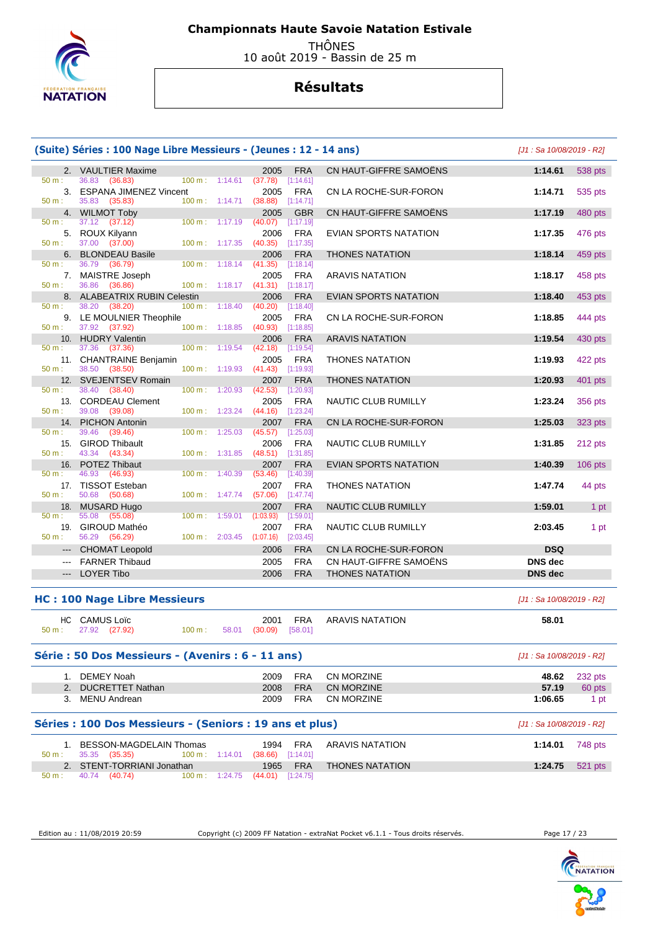

 THÔNES 10 août 2019 - Bassin de 25 m

# **Résultats**

|                                                                                                                                                                                                                                                                                                                                                                                                                                                                            | (Suite) Séries : 100 Nage Libre Messieurs - (Jeunes : 12 - 14 ans) |                          |         |                                          |                          |                                        | [J1 : Sa 10/08/2019 - R2] |                |
|----------------------------------------------------------------------------------------------------------------------------------------------------------------------------------------------------------------------------------------------------------------------------------------------------------------------------------------------------------------------------------------------------------------------------------------------------------------------------|--------------------------------------------------------------------|--------------------------|---------|------------------------------------------|--------------------------|----------------------------------------|---------------------------|----------------|
|                                                                                                                                                                                                                                                                                                                                                                                                                                                                            | 2. VAULTIER Maxime                                                 |                          |         | 2005                                     | <b>FRA</b>               | CN HAUT-GIFFRE SAMOËNS                 | 1:14.61                   | 538 pts        |
| $50 m$ :                                                                                                                                                                                                                                                                                                                                                                                                                                                                   | 36.83<br>(36.83)<br>3. ESPANA JIMENEZ Vincent                      | $100 \text{ m}: 1:14.61$ |         | (37.78)<br>2005                          | [1:14.61]<br><b>FRA</b>  | CN LA ROCHE-SUR-FORON                  | 1:14.71                   | 535 pts        |
| 50 m:                                                                                                                                                                                                                                                                                                                                                                                                                                                                      | 35.83 (35.83)<br>4. WILMOT Toby                                    | 100 m: 1:14.71           |         | (38.88)<br>2005                          | [1:14.71]<br><b>GBR</b>  | CN HAUT-GIFFRE SAMOENS                 | 1:17.19                   | 480 pts        |
| 50 m:                                                                                                                                                                                                                                                                                                                                                                                                                                                                      | 37.12 (37.12)<br>5. ROUX Kilyann                                   | 100 m: 1:17.19           |         | (40.07)<br>2006                          | [1:17.19]<br><b>FRA</b>  | EVIAN SPORTS NATATION                  | 1:17.35                   | 476 pts        |
| 50 m:                                                                                                                                                                                                                                                                                                                                                                                                                                                                      | 37.00 (37.00)                                                      | 100 m: 1:17.35           |         | (40.35)                                  | $[1:17.35]$              |                                        |                           |                |
| 6.<br>$50 m$ :                                                                                                                                                                                                                                                                                                                                                                                                                                                             | <b>BLONDEAU Basile</b><br>36.79<br>(36.79)                         | $100 \text{ m}: 1:18.14$ |         | 2006<br>(41.35)                          | <b>FRA</b><br>[1:18.14]  | <b>THONES NATATION</b>                 | 1:18.14                   | 459 pts        |
| 50 m:                                                                                                                                                                                                                                                                                                                                                                                                                                                                      | 7. MAISTRE Joseph<br>36.86 (36.86)                                 | $100 \text{ m}: 1:18.17$ |         | 2005<br>$(41.31)$ [1:18.17]              | <b>FRA</b>               | <b>ARAVIS NATATION</b>                 | 1:18.17                   | 458 pts        |
|                                                                                                                                                                                                                                                                                                                                                                                                                                                                            | 8. ALABEATRIX RUBIN Celestin                                       |                          |         | 2006                                     | <b>FRA</b>               | EVIAN SPORTS NATATION                  | 1:18.40                   | 453 pts        |
| $50 m$ :                                                                                                                                                                                                                                                                                                                                                                                                                                                                   | 38.20<br>(38.20)<br>9. LE MOULNIER Theophile                       | $100 \text{ m}: 1:18.40$ |         | (40.20)<br>2005                          | [1:18.40]<br>FRA         | CN LA ROCHE-SUR-FORON                  | 1:18.85                   | 444 pts        |
| $50 m$ :                                                                                                                                                                                                                                                                                                                                                                                                                                                                   | 37.92 (37.92)                                                      | 100 m: 1:18.85           |         | (40.93)                                  | [1:18.85]                |                                        |                           |                |
| $50 m$ :                                                                                                                                                                                                                                                                                                                                                                                                                                                                   | 10. HUDRY Valentin<br>37.36 (37.36)                                | $100 \text{ m}$ :        | 1:19.54 | 2006<br>(42.18)                          | <b>FRA</b><br>[1:19.54]  | <b>ARAVIS NATATION</b>                 | 1:19.54                   | 430 pts        |
| 50 m:                                                                                                                                                                                                                                                                                                                                                                                                                                                                      | 11. CHANTRAINE Benjamin<br>38.50 (38.50)                           | $100 \text{ m}: 1:19.93$ |         | 2005<br>$(41.43)$ [1:19.93]              | FRA                      | <b>THONES NATATION</b>                 | 1:19.93                   | 422 pts        |
|                                                                                                                                                                                                                                                                                                                                                                                                                                                                            | 12. SVEJENTSEV Romain                                              |                          |         | 2007                                     | <b>FRA</b>               | <b>THONES NATATION</b>                 | 1:20.93                   | 401 pts        |
| 50 m:                                                                                                                                                                                                                                                                                                                                                                                                                                                                      | 38.40<br>(38.40)<br>13. CORDEAU Clement                            | 100 m:                   | 1:20.93 | (42.53)<br>2005                          | [1:20.93]<br><b>FRA</b>  | NAUTIC CLUB RUMILLY                    | 1:23.24                   | 356 pts        |
| 50 m:                                                                                                                                                                                                                                                                                                                                                                                                                                                                      | 39.08 (39.08)                                                      | 100 m: 1:23.24           |         | (44.16)                                  | [1:23.24]                |                                        |                           |                |
| 50 m:                                                                                                                                                                                                                                                                                                                                                                                                                                                                      | 14. PICHON Antonin<br>39.46<br>(39.46)                             | 100 m: 1:25.03           |         | 2007<br>(45.57)                          | <b>FRA</b><br>[1:25.03]  | CN LA ROCHE-SUR-FORON                  | 1:25.03                   | 323 pts        |
| 15.                                                                                                                                                                                                                                                                                                                                                                                                                                                                        | <b>GIROD Thibault</b>                                              |                          |         | 2006                                     | <b>FRA</b>               | NAUTIC CLUB RUMILLY                    | 1:31.85                   | 212 pts        |
| 50 m:                                                                                                                                                                                                                                                                                                                                                                                                                                                                      | 43.34 (43.34)<br>16. POTEZ Thibaut                                 | 100 m: 1:31.85           |         | (48.51)<br>2007                          | [1:31.85]<br><b>FRA</b>  | EVIAN SPORTS NATATION                  | 1:40.39                   | $106$ pts      |
| 50 m:                                                                                                                                                                                                                                                                                                                                                                                                                                                                      | 46.93 (46.93)<br>17. TISSOT Esteban                                | 100 m:                   | 1:40.39 | (53.46)<br>2007                          | [1:40.39]<br><b>FRA</b>  | <b>THONES NATATION</b>                 | 1:47.74                   | 44 pts         |
| 50 m:                                                                                                                                                                                                                                                                                                                                                                                                                                                                      | 50.68 (50.68)                                                      | 100 m: 1:47.74           |         | (57.06)                                  | $[1:47.74]$              |                                        |                           |                |
| 50 m:                                                                                                                                                                                                                                                                                                                                                                                                                                                                      | 18. MUSARD Hugo<br>55.08<br>(55.08)                                | 100 m:                   | 1:59.01 | 2007<br>(1:03.93)                        | <b>FRA</b><br>[1:59.01]  | NAUTIC CLUB RUMILLY                    | 1:59.01                   | 1 pt           |
| $50 m$ :                                                                                                                                                                                                                                                                                                                                                                                                                                                                   | 19. GIROUD Mathéo<br>56.29 (56.29)                                 | 100 m: 2:03.45           |         | 2007<br>(1:07.16)                        | <b>FRA</b><br>[2:03.45]  | NAUTIC CLUB RUMILLY                    | 2:03.45                   | 1 pt           |
| $\cdots$                                                                                                                                                                                                                                                                                                                                                                                                                                                                   | <b>CHOMAT Leopold</b>                                              |                          |         | 2006                                     | <b>FRA</b>               | CN LA ROCHE-SUR-FORON                  | <b>DSQ</b>                |                |
| $\frac{1}{2} \left( \frac{1}{2} \right) \left( \frac{1}{2} \right) \left( \frac{1}{2} \right) \left( \frac{1}{2} \right) \left( \frac{1}{2} \right) \left( \frac{1}{2} \right) \left( \frac{1}{2} \right) \left( \frac{1}{2} \right) \left( \frac{1}{2} \right) \left( \frac{1}{2} \right) \left( \frac{1}{2} \right) \left( \frac{1}{2} \right) \left( \frac{1}{2} \right) \left( \frac{1}{2} \right) \left( \frac{1}{2} \right) \left( \frac{1}{2} \right) \left( \frac$ | <b>FARNER Thibaud</b>                                              |                          |         | 2005                                     | <b>FRA</b>               | CN HAUT-GIFFRE SAMOËNS                 | <b>DNS</b> dec            |                |
|                                                                                                                                                                                                                                                                                                                                                                                                                                                                            | <b>LOYER Tibo</b>                                                  |                          |         | 2006                                     | <b>FRA</b>               | <b>THONES NATATION</b>                 | <b>DNS</b> dec            |                |
|                                                                                                                                                                                                                                                                                                                                                                                                                                                                            | <b>HC: 100 Nage Libre Messieurs</b>                                |                          |         |                                          |                          |                                        | [J1 : Sa 10/08/2019 - R2] |                |
|                                                                                                                                                                                                                                                                                                                                                                                                                                                                            | HC CAMUS Loïc<br>$50 \text{ m}: 27.92 (27.92)$                     | $100 m$ :                |         | 2001<br>58.01 (30.09)                    | <b>FRA</b><br>[58.01]    | <b>ARAVIS NATATION</b>                 | 58.01                     |                |
|                                                                                                                                                                                                                                                                                                                                                                                                                                                                            | Série : 50 Dos Messieurs - (Avenirs : 6 - 11 ans)                  |                          |         |                                          |                          |                                        | [J1 : Sa 10/08/2019 - R2] |                |
|                                                                                                                                                                                                                                                                                                                                                                                                                                                                            | 1. DEMEY Noah                                                      |                          |         | 2009                                     | <b>FRA</b>               | <b>CN MORZINE</b>                      | 48.62                     | 232 pts        |
|                                                                                                                                                                                                                                                                                                                                                                                                                                                                            | 2. DUCRETTET Nathan<br>3. MENU Andrean                             |                          |         | 2008<br>2009                             | <b>FRA</b><br><b>FRA</b> | <b>CN MORZINE</b><br><b>CN MORZINE</b> | 57.19<br>1:06.65          | 60 pts<br>1 pt |
|                                                                                                                                                                                                                                                                                                                                                                                                                                                                            | Séries : 100 Dos Messieurs - (Seniors : 19 ans et plus)            |                          |         |                                          |                          |                                        | [J1 : Sa 10/08/2019 - R2] |                |
|                                                                                                                                                                                                                                                                                                                                                                                                                                                                            | 1. BESSON-MAGDELAIN Thomas                                         |                          |         | 1994                                     | FRA                      | <b>ARAVIS NATATION</b>                 | 1:14.01                   | 748 pts        |
| 50 m:                                                                                                                                                                                                                                                                                                                                                                                                                                                                      | 35.35 (35.35)                                                      |                          |         | 100 m: 1:14.01 (38.66) [1:14.01]         |                          |                                        |                           |                |
| $50 m$ :                                                                                                                                                                                                                                                                                                                                                                                                                                                                   | 2. STENT-TORRIANI Jonathan<br>40.74 (40.74)                        |                          |         | 1965<br>100 m: 1:24.75 (44.01) [1:24.75] | <b>FRA</b>               | <b>THONES NATATION</b>                 | 1:24.75                   | 521 pts        |

Edition au : 11/08/2019 20:59 Copyright (c) 2009 FF Natation - extraNat Pocket v6.1.1 - Tous droits réservés. Page 17 / 23

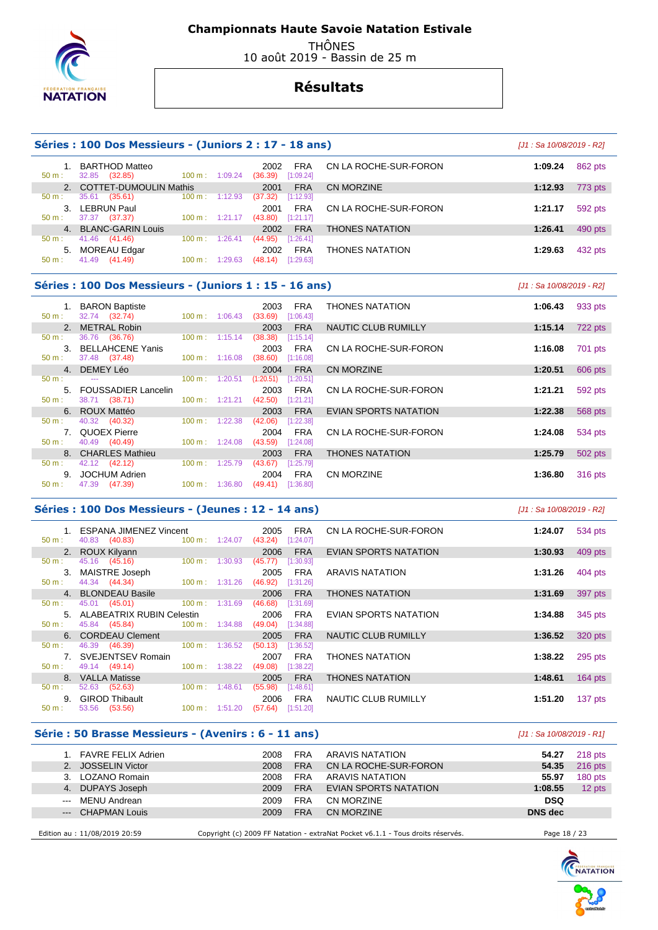

 THÔNES 10 août 2019 - Bassin de 25 m

# **Résultats**

### **Séries : 100 Dos Messieurs - (Juniors 2 : 17 - 18 ans)** [J1 : Sa 10/08/2019 - R2]

| 50 m:            | <b>BARTHOD Matteo</b><br>(32.85)<br>32.85 | $100 \text{ m}: 1:09.24$ |         | 2002<br>(36.39) | <b>FRA</b><br>[1:09.24] | CN LA ROCHE-SUR-FORON  | 1:09.24 | 862 pts |
|------------------|-------------------------------------------|--------------------------|---------|-----------------|-------------------------|------------------------|---------|---------|
|                  | <b>COTTET-DUMOULIN Mathis</b>             |                          |         | 2001            | <b>FRA</b>              | CN MORZINE             | 1:12.93 | 773 pts |
| 50 m:            | 35.61<br>(35.61)                          | $100 \text{ m}: 1:12.93$ |         | (37.32)         | [1:12.93]               |                        |         |         |
| $\mathbf{3}$     | LEBRUN Paul                               |                          |         | 2001            | <b>FRA</b>              | CN LA ROCHE-SUR-FORON  | 1:21.17 | 592 pts |
| $50 \text{ m}$ : | (37.37)<br>37.37                          | $100 \text{ m}: 1:21.17$ |         | (43.80)         | [1:21.17]               |                        |         |         |
|                  | 4. BLANC-GARIN Louis                      |                          |         | 2002            | <b>FRA</b>              | <b>THONES NATATION</b> | 1:26.41 | 490 pts |
| 50 m:            | 41.46 (41.46)                             | 100 m:                   | 1:26.41 | (44.95)         | [1:26.41]               |                        |         |         |
| 5.               | MOREAU Edgar                              |                          |         | 2002            | <b>FRA</b>              | <b>THONES NATATION</b> | 1:29.63 | 432 pts |
| $50 \text{ m}$ : | 41.49 (41.49)                             | 100 m:                   | 1:29.63 | (48.14)         | [1:29.63]               |                        |         |         |

## **Séries : 100 Dos Messieurs - (Juniors 1 : 15 - 16 ans)** [J1 : Sa 10/08/2019 - R2]

| $50 m$ : | 1. BARON Baptiste<br>32.74 (32.74) | $100 \text{ m}$ : | 2003<br>1:06.43<br>(33.69) | FRA<br>[1:06.43] | <b>THONES NATATION</b>       | 1:06.43 | 933 pts |
|----------|------------------------------------|-------------------|----------------------------|------------------|------------------------------|---------|---------|
|          | METRAL Robin                       |                   | 2003                       | <b>FRA</b>       | <b>NAUTIC CLUB RUMILLY</b>   | 1:15.14 | 722 pts |
| $50 m$ : | 36.76 (36.76)                      | $100 \text{ m}$ : | 1:15.14<br>(38.38)         | [1:15.14]        |                              |         |         |
| 3.       | <b>BELLAHCENE Yanis</b>            |                   | 2003                       | <b>FRA</b>       | CN LA ROCHE-SUR-FORON        | 1:16.08 | 701 pts |
| $50 m$ : | 37.48 (37.48)                      | $100 \text{ m}$ : | 1:16.08<br>(38.60)         | [1:16.08]        |                              |         |         |
|          | 4. DEMEY Léo                       |                   | 2004                       | <b>FRA</b>       | CN MORZINE                   | 1:20.51 | 606 pts |
| $50 m$ : | $-$                                | $100 \text{ m}$ : | 1:20.51<br>(1:20.51)       | [1:20.51]        |                              |         |         |
| 5.       | <b>FOUSSADIER Lancelin</b>         |                   | 2003                       | <b>FRA</b>       | CN LA ROCHE-SUR-FORON        | 1:21.21 | 592 pts |
| $50 m$ : | 38.71 (38.71)                      | $100 m$ : 1:21.21 | (42.50)                    | [1:21.21]        |                              |         |         |
|          | 6. ROUX Mattéo                     |                   | 2003                       | <b>FRA</b>       | <b>EVIAN SPORTS NATATION</b> | 1:22.38 | 568 pts |
| 50 m:    | (40.32)<br>40.32                   | $100 \text{ m}$ : | 1:22.38<br>(42.06)         | [1:22.38]        |                              |         |         |
|          | 7. QUOEX Pierre                    |                   | 2004                       | <b>FRA</b>       | CN LA ROCHE-SUR-FORON        | 1:24.08 | 534 pts |
| $50 m$ : | 40.49 (40.49)                      | $100 \text{ m}$ : | 1:24.08<br>(43.59)         | [1:24.08]        |                              |         |         |
|          | 8. CHARLES Mathieu                 |                   | 2003                       | <b>FRA</b>       | <b>THONES NATATION</b>       | 1:25.79 | 502 pts |
| 50 m:    | 42.12 (42.12)                      | $100 \text{ m}$ : | 1:25.79<br>(43.67)         | $[1:25.79]$      |                              |         |         |
| 9.       | JOCHUM Adrien                      |                   | 2004                       | <b>FRA</b>       | <b>CN MORZINE</b>            | 1:36.80 | 316 pts |
| $50 m$ : | (47.39)<br>47.39                   | $100 \text{ m}$ : | 1:36.80<br>(49.41)         | [1:36.80]        |                              |         |         |

#### **Séries : 100 Dos Messieurs - (Jeunes : 12 - 14 ans)** [J1 : Sa 10/08/2019 - R2]

| 50 m:            | 1. ESPANA JIMENEZ Vincent<br>40.83 (40.83) | $100 \text{ m}: 1:24.07$  | <b>FRA</b><br>2005<br>(43.24)<br>[1:24.07] | CN LA ROCHE-SUR-FORON  | 1:24.07 | 534 pts   |
|------------------|--------------------------------------------|---------------------------|--------------------------------------------|------------------------|---------|-----------|
|                  | 2. ROUX Kilyann                            |                           | <b>FRA</b><br>2006                         | EVIAN SPORTS NATATION  | 1:30.93 | 409 pts   |
| 50 m :           | 45.16 (45.16)                              | $100 \text{ m}: 1:30.93$  | (45.77)<br>[1:30.93]                       |                        |         |           |
|                  | 3. MAISTRE Joseph                          |                           | 2005<br>FRA                                | ARAVIS NATATION        | 1:31.26 | 404 pts   |
| $50 \text{ m}$ : | 44.34 (44.34) 100 m : 1:31.26              |                           | (46.92)<br>[1:31.26]                       |                        |         |           |
|                  | 4. BLONDEAU Basile                         |                           | <b>FRA</b><br>2006                         | <b>THONES NATATION</b> | 1:31.69 | 397 pts   |
| $50 \text{ m}$ : | 45.01 (45.01) 100 m : 1:31.69              |                           | (46.68)<br>[1:31.69]                       |                        |         |           |
|                  | 5. ALABEATRIX RUBIN Celestin               |                           | FRA<br>2006                                | EVIAN SPORTS NATATION  | 1:34.88 | 345 pts   |
| 50 m :           | 45.84 (45.84)                              | $100 \text{ m}: 1:34.88$  | $(49.04)$ [1:34.88]                        |                        |         |           |
|                  | 6. CORDEAU Clement                         |                           | <b>FRA</b><br>2005                         | NAUTIC CLUB RUMILLY    | 1:36.52 | 320 pts   |
| 50 m :           | 46.39 (46.39)                              | $100 \text{ m}$ : 1:36.52 | (50.13)<br>[1:36.52]                       |                        |         |           |
|                  | 7. SVEJENTSEV Romain                       |                           | <b>FRA</b><br>2007                         | <b>THONES NATATION</b> | 1:38.22 | 295 pts   |
| 50 m :           | 49.14 (49.14)                              | $100 \text{ m}: 1:38.22$  | (49.08)<br>[1:38.22]                       |                        |         |           |
|                  | 8. VALLA Matisse                           |                           | <b>FRA</b><br>2005                         | <b>THONES NATATION</b> | 1:48.61 | 164 $pts$ |
| 50 m :           | 52.63 (52.63)                              | $100 \text{ m}$ : 1:48.61 | (55.98)<br>[1:48.61]                       |                        |         |           |
|                  | 9. GIROD Thibault                          |                           | <b>FRA</b><br>2006                         | NAUTIC CLUB RUMILLY    | 1:51.20 | 137 pts   |
| 50 m :           | 53.56<br>(53.56)                           | $100 \text{ m}: 1:51.20$  | $(57.64)$ [1:51.20]                        |                        |         |           |

#### **Série : 50 Brasse Messieurs - (Avenirs : 6 - 11 ans)** [J1 : Sa 10/08/2019 - R1]

| 1. FAVRE FELIX Adrien         | 2008 | <b>FRA</b> | ARAVIS NATATION                                                                 | 54.27          | $218$ pts |
|-------------------------------|------|------------|---------------------------------------------------------------------------------|----------------|-----------|
| 2. JOSSELIN Victor            | 2008 | <b>FRA</b> | CN LA ROCHE-SUR-FORON                                                           | 54.35          | $216$ pts |
| 3. LOZANO Romain              | 2008 | <b>FRA</b> | ARAVIS NATATION                                                                 | 55.97          | 180 pts   |
| 4. DUPAYS Joseph              | 2009 | <b>FRA</b> | EVIAN SPORTS NATATION                                                           | 1:08.55        | 12 pts    |
| --- MENU Andrean              | 2009 | <b>FRA</b> | CN MORZINE                                                                      | <b>DSQ</b>     |           |
| --- CHAPMAN Louis             | 2009 | <b>FRA</b> | CN MORZINE                                                                      | <b>DNS</b> dec |           |
|                               |      |            |                                                                                 |                |           |
| Edition au : 11/08/2019 20:59 |      |            | Copyright (c) 2009 FF Natation - extraNat Pocket v6.1.1 - Tous droits réservés. | Page 18 / 23   |           |

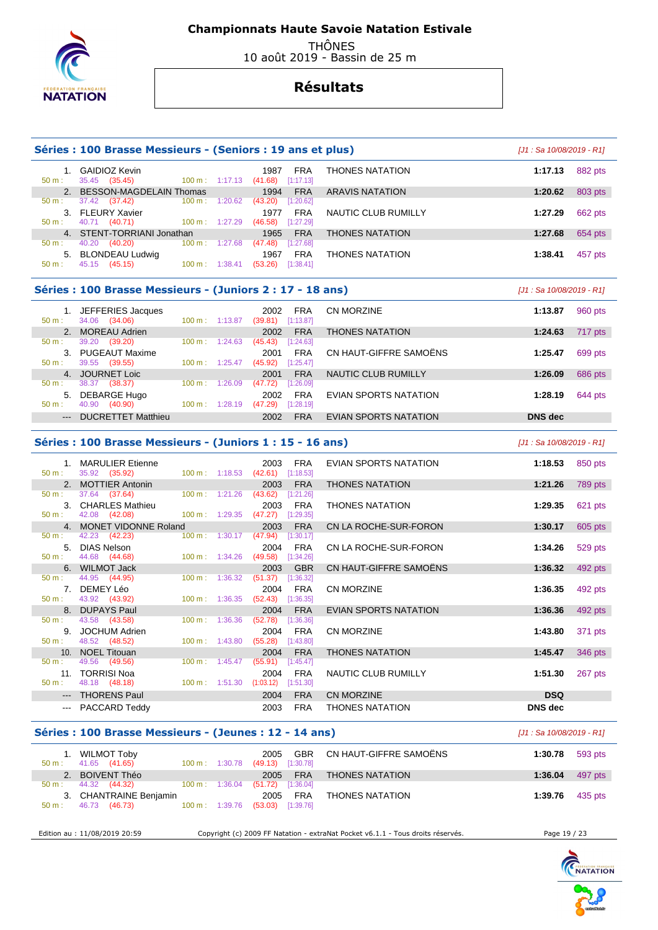

 THÔNES 10 août 2019 - Bassin de 25 m

# **Résultats**

|          | Séries : 100 Brasse Messieurs - (Seniors : 19 ans et plus) |                          |         |                                                          |                              | [J1 : Sa 10/08/2019 - R1] |                |
|----------|------------------------------------------------------------|--------------------------|---------|----------------------------------------------------------|------------------------------|---------------------------|----------------|
| $50 m$ : | 1. GAIDIOZ Kevin<br>35.45 (35.45)                          | $100 \text{ m}: 1:17.13$ |         | 1987<br><b>FRA</b><br>(41.68)<br>[1:17.13]               | <b>THONES NATATION</b>       | 1:17.13                   | 882 pts        |
|          | 2. BESSON-MAGDELAIN Thomas                                 |                          |         | <b>FRA</b><br>1994                                       | <b>ARAVIS NATATION</b>       | 1:20.62                   | 803 pts        |
| 50 m:    | 37.42 (37.42)                                              | 100 m:                   | 1:20.62 | (43.20)<br>[1:20.62]                                     |                              |                           |                |
|          | 3. FLEURY Xavier                                           |                          |         | <b>FRA</b><br>1977                                       | NAUTIC CLUB RUMILLY          | 1:27.29                   | 662 pts        |
| $50 m$ : | 40.71 (40.71)                                              | $100 m$ : 1:27.29        |         | $(46.58)$ [1:27.29]                                      |                              |                           |                |
|          | 4. STENT-TORRIANI Jonathan                                 |                          |         | 1965<br><b>FRA</b>                                       | <b>THONES NATATION</b>       | 1:27.68                   | 654 pts        |
| 50 m:    | 40.20 (40.20)                                              | 100 m: 1:27.68           |         | (47.48)<br>[1:27.68]                                     |                              |                           |                |
| $50 m$ : | 5. BLONDEAU Ludwig<br>45.15 (45.15)                        | $100 \text{ m}: 1:38.41$ |         | 1967<br><b>FRA</b><br>$(53.26)$ [1:38.41]                | <b>THONES NATATION</b>       | 1:38.41                   | 457 pts        |
|          | Séries : 100 Brasse Messieurs - (Juniors 2 : 17 - 18 ans)  |                          |         |                                                          |                              | [J1: Sa 10/08/2019 - R1]  |                |
|          | 1. JEFFERIES Jacques                                       |                          |         | 2002<br><b>FRA</b>                                       | CN MORZINE                   | 1:13.87                   | 960 pts        |
| $50 m$ : | 34.06 (34.06)                                              | 100 m: 1:13.87           |         | $(39.81)$ [1:13.87]                                      |                              |                           |                |
| 2.       | <b>MOREAU Adrien</b>                                       |                          |         | <b>FRA</b><br>2002                                       | <b>THONES NATATION</b>       | 1:24.63                   | 717 pts        |
| $50 m$ : | 39.20<br>(39.20)                                           | $100 \text{ m}: 1:24.63$ |         | (45.43)<br>[1:24.63]                                     |                              |                           |                |
|          | 3. PUGEAUT Maxime                                          |                          |         | 2001<br><b>FRA</b>                                       | CN HAUT-GIFFRE SAMOËNS       | 1:25.47                   | 699 pts        |
| 50 m:    | 39.55 (39.55)                                              | $100 \text{ m}: 1:25.47$ |         | (45.92)<br>[1:25.47]                                     |                              |                           |                |
|          | 4. JOURNET Loic                                            |                          |         | <b>FRA</b><br>2001                                       | <b>NAUTIC CLUB RUMILLY</b>   | 1:26.09                   | 686 pts        |
| $50 m$ : | 38.37 (38.37)                                              | 100 m: 1:26.09           |         | (47.72)<br>[1:26.09]                                     |                              |                           |                |
| 50 m:    | 5. DEBARGE Hugo<br>40.90 (40.90)                           | 100 m: 1:28.19           |         | <b>FRA</b><br>2002<br>(47.29)<br>[1:28.19]               | EVIAN SPORTS NATATION        | 1:28.19                   | 644 pts        |
|          |                                                            |                          |         |                                                          |                              |                           |                |
|          |                                                            |                          |         |                                                          |                              |                           |                |
| $---$    | <b>DUCRETTET Matthieu</b>                                  |                          |         | 2002<br><b>FRA</b>                                       | EVIAN SPORTS NATATION        | <b>DNS</b> dec            |                |
|          | Séries : 100 Brasse Messieurs - (Juniors 1 : 15 - 16 ans)  |                          |         |                                                          |                              | [J1 : Sa 10/08/2019 - R1] |                |
|          |                                                            |                          |         |                                                          |                              |                           |                |
| 50 m:    | 1. MARULIER Etienne<br>35.92 (35.92)                       | $100 \text{ m}: 1:18.53$ |         | 2003<br><b>FRA</b><br>(42.61)<br>[1:18.53]               | EVIAN SPORTS NATATION        | 1:18.53                   | 850 pts        |
|          | 2. MOTTIER Antonin                                         |                          |         | <b>FRA</b><br>2003                                       | <b>THONES NATATION</b>       | 1:21.26                   | <b>789 pts</b> |
| 50 m:    | 37.64 (37.64)                                              | 100 m: 1:21.26           |         | (43.62)<br>[1:21.26]                                     |                              |                           |                |
|          | 3. CHARLES Mathieu                                         |                          |         | 2003<br><b>FRA</b>                                       | <b>THONES NATATION</b>       | 1:29.35                   | 621 pts        |
| 50 m:    | 42.08 (42.08)                                              | 100 m: 1:29.35           |         | $(47.27)$ [1:29.35]                                      |                              |                           |                |
|          | 4. MONET VIDONNE Roland                                    |                          |         | 2003<br><b>FRA</b>                                       | CN LA ROCHE-SUR-FORON        | 1:30.17                   | 605 pts        |
| 50 m:    | 42.23<br>(42.23)                                           | 100 m:                   | 1:30.17 | (47.94)<br>[1:30.17]                                     |                              |                           |                |
|          | 5. DIAS Nelson                                             |                          |         | 2004<br><b>FRA</b>                                       | CN LA ROCHE-SUR-FORON        | 1:34.26                   | 529 pts        |
| 50 m:    | 44.68<br>(44.68)                                           | $100 \text{ m}: 1:34.26$ |         | (49.58)<br>[1:34.26]                                     |                              |                           |                |
| 6.       | <b>WILMOT Jack</b>                                         |                          |         | 2003<br><b>GBR</b>                                       | CN HAUT-GIFFRE SAMOENS       | 1:36.32                   | 492 pts        |
| $50 m$ : | 44.95 (44.95)                                              | 100 m:                   | 1:36.32 | [1:36.32]<br>(51.37)                                     |                              |                           |                |
| $50 m$ : | 7. DEMEY Léo<br>43.92 (43.92)                              | 100 m:                   | 1:36.35 | <b>FRA</b><br>2004<br>(52.43)<br>[1:36.35]               | CN MORZINE                   | 1:36.35                   | 492 pts        |
|          | 8. DUPAYS Paul                                             |                          |         | 2004<br><b>FRA</b>                                       | <b>EVIAN SPORTS NATATION</b> | 1:36.36                   |                |
| $50 m$ : | 43.58<br>(43.58)                                           | $100 \text{ m}$ :        | 1:36.36 | (52.78)<br>[1:36.36]                                     |                              |                           | 492 pts        |
|          | 9. JOCHUM Adrien                                           |                          |         | <b>FRA</b><br>2004                                       | <b>CN MORZINE</b>            | 1:43.80                   | 371 pts        |
| $50 m$ : | 48.52<br>(48.52)                                           | $100 \text{ m}: 1:43.80$ |         | (55.28)<br>[1:43.80]                                     |                              |                           |                |
| 10.      | <b>NOEL Titouan</b>                                        |                          |         | <b>FRA</b><br>2004                                       | <b>THONES NATATION</b>       | 1:45.47                   | 346 pts        |
| 50 m:    | 49.56<br>(49.56)                                           | 100 m: 1:45.47           |         | (55.91)<br>[1:45.47]                                     |                              |                           |                |
| 50 m:    | 11. TORRISI Noa<br>48.18 (48.18)                           |                          |         | 2004<br><b>FRA</b><br>100 m: 1:51.30 (1:03.12) [1:51.30] | NAUTIC CLUB RUMILLY          | 1:51.30                   | 267 pts        |

#### **Séries : 100 Brasse Messieurs - (Jeunes : 12 - 14 ans)** [J1 : Sa 10/08/2019 - R1]

| 1. WILMOT Toby<br>41.65 (41.65)<br>$50 \text{ m}$ : | $100 \text{ m}: 1:30.78$ | GBR<br>2005<br>(49.13)<br>[1:30.78] | CN HAUT-GIFFRE SAMOËNS | 1:30.78 593 pts |         |
|-----------------------------------------------------|--------------------------|-------------------------------------|------------------------|-----------------|---------|
| 2. BOIVENT Théo                                     |                          | 2005 FRA                            | <b>THONES NATATION</b> | 1:36.04         | 497 pts |
| $50 \text{ m}: 44.32 (44.32)$                       | $100 \text{ m}: 1:36.04$ | (51.72)<br>[1:36.04]                |                        |                 |         |
| 3. CHANTRAINE Benjamin                              |                          | 2005 FRA                            | <b>THONES NATATION</b> | 1:39.76         | 435 pts |
| 46.73 (46.73)<br>50 m:                              | 100 m : 1:39.76          | (53.03)<br>$[1:39.76]$              |                        |                 |         |

 --- THORENS Paul 2004 FRA CN MORZINE **DSQ**  --- PACCARD Teddy 2003 FRA THONES NATATION **DNS dec** 

Edition au : 11/08/2019 20:59 Copyright (c) 2009 FF Natation - extraNat Pocket v6.1.1 - Tous droits réservés. Page 19 / 23

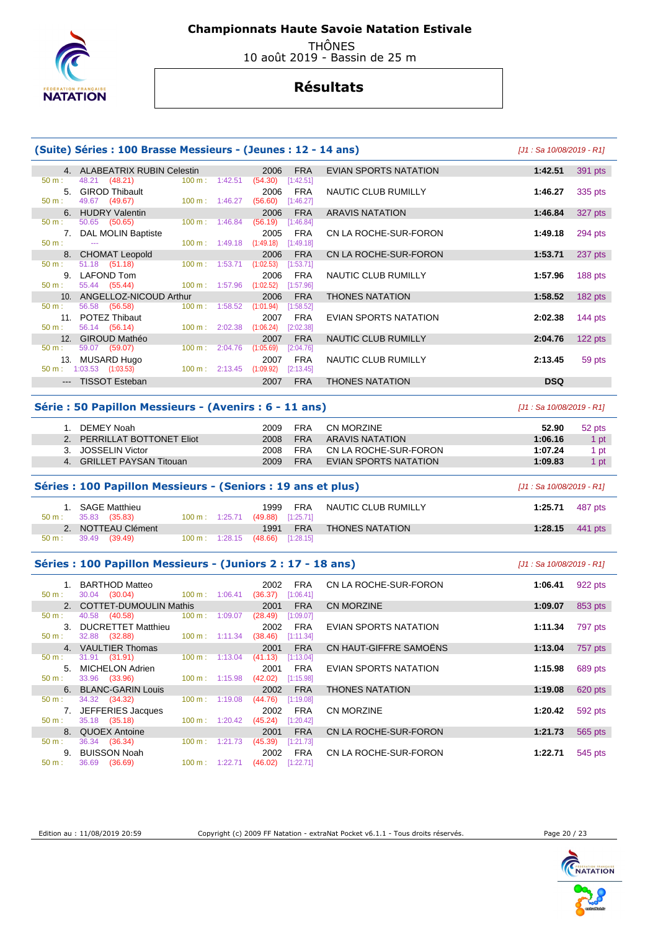

 THÔNES 10 août 2019 - Bassin de 25 m

# **Résultats**

|                      | (Suite) Séries : 100 Brasse Messieurs - (Jeunes : 12 - 14 ans) |                                      |         |                              |                                      |                              | $[J1: Sa 10/08/2019 - R1]$ |           |
|----------------------|----------------------------------------------------------------|--------------------------------------|---------|------------------------------|--------------------------------------|------------------------------|----------------------------|-----------|
| 50 m:                | 4. ALABEATRIX RUBIN Celestin<br>48.21 (48.21)                  | $100 m$ : 1:42.51                    |         | 2006<br>(54.30)              | <b>FRA</b><br>[1:42.51]              | EVIAN SPORTS NATATION        | 1:42.51                    | 391 pts   |
| 50 m:                | 5. GIROD Thibault<br>49.67<br>(49.67)                          | $100 m$ : 1:46.27                    |         | 2006<br>(56.60)              | <b>FRA</b><br>[1:46.27]              | NAUTIC CLUB RUMILLY          | 1:46.27                    | 335 pts   |
|                      | 6. HUDRY Valentin                                              |                                      |         | 2006                         | <b>FRA</b>                           | <b>ARAVIS NATATION</b>       | 1:46.84                    | 327 pts   |
| $50 m$ :<br>$50 m$ : | 50.65 (50.65)<br>7. DAL MOLIN Baptiste<br>$\sim$               | $100 \text{ m}$ :<br>100 m: 1:49.18  | 1:46.84 | (56.19)<br>2005<br>(1:49.18) | [1:46.84]<br><b>FRA</b><br>[1:49.18] | CN LA ROCHE-SUR-FORON        | 1:49.18                    | 294 pts   |
|                      | 8. CHOMAT Leopold                                              |                                      |         | 2006                         | <b>FRA</b>                           | CN LA ROCHE-SUR-FORON        | 1:53.71                    | 237 pts   |
| 50 m:                | 51.18 (51.18)                                                  | $100 \text{ m}: 1:53.71$ $(1:02.53)$ |         |                              | [1:53.71]                            |                              |                            |           |
| $50 m$ :             | 9. LAFOND Tom<br>55.44 (55.44)                                 | 100 m: 1:57.96                       |         | 2006<br>(1:02.52)            | FRA<br>[1:57.96]                     | NAUTIC CLUB RUMILLY          | 1:57.96                    | 188 pts   |
|                      | 10. ANGELLOZ-NICOUD Arthur                                     |                                      |         | 2006                         | <b>FRA</b>                           | <b>THONES NATATION</b>       | 1:58.52                    | 182 pts   |
| 50 m:                | 56.58<br>(56.58)                                               | 100 m: 1:58.52                       |         | (1:01.94)                    | [1:58.52]                            |                              |                            |           |
| $50 m$ :             | 11. POTEZ Thibaut<br>56.14 (56.14)                             | 100 m: 2:02.38                       |         | 2007<br>(1:06.24)            | <b>FRA</b><br>[2:02.38]              | EVIAN SPORTS NATATION        | 2:02.38                    | 144 $pts$ |
|                      | 12. GIROUD Mathéo                                              |                                      |         | 2007                         | <b>FRA</b>                           | NAUTIC CLUB RUMILLY          | 2:04.76                    | 122 pts   |
| 50 m:                | 59.07 (59.07)                                                  | $100 m$ :                            | 2:04.76 | (1:05.69)                    | [2:04.76]                            |                              |                            |           |
|                      | 13. MUSARD Hugo<br>$50 \text{ m}: 1:03.53$ (1:03.53)           | 100 m: 2:13.45                       |         | 2007<br>(1:09.92)            | <b>FRA</b><br>[2:13.45]              | NAUTIC CLUB RUMILLY          | 2:13.45                    | 59 pts    |
|                      | --- TISSOT Esteban                                             |                                      |         | 2007                         | <b>FRA</b>                           | <b>THONES NATATION</b>       | <b>DSQ</b>                 |           |
|                      |                                                                |                                      |         |                              |                                      |                              |                            |           |
|                      | Série : 50 Papillon Messieurs - (Avenirs : 6 - 11 ans)         |                                      |         |                              |                                      |                              | $[J1: Sa 10/08/2019 - R1]$ |           |
|                      | 1. DEMEY Noah                                                  |                                      |         | 2009                         | FRA                                  | <b>CN MORZINE</b>            | 52.90                      | 52 pts    |
|                      | 2. PERRILLAT BOTTONET Eliot                                    |                                      |         | 2008                         | <b>FRA</b>                           | <b>ARAVIS NATATION</b>       | 1:06.16                    | 1 pt      |
|                      | 3. JOSSELIN Victor                                             |                                      |         | 2008                         | <b>FRA</b>                           | CN LA ROCHE-SUR-FORON        | 1:07.24                    | 1 pt      |
|                      |                                                                |                                      |         |                              |                                      |                              |                            |           |
|                      | 4. GRILLET PAYSAN Titouan                                      |                                      |         | 2009                         | <b>FRA</b>                           | EVIAN SPORTS NATATION        | 1:09.83                    | 1 pt      |
|                      | Séries : 100 Papillon Messieurs - (Seniors : 19 ans et plus)   |                                      |         |                              |                                      |                              | $[J1: Sa 10/08/2019 - R1]$ |           |
| $50 m$ :             | 1. SAGE Matthieu<br>35.83<br>(35.83)                           | 100 m: 1:25.71                       |         | 1999<br>(49.88)              | FRA<br>[1:25.71]                     | NAUTIC CLUB RUMILLY          | 1:25.71                    | 487 pts   |
|                      | 2. NOTTEAU Clément                                             |                                      |         | 1991                         | <b>FRA</b>                           | <b>THONES NATATION</b>       | 1:28.15                    | 441 pts   |
| 50 m:                | 39.49<br>(39.49)                                               | $100 \text{ m}: 1:28.15$             |         | (48.66)                      | [1:28.15]                            |                              |                            |           |
|                      | Séries : 100 Papillon Messieurs - (Juniors 2 : 17 - 18 ans)    |                                      |         |                              |                                      |                              | $[J1: Sa 10/08/2019 - R1]$ |           |
| 50 m:                | 1. BARTHOD Matteo<br>30.04 (30.04)                             | $100 \text{ m}: 1:06.41$             |         | 2002<br>$(36.37)$ [1:06.41]  | <b>FRA</b>                           | CN LA ROCHE-SUR-FORON        | 1:06.41                    | 922 pts   |
|                      | 2. COTTET-DUMOULIN Mathis                                      |                                      |         | 2001                         | <b>FRA</b>                           | <b>CN MORZINE</b>            | 1:09.07                    | 853 pts   |
| 50 m:                | 40.58<br>(40.58)                                               | 100 m: 1:09.07                       |         | (28.49)                      | [1:09.07]                            |                              |                            |           |
|                      | 3. DUCRETTET Matthieu                                          |                                      |         | 2002                         | <b>FRA</b>                           | <b>EVIAN SPORTS NATATION</b> | 1:11.34                    | 797 pts   |
| 50 m:                | 32.88 (32.88)<br>4. VAULTIER Thomas                            | $100 \text{ m}: 1:11.34$             |         | $(38.46)$ [1:11.34]<br>2001  | <b>FRA</b>                           | CN HAUT-GIFFRE SAMOËNS       | 1:13.04                    | 757 pts   |
| 50 m:                | 31.91<br>(31.91)                                               | $100 \text{ m}: 1:13.04$             |         | (41.13)                      | [1:13.04]                            |                              |                            |           |
| 5.                   | MICHELON Adrien                                                |                                      |         | 2001                         | FRA                                  | EVIAN SPORTS NATATION        | 1:15.98                    | 689 pts   |
| $50 m$ :             | 33.96<br>(33.96)                                               | 100 m: 1:15.98                       |         | (42.02)<br>2002              | [1:15.98]                            |                              |                            |           |
| 50 m:                | 6. BLANC-GARIN Louis<br>34.32 (34.32)                          | 100 m:                               | 1:19.08 | (44.76)                      | <b>FRA</b><br>[1:19.08]              | <b>THONES NATATION</b>       | 1:19.08                    | 620 pts   |
|                      | 7. JEFFERIES Jacques                                           |                                      |         | 2002                         | FRA                                  | CN MORZINE                   | 1:20.42                    | 592 pts   |
| $50 m$ :             | 35.18 (35.18)                                                  | $100 \text{ m}: 1:20.42$             |         | $(45.24)$ [1:20.42]          |                                      |                              |                            |           |
| 50 m:                | 8. QUOEX Antoine<br>36.34<br>(36.34)                           | 100 m: 1:21.73                       |         | 2001<br>$(45.39)$ [1:21.73]  | <b>FRA</b>                           | CN LA ROCHE-SUR-FORON        | 1:21.73                    | 565 pts   |

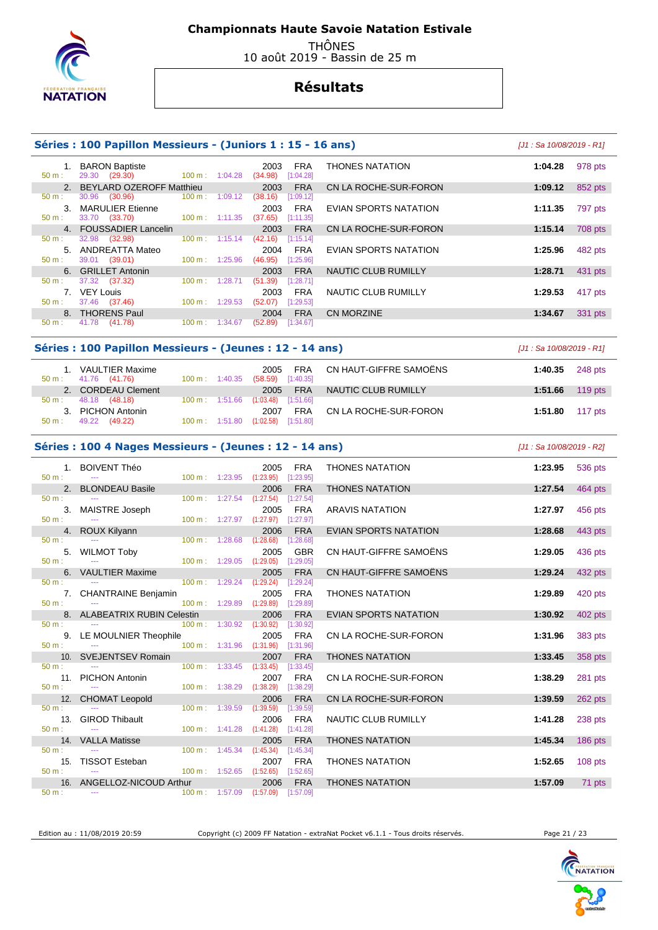

 THÔNES 10 août 2019 - Bassin de 25 m

# **Résultats**

### **Séries : 100 Papillon Messieurs - (Juniors 1 : 15 - 16 ans)** [J1 : Sa 10/08/2019 - R1]

#### 1. BARON Baptiste 2003 FRA THONES NATATION **1:04.28** 978 pts 29.30 (29.30) 2. BEYLARD OZEROFF Matthieu 2003 FRA CN LA ROCHE-SUR-FORON **1:09.12** 852 pts 50 m : 30.96 (30.96) 100 m : 1:09.12 (38.16) [1:09.12] 3. MARULIER Etienne 2003 FRA EVIAN SPORTS NATATION **1:11.35** 797 pts 33.70 (33.70) 4. FOUSSADIER Lancelin 2003 FRA CN LA ROCHE-SUR-FORON **1:15.14** 708 pts 50 m : 32.98 (32.98) 100 m : 1:15.14 (42.16) [1:15.14] 5. ANDREATTA Mateo 2004 FRA EVIAN SPORTS NATATION **1:25.96** 482 pts  $[1:25.96]$  6. GRILLET Antonin 2003 FRA NAUTIC CLUB RUMILLY **1:28.71** 431 pts 50 m : 37.32 (37.32) 100 m : 1:28.71 (51.39) [1:28.71] 2003 FRA NAUTIC CLUB RUMILLY **1:29.53** 417 pts 1:29.53 (52.07) [1:29.53] 7. VEY Louis<br>
50 m : 37.46 (37.46) 100 m : 8. THORENS Paul 2004 FRA CN MORZINE **1:34.67** 331 pts<br>  $\frac{50 \text{ m}: 41.78}{41.78}$  (41.78) 100 m: 1:34.67 (52.89) [1:34.67] 50 m : 41.78 (41.78) 100 m : 1:34.67 (52.89) [1:34.67]

#### **Séries : 100 Papillon Messieurs - (Jeunes : 12 - 14 ans)** [J1 : Sa 10/08/2019 - R1]

| $50 m$ : | <b>VAULTIER Maxime</b><br>41.76 (41.76) | $100 \text{ m}: 1:40.35$ | 2005<br>$(58.59)$ [1:40.35] | <b>FRA</b> | CN HAUT-GIFFRE SAMOËNS | 1:40.35 248 pts |           |
|----------|-----------------------------------------|--------------------------|-----------------------------|------------|------------------------|-----------------|-----------|
|          | 2. CORDEAU Clement                      |                          | 2005                        | <b>FRA</b> | NAUTIC CLUB RUMILLY    | 1:51.66         | $119$ pts |
| $50 m$ : | 48.18 (48.18)                           | $100 \text{ m}: 1:51.66$ | $(1:03.48)$ [1:51.66]       |            |                        |                 |           |
| $3_{-}$  | <b>PICHON Antonin</b>                   |                          | 2007                        | <b>FRA</b> | CN LA ROCHE-SUR-FORON  | 1:51.80         | 117 $pts$ |
| 50 m:    | 49.22<br>(49.22)                        | $100 \text{ m}: 1:51.80$ | $(1:02.58)$ $[1:51.80]$     |            |                        |                 |           |

#### **Séries : 100 4 Nages Messieurs - (Jeunes : 12 - 14 ans)** [J1 : Sa 10/08/2019 - R2]

| $50 m$ :         | 1. BOIVENT Théo                                          |                                      |                                      | 2005                               | <b>FRA</b>              | <b>THONES NATATION</b>       | 1:23.95 | 536 pts   |
|------------------|----------------------------------------------------------|--------------------------------------|--------------------------------------|------------------------------------|-------------------------|------------------------------|---------|-----------|
|                  | 2. BLONDEAU Basile                                       |                                      | $100 \text{ m}: 1:23.95$ $(1:23.95)$ | 2006                               | [1:23.95]<br><b>FRA</b> | <b>THONES NATATION</b>       | 1:27.54 | 464 pts   |
| 50 m:            |                                                          |                                      | $100 \text{ m}: 1:27.54$ $(1:27.54)$ |                                    | [1:27.54]               |                              |         |           |
|                  | 3. MAISTRE Joseph                                        |                                      |                                      | 2005                               | <b>FRA</b>              | <b>ARAVIS NATATION</b>       | 1:27.97 | 456 pts   |
| $50 m$ :         | <b>Contractor</b>                                        |                                      |                                      | 100 m: 1:27.97 (1:27.97) [1:27.97] |                         |                              |         |           |
|                  | 4. ROUX Kilyann                                          |                                      |                                      | 2006                               | <b>FRA</b>              | <b>EVIAN SPORTS NATATION</b> | 1:28.68 | 443 pts   |
| $50 m$ :         | and the second contract of the second                    | 100 m: 1:28.68                       |                                      | (1:28.68)                          | [1:28.68]               |                              |         |           |
| 50 m:            | 5. WILMOT Toby                                           |                                      | $100 \text{ m}: 1:29.05$ $(1:29.05)$ | 2005                               | <b>GBR</b><br>[1:29.05] | CN HAUT-GIFFRE SAMOËNS       | 1:29.05 | 436 pts   |
|                  | 6. VAULTIER Maxime                                       |                                      |                                      | 2005                               | <b>FRA</b>              | CN HAUT-GIFFRE SAMOËNS       | 1:29.24 | 432 pts   |
|                  | $50 \text{ m}$ : $\qquad -1$                             |                                      | $100 \text{ m}: 1:29.24$ $(1:29.24)$ |                                    | [1:29.24]               |                              |         |           |
|                  | 7. CHANTRAINE Benjamin                                   |                                      |                                      | 2005                               | <b>FRA</b>              | <b>THONES NATATION</b>       | 1:29.89 | 420 pts   |
| $50 m$ :         | and the contract of the contract of                      |                                      | 100 m: 1:29.89 (1:29.89)             |                                    | [1:29.89]               |                              |         |           |
|                  | 8. ALABEATRIX RUBIN Celestin                             |                                      |                                      | 2006                               | <b>FRA</b>              | <b>EVIAN SPORTS NATATION</b> | 1:30.92 | 402 pts   |
| $50 m$ :         |                                                          |                                      | 100 m: 1:30.92 (1:30.92)             |                                    | [1:30.92]               |                              |         |           |
|                  | 9. LE MOULNIER Theophile<br>$50 \text{ m}$ : $\qquad -1$ | $100 \text{ m}: 1:31.96$ $(1:31.96)$ |                                      | 2005                               | <b>FRA</b><br>[1:31.96] | CN LA ROCHE-SUR-FORON        | 1:31.96 | 383 pts   |
|                  | 10. SVEJENTSEV Romain                                    |                                      |                                      | 2007                               | <b>FRA</b>              | <b>THONES NATATION</b>       | 1:33.45 | 358 pts   |
| $50 m$ :         | the company of the company of the company                | 100 m: 1:33.45                       |                                      | (1:33.45)                          | [1:33.45]               |                              |         |           |
|                  | 11. PICHON Antonin                                       |                                      |                                      | 2007                               | <b>FRA</b>              | CN LA ROCHE-SUR-FORON        | 1:38.29 | 281 pts   |
| $50 m$ :         | <b>Contract Contract</b>                                 |                                      | $100 \text{ m}: 1:38.29$ $(1:38.29)$ |                                    | [1:38.29]               |                              |         |           |
|                  | 12. CHOMAT Leopold                                       |                                      |                                      | 2006                               | <b>FRA</b>              | CN LA ROCHE-SUR-FORON        | 1:39.59 | 262 pts   |
| $50 m$ :         | <b>Service</b>                                           | $100 \text{ m}: 1:39.59$             |                                      | (1:39.59)                          | [1:39.59]               |                              |         |           |
| 50 m:            | 13. GIROD Thibault                                       | $100 m$ : 1:41.28                    |                                      | 2006<br>(1:41.28)                  | <b>FRA</b><br>[1:41.28] | <b>NAUTIC CLUB RUMILLY</b>   | 1:41.28 | 238 pts   |
|                  | 14. VALLA Matisse                                        |                                      |                                      | 2005                               | <b>FRA</b>              | <b>THONES NATATION</b>       | 1:45.34 | $186$ pts |
| $50 m$ :         | the company of the company of the                        |                                      | $100 \text{ m}: 1:45.34$ $(1:45.34)$ |                                    | [1:45.34]               |                              |         |           |
|                  | 15. TISSOT Esteban                                       |                                      |                                      | 2007                               | <b>FRA</b>              | <b>THONES NATATION</b>       | 1:52.65 | $108$ pts |
| $50 \text{ m}$ : | <b>Contract Contract</b>                                 |                                      | 100 m: 1:52.65 (1:52.65)             |                                    | [1:52.65]               |                              |         |           |
|                  | 16. ANGELLOZ-NICOUD Arthur                               |                                      |                                      | 2006                               | <b>FRA</b>              | <b>THONES NATATION</b>       | 1:57.09 | 71 pts    |
|                  | $50 \text{ m}$ : $\qquad -\frac{1}{2}$                   | 100 m: 1:57.09                       |                                      | (1:57.09)                          | [1:57.09]               |                              |         |           |

Edition au : 11/08/2019 20:59 Copyright (c) 2009 FF Natation - extraNat Pocket v6.1.1 - Tous droits réservés. Page 21 / 23

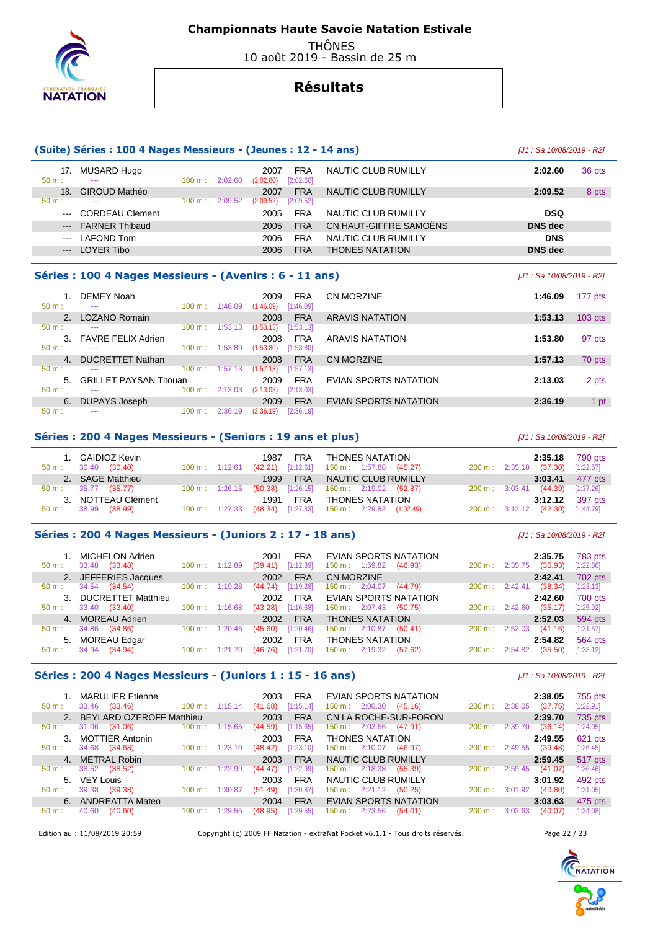

 THÔNES 10 août 2019 - Bassin de 25 m

# **Résultats**

|                     | (Suite) Séries : 100 4 Nages Messieurs - (Jeunes : 12 - 14 ans) |                           | [J1 : Sa 10/08/2019 - R2] |            |                        |                           |           |
|---------------------|-----------------------------------------------------------------|---------------------------|---------------------------|------------|------------------------|---------------------------|-----------|
| 17.                 | MUSARD Hugo                                                     |                           | 2007                      | <b>FRA</b> | NAUTIC CLUB RUMILLY    | 2:02.60                   | 36 pts    |
| 50 m:               |                                                                 | 100 m: 2:02.60            | (2:02.60)                 | [2:02.60]  |                        |                           |           |
| 18 <sub>1</sub>     | <b>GIROUD Mathéo</b>                                            |                           | 2007                      | <b>FRA</b> | NAUTIC CLUB RUMILLY    | 2:09.52                   | 8 pts     |
| $50 m$ :            |                                                                 | 100 m: 2:09.52            | (2:09.52)                 | [2:09.52]  |                        |                           |           |
|                     | <b>CORDEAU Clement</b>                                          |                           | 2005                      | <b>FRA</b> | NAUTIC CLUB RUMILLY    | <b>DSQ</b>                |           |
| $\qquad \qquad - -$ | <b>FARNER Thibaud</b>                                           |                           | 2005                      | <b>FRA</b> | CN HAUT-GIFFRE SAMOËNS | <b>DNS</b> dec            |           |
| $---$               | <b>LAFOND Tom</b>                                               |                           | 2006                      | <b>FRA</b> | NAUTIC CLUB RUMILLY    | <b>DNS</b>                |           |
| $---$               | <b>LOYER Tibo</b>                                               |                           | 2006                      | <b>FRA</b> | <b>THONES NATATION</b> | <b>DNS</b> dec            |           |
|                     |                                                                 |                           |                           |            |                        |                           |           |
|                     | Séries : 100 4 Nages Messieurs - (Avenirs : 6 - 11 ans)         |                           |                           |            |                        | [J1 : Sa 10/08/2019 - R2] |           |
|                     | DEMEY Noah                                                      |                           | 2009                      | FRA        | CN MORZINE             | 1:46.09                   | 177 pts   |
| $50 m$ :            |                                                                 | $100 \text{ m}$ : 1:46.09 | (1:46.09)                 | [1:46.09]  |                        |                           |           |
|                     | 2. LOZANO Romain                                                |                           | 2008                      | <b>FRA</b> | <b>ARAVIS NATATION</b> | 1:53.13                   | $103$ pts |
| $50 m$ :            |                                                                 | $100 \text{ m}: 1:53.13$  | (1:53.13)                 | [1:53.13]  |                        |                           |           |
|                     | 3. FAVRE FELIX Adrien                                           |                           | 2008                      | <b>FRA</b> | <b>ARAVIS NATATION</b> | 1:53.80                   | 97 pts    |
| 50 m:               |                                                                 | $100 \text{ m}$ : 1:53.80 | (1:53.80)                 | [1:53.80]  |                        |                           |           |
|                     | 4. DUCRETTET Nathan                                             |                           | 2008                      | <b>FRA</b> | <b>CN MORZINE</b>      | 1:57.13                   | 70 pts    |
| $50 m$ :            |                                                                 | $100 \text{ m}: 1:57.13$  | (1:57.13)                 | [1:57.13]  |                        |                           |           |
| $5 -$               | <b>GRILLET PAYSAN Titouan</b>                                   |                           | 2009                      | <b>FRA</b> | EVIAN SPORTS NATATION  | 2:13.03                   | 2 pts     |
| $50 m$ :            |                                                                 | $100 \text{ m}: 2:13.03$  | (2:13.03)                 | [2:13.03]  |                        |                           |           |
| 6.                  | DUPAYS Joseph                                                   |                           | 2009                      | <b>FRA</b> | EVIAN SPORTS NATATION  | 2:36.19                   | 1 pt      |
| $50 m$ :            |                                                                 | $100 \text{ m}: 2:36.19$  | (2:36.19)                 | [2:36.19]  |                        |                           |           |

#### **Séries : 200 4 Nages Messieurs - (Seniors : 19 ans et plus)** [J1 : Sa 10/08/2019 - R2]

| $50 \text{ m}$ : | GAIDIOZ Kevin<br>30.40 (30.40) | $100 \text{ m}: 1:12.61$ | FRA<br>1987        | THONES NATATION<br>$(42.21)$ [1:12.61] 150 m : 1:57.88 (45.27) | 2:35.18<br>200 m: 2:35.18 (37.30) | 790 pts<br>[1:22.57] |
|------------------|--------------------------------|--------------------------|--------------------|----------------------------------------------------------------|-----------------------------------|----------------------|
|                  | 2. SAGE Matthieu               |                          | 1999               | FRA NAUTIC CLUB RUMILLY                                        | 3:03.41                           | 477 pts              |
|                  | $50 \text{ m}: 35.77 (35.77)$  | $100 \text{ m}: 1:26.15$ |                    | $(50.38)$ [1:26.15] 150 m : 2:19.02 (52.87)                    | 200 m: 3:03.41 (44.39)            | $[1:37.26]$          |
|                  | 3. NOTTEAU Clément             |                          | <b>FRA</b><br>1991 | <b>THONES NATATION</b>                                         | 3:12.12                           | 397 pts              |
| $50 \text{ m}$ : | 38.99 (38.99)                  | $100 \text{ m}: 1:27.33$ |                    | $(48.34)$ [1:27.33] 150 m : 2:29.82 (1:02.49)                  | $200 \text{ m}: 3:12.12$          | $(42.30)$ [1:44.79]  |

### **Séries : 200 4 Nages Messieurs - (Juniors 2 : 17 - 18 ans)** [J1 : Sa 10/08/2019 - R2]

| $50 m$ :         | 1. MICHELON Adrien<br>(33.48)<br>33.48 | $100 \text{ m}: 1:12.89$ |         | <b>FRA</b><br>2001<br>[1:12.89]<br>(39.41) | EVIAN SPORTS NATATION<br>150 m: 1:59.82<br>(46.93) | 200 m: | 2:35.75<br>(35.93)<br>2:35.75 | 783 pts<br>[1:22.86] |
|------------------|----------------------------------------|--------------------------|---------|--------------------------------------------|----------------------------------------------------|--------|-------------------------------|----------------------|
|                  | 2. JEFFERIES Jacques                   |                          |         | <b>FRA</b><br>2002                         | CN MORZINE                                         |        | 2:42.41                       | 702 pts              |
| $50 \text{ m}$ : | 34.54<br>(34.54)                       | $100 \text{ m}$ :        | 1:19.28 | [1:19.28]<br>(44.74)                       | 2:04.07<br>(44.79)<br>150 m:                       | 200 m: | (38.34)<br>2:42.41            | [1:23.13]            |
|                  | 3. DUCRETTET Matthieu                  |                          |         | 2002<br><b>FRA</b>                         | EVIAN SPORTS NATATION                              |        | 2:42.60                       | 700 pts              |
| $50 m$ :         | 33.40<br>(33.40)                       | $100 \text{ m}: 1:16.68$ |         | [1:16.68]<br>(43.28)                       | $150 \text{ m}: 2:07.43$<br>(50.75)                | 200 m: | (35.17)<br>2:42.60            | [1:25.92]            |
|                  | 4. MOREAU Adrien                       |                          |         | <b>FRA</b><br>2002                         | <b>THONES NATATION</b>                             |        | 2:52.03                       | 594 pts              |
| $50 m$ :         | 34.86<br>(34.86)                       | 100 m:                   | 1:20.46 | [1:20.46]<br>(45.60)                       | $150 \text{ m}: 2:10.87$<br>(50.41)                | 200 m: | (41.16)<br>2:52.03            | [1:31.57]            |
|                  | 5. MOREAU Edgar                        |                          |         | 2002<br><b>FRA</b>                         | <b>THONES NATATION</b>                             |        | 2:54.82                       | 564 pts              |
| $50 m$ :         | (34.94)<br>34.94                       | 100 m:                   | 1:21.70 | [1:21.70]<br>(46.76)                       | $150 \text{ m}: 2:19.32$<br>(57.62)                | 200 m: | (35.50)<br>2:54.82            | [1:33.12]            |

#### **Séries : 200 4 Nages Messieurs - (Juniors 1 : 15 - 16 ans)** [J1 : Sa 10/08/2019 - R2]

| 50 m:    | <b>MARULIER Etienne</b><br>(33.46)<br>33.46 | $100 \text{ m}$ : 1:15.14 | 2003<br>(41.68)    | <b>FRA</b><br>[1:15.14] | EVIAN SPORTS NATATION<br>$150 \text{ m}: 2:00.30$<br>(45.16)                    | $200 \text{ m}$ :        | 2:38.05<br>2:38.05<br>(37.75) | 755 pts<br>[1:22.91] |
|----------|---------------------------------------------|---------------------------|--------------------|-------------------------|---------------------------------------------------------------------------------|--------------------------|-------------------------------|----------------------|
|          | 2. BEYLARD OZEROFF Matthieu                 |                           | 2003               | <b>FRA</b>              | CN LA ROCHE-SUR-FORON                                                           |                          | 2:39.70                       | 735 pts              |
| $50 m$ : | 31.06<br>(31.06)                            | $100 \text{ m}$ :         | 1:15.65<br>(44.59) | [1:15.65]               | $150 \text{ m}: 2:03.56$<br>(47.91)                                             | $200 \text{ m}$ :        | 2:39.70<br>(36.14)            | [1:24.05]            |
| 3.       | <b>MOTTIER Antonin</b>                      |                           | 2003               | <b>FRA</b>              | <b>THONES NATATION</b>                                                          |                          | 2:49.55                       | 621 pts              |
| 50 m:    | 34.68<br>(34.68)                            | $100 \text{ m}$ : 1:23.10 | (48.42)            | [1:23.10]               | 150 m: 2:10.07<br>(46.97)                                                       | $200 \text{ m}: 2:49.55$ | (39.48)                       | [1:26.45]            |
|          | 4. METRAL Robin                             |                           | 2003               | <b>FRA</b>              | NAUTIC CLUB RUMILLY                                                             |                          | 2:59.45                       | 517 pts              |
| $50 m$ : | 38.52<br>(38.52)                            | 100 m:                    | 1:22.99<br>(44.47) | [1:22.99]               | $150 \text{ m}$ : 2:18.38<br>(55.39)                                            | $200 \text{ m}$ :        | 2:59.45<br>(41.07)            | [1:36.46]            |
| 5.       | <b>VEY Louis</b>                            |                           | 2003               | <b>FRA</b>              | NAUTIC CLUB RUMILLY                                                             |                          | 3:01.92                       | 492 pts              |
| $50 m$ : | 39.38<br>(39.38)                            | 100 m:                    | (51.49)<br>1:30.87 | [1:30.87]               | $150 \text{ m}: 2:21.12$<br>(50.25)                                             | 200 m:                   | (40.80)<br>3:01.92            | [1:31.05]            |
|          | 6. ANDREATTA Mateo                          |                           | 2004               | <b>FRA</b>              | EVIAN SPORTS NATATION                                                           |                          | 3:03.63                       | 475 pts              |
| $50 m$ : | 40.60<br>(40.60)                            | 100 m:                    | 1:29.55<br>(48.95) | [1:29.55]               | $150 \text{ m}$ :<br>2:23.56<br>(54.01)                                         | 200 m:                   | 3:03.63<br>(40.07)            | [1:34.08]            |
|          |                                             |                           |                    |                         |                                                                                 |                          |                               |                      |
|          | Edition au : 11/08/2019 20:59               |                           |                    |                         | Copyright (c) 2009 FF Natation - extraNat Pocket v6.1.1 - Tous droits réservés. |                          | Page 22 / 23                  |                      |